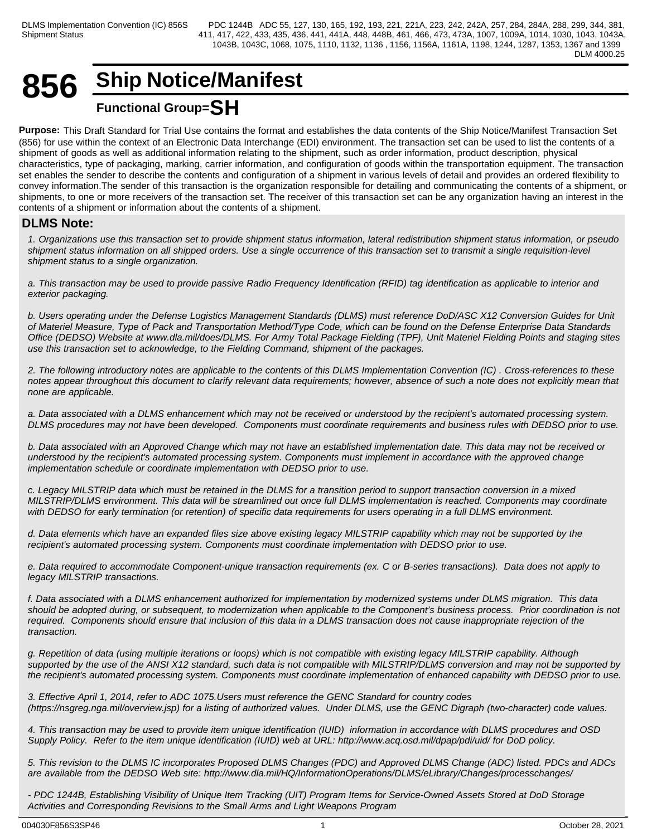# **856 Ship Notice/Manifest Functional Group=SH**

**Purpose:** This Draft Standard for Trial Use contains the format and establishes the data contents of the Ship Notice/Manifest Transaction Set (856) for use within the context of an Electronic Data Interchange (EDI) environment. The transaction set can be used to list the contents of a shipment of goods as well as additional information relating to the shipment, such as order information, product description, physical characteristics, type of packaging, marking, carrier information, and configuration of goods within the transportation equipment. The transaction set enables the sender to describe the contents and configuration of a shipment in various levels of detail and provides an ordered flexibility to convey information.The sender of this transaction is the organization responsible for detailing and communicating the contents of a shipment, or shipments, to one or more receivers of the transaction set. The receiver of this transaction set can be any organization having an interest in the contents of a shipment or information about the contents of a shipment.

# **DLMS Note:**

*1. Organizations use this transaction set to provide shipment status information, lateral redistribution shipment status information, or pseudo shipment status information on all shipped orders. Use a single occurrence of this transaction set to transmit a single requisition-level shipment status to a single organization.*

*a. This transaction may be used to provide passive Radio Frequency Identification (RFID) tag identification as applicable to interior and exterior packaging.*

*b. Users operating under the Defense Logistics Management Standards (DLMS) must reference DoD/ASC X12 Conversion Guides for Unit of Materiel Measure, Type of Pack and Transportation Method/Type Code, which can be found on the Defense Enterprise Data Standards Office (DEDSO) Website at www.dla.mil/does/DLMS. For Army Total Package Fielding (TPF), Unit Materiel Fielding Points and staging sites use this transaction set to acknowledge, to the Fielding Command, shipment of the packages.*

*2. The following introductory notes are applicable to the contents of this DLMS Implementation Convention (IC) . Cross-references to these notes appear throughout this document to clarify relevant data requirements; however, absence of such a note does not explicitly mean that none are applicable.*

*a. Data associated with a DLMS enhancement which may not be received or understood by the recipient's automated processing system. DLMS procedures may not have been developed. Components must coordinate requirements and business rules with DEDSO prior to use.*

*b. Data associated with an Approved Change which may not have an established implementation date. This data may not be received or understood by the recipient's automated processing system. Components must implement in accordance with the approved change implementation schedule or coordinate implementation with DEDSO prior to use.*

*c. Legacy MILSTRIP data which must be retained in the DLMS for a transition period to support transaction conversion in a mixed MILSTRIP/DLMS environment. This data will be streamlined out once full DLMS implementation is reached. Components may coordinate with DEDSO for early termination (or retention) of specific data requirements for users operating in a full DLMS environment.*

*d. Data elements which have an expanded files size above existing legacy MILSTRIP capability which may not be supported by the recipient's automated processing system. Components must coordinate implementation with DEDSO prior to use.*

*e. Data required to accommodate Component-unique transaction requirements (ex. C or B-series transactions). Data does not apply to legacy MILSTRIP transactions.*

*f. Data associated with a DLMS enhancement authorized for implementation by modernized systems under DLMS migration. This data should be adopted during, or subsequent, to modernization when applicable to the Component's business process. Prior coordination is not required. Components should ensure that inclusion of this data in a DLMS transaction does not cause inappropriate rejection of the transaction.*

*g. Repetition of data (using multiple iterations or loops) which is not compatible with existing legacy MILSTRIP capability. Although supported by the use of the ANSI X12 standard, such data is not compatible with MILSTRIP/DLMS conversion and may not be supported by the recipient's automated processing system. Components must coordinate implementation of enhanced capability with DEDSO prior to use.*

*3. Effective April 1, 2014, refer to ADC 1075.Users must reference the GENC Standard for country codes (https://nsgreg.nga.mil/overview.jsp) for a listing of authorized values. Under DLMS, use the GENC Digraph (two-character) code values.*

*4. This transaction may be used to provide item unique identification (IUID) information in accordance with DLMS procedures and OSD Supply Policy. Refer to the item unique identification (IUID) web at URL: http://www.acq.osd.mil/dpap/pdi/uid/ for DoD policy.*

*5. This revision to the DLMS IC incorporates Proposed DLMS Changes (PDC) and Approved DLMS Change (ADC) listed. PDCs and ADCs are available from the DEDSO Web site: http://www.dla.mil/HQ/InformationOperations/DLMS/eLibrary/Changes/processchanges/*

*- PDC 1244B, Establishing Visibility of Unique Item Tracking (UIT) Program Items for Service-Owned Assets Stored at DoD Storage Activities and Corresponding Revisions to the Small Arms and Light Weapons Program*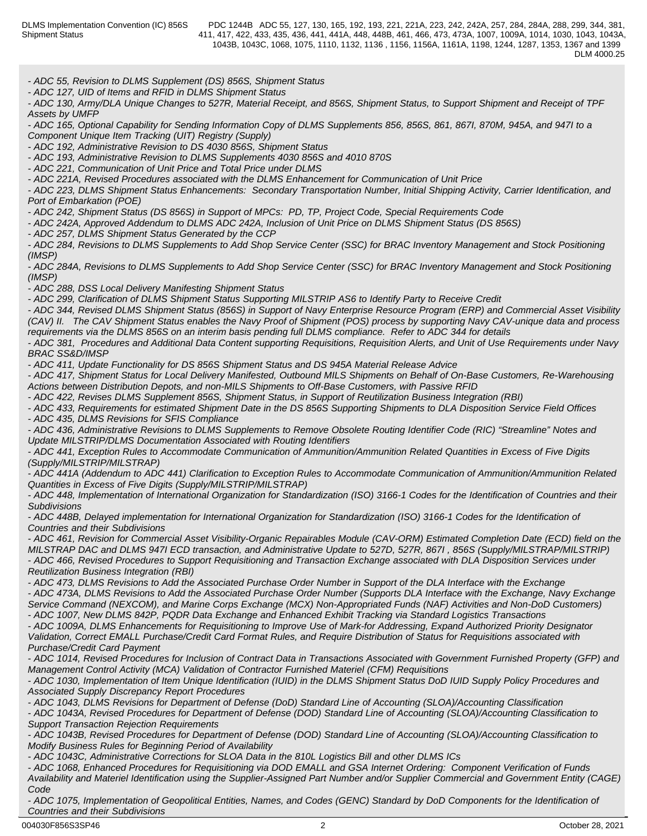*- ADC 55, Revision to DLMS Supplement (DS) 856S, Shipment Status*

*- ADC 127, UID of Items and RFID in DLMS Shipment Status*

*- ADC 130, Army/DLA Unique Changes to 527R, Material Receipt, and 856S, Shipment Status, to Support Shipment and Receipt of TPF Assets by UMFP*

*- ADC 165, Optional Capability for Sending Information Copy of DLMS Supplements 856, 856S, 861, 867I, 870M, 945A, and 947I to a Component Unique Item Tracking (UIT) Registry (Supply)*

*- ADC 192, Administrative Revision to DS 4030 856S, Shipment Status*

*- ADC 193, Administrative Revision to DLMS Supplements 4030 856S and 4010 870S*

*- ADC 221, Communication of Unit Price and Total Price under DLMS*

*- ADC 221A, Revised Procedures associated with the DLMS Enhancement for Communication of Unit Price*

*- ADC 223, DLMS Shipment Status Enhancements: Secondary Transportation Number, Initial Shipping Activity, Carrier Identification, and Port of Embarkation (POE)*

*- ADC 242, Shipment Status (DS 856S) in Support of MPCs: PD, TP, Project Code, Special Requirements Code*

*- ADC 242A, Approved Addendum to DLMS ADC 242A, Inclusion of Unit Price on DLMS Shipment Status (DS 856S)*

*- ADC 257, DLMS Shipment Status Generated by the CCP*

*- ADC 284, Revisions to DLMS Supplements to Add Shop Service Center (SSC) for BRAC Inventory Management and Stock Positioning (IMSP)*

*- ADC 284A, Revisions to DLMS Supplements to Add Shop Service Center (SSC) for BRAC Inventory Management and Stock Positioning (IMSP)*

*- ADC 288, DSS Local Delivery Manifesting Shipment Status*

*- ADC 299, Clarification of DLMS Shipment Status Supporting MILSTRIP AS6 to Identify Party to Receive Credit*

*- ADC 344, Revised DLMS Shipment Status (856S) in Support of Navy Enterprise Resource Program (ERP) and Commercial Asset Visibility (CAV) II. The CAV Shipment Status enables the Navy Proof of Shipment (POS) process by supporting Navy CAV-unique data and process requirements via the DLMS 856S on an interim basis pending full DLMS compliance. Refer to ADC 344 for details*

*- ADC 381, Procedures and Additional Data Content supporting Requisitions, Requisition Alerts, and Unit of Use Requirements under Navy BRAC SS&D/IMSP*

*- ADC 411, Update Functionality for DS 856S Shipment Status and DS 945A Material Release Advice*

*- ADC 417, Shipment Status for Local Delivery Manifested, Outbound MILS Shipments on Behalf of On-Base Customers, Re-Warehousing Actions between Distribution Depots, and non-MILS Shipments to Off-Base Customers, with Passive RFID*

*- ADC 422, Revises DLMS Supplement 856S, Shipment Status, in Support of Reutilization Business Integration (RBI)*

*- ADC 433, Requirements for estimated Shipment Date in the DS 856S Supporting Shipments to DLA Disposition Service Field Offices - ADC 435, DLMS Revisions for SFIS Compliance* 

*- ADC 436, Administrative Revisions to DLMS Supplements to Remove Obsolete Routing Identifier Code (RIC) "Streamline" Notes and Update MILSTRIP/DLMS Documentation Associated with Routing Identifiers*

*- ADC 441, Exception Rules to Accommodate Communication of Ammunition/Ammunition Related Quantities in Excess of Five Digits (Supply/MILSTRIP/MILSTRAP)*

*- ADC 441A (Addendum to ADC 441) Clarification to Exception Rules to Accommodate Communication of Ammunition/Ammunition Related Quantities in Excess of Five Digits (Supply/MILSTRIP/MILSTRAP)*

*- ADC 448, Implementation of International Organization for Standardization (ISO) 3166-1 Codes for the Identification of Countries and their Subdivisions*

*- ADC 448B, Delayed implementation for International Organization for Standardization (ISO) 3166-1 Codes for the Identification of Countries and their Subdivisions*

*- ADC 461, Revision for Commercial Asset Visibility-Organic Repairables Module (CAV-ORM) Estimated Completion Date (ECD) field on the MILSTRAP DAC and DLMS 947I ECD transaction, and Administrative Update to 527D, 527R, 867I , 856S (Supply/MILSTRAP/MILSTRIP) - ADC 466, Revised Procedures to Support Requisitioning and Transaction Exchange associated with DLA Disposition Services under Reutilization Business Integration (RBI)*

*- ADC 473, DLMS Revisions to Add the Associated Purchase Order Number in Support of the DLA Interface with the Exchange - ADC 473A, DLMS Revisions to Add the Associated Purchase Order Number (Supports DLA Interface with the Exchange, Navy Exchange Service Command (NEXCOM), and Marine Corps Exchange (MCX) Non-Appropriated Funds (NAF) Activities and Non-DoD Customers) - ADC 1007, New DLMS 842P, PQDR Data Exchange and Enhanced Exhibit Tracking via Standard Logistics Transactions*

*- ADC 1009A, DLMS Enhancements for Requisitioning to Improve Use of Mark-for Addressing, Expand Authorized Priority Designator Validation, Correct EMALL Purchase/Credit Card Format Rules, and Require Distribution of Status for Requisitions associated with Purchase/Credit Card Payment*

*- ADC 1014, Revised Procedures for Inclusion of Contract Data in Transactions Associated with Government Furnished Property (GFP) and Management Control Activity (MCA) Validation of Contractor Furnished Materiel (CFM) Requisitions*

*- ADC 1030, Implementation of Item Unique Identification (IUID) in the DLMS Shipment Status DoD IUID Supply Policy Procedures and Associated Supply Discrepancy Report Procedures*

*- ADC 1043, DLMS Revisions for Department of Defense (DoD) Standard Line of Accounting (SLOA)/Accounting Classification*

*- ADC 1043A, Revised Procedures for Department of Defense (DOD) Standard Line of Accounting (SLOA)/Accounting Classification to Support Transaction Rejection Requirements*

*- ADC 1043B, Revised Procedures for Department of Defense (DOD) Standard Line of Accounting (SLOA)/Accounting Classification to Modify Business Rules for Beginning Period of Availability*

*- ADC 1043C, Administrative Corrections for SLOA Data in the 810L Logistics Bill and other DLMS ICs*

*- ADC 1068, Enhanced Procedures for Requisitioning via DOD EMALL and GSA Internet Ordering: Component Verification of Funds Availability and Materiel Identification using the Supplier-Assigned Part Number and/or Supplier Commercial and Government Entity (CAGE) Code* **Code Code Code Code Code Code Code Code Code Code Code** 

*- ADC 1075, Implementation of Geopolitical Entities, Names, and Codes (GENC) Standard by DoD Components for the Identification of Countries and their Subdivisions*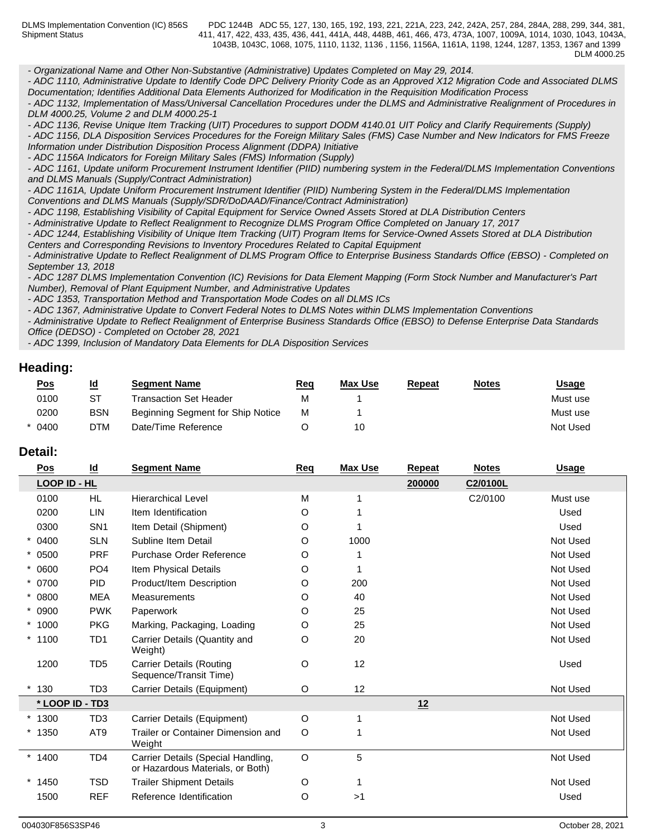*- Organizational Name and Other Non-Substantive (Administrative) Updates Completed on May 29, 2014.*

*- ADC 1110, Administrative Update to Identify Code DPC Delivery Priority Code as an Approved X12 Migration Code and Associated DLMS Documentation; Identifies Additional Data Elements Authorized for Modification in the Requisition Modification Process*

*- ADC 1132, Implementation of Mass/Universal Cancellation Procedures under the DLMS and Administrative Realignment of Procedures in DLM 4000.25, Volume 2 and DLM 4000.25-1*

*- ADC 1136, Revise Unique Item Tracking (UIT) Procedures to support DODM 4140.01 UIT Policy and Clarify Requirements (Supply)*

*- ADC 1156, DLA Disposition Services Procedures for the Foreign Military Sales (FMS) Case Number and New Indicators for FMS Freeze Information under Distribution Disposition Process Alignment (DDPA) Initiative*

*- ADC 1156A Indicators for Foreign Military Sales (FMS) Information (Supply)*

*- ADC 1161, Update uniform Procurement Instrument Identifier (PIID) numbering system in the Federal/DLMS Implementation Conventions and DLMS Manuals (Supply/Contract Administration)*

*- ADC 1161A, Update Uniform Procurement Instrument Identifier (PIID) Numbering System in the Federal/DLMS Implementation Conventions and DLMS Manuals (Supply/SDR/DoDAAD/Finance/Contract Administration)*

*- ADC 1198, Establishing Visibility of Capital Equipment for Service Owned Assets Stored at DLA Distribution Centers*

*- Administrative Update to Reflect Realignment to Recognize DLMS Program Office Completed on January 17, 2017*

*- ADC 1244, Establishing Visibility of Unique Item Tracking (UIT) Program Items for Service-Owned Assets Stored at DLA Distribution Centers and Corresponding Revisions to Inventory Procedures Related to Capital Equipment*

*- Administrative Update to Reflect Realignment of DLMS Program Office to Enterprise Business Standards Office (EBSO) - Completed on September 13, 2018*

*- ADC 1287 DLMS Implementation Convention (IC) Revisions for Data Element Mapping (Form Stock Number and Manufacturer's Part Number), Removal of Plant Equipment Number, and Administrative Updates*

*- ADC 1353, Transportation Method and Transportation Mode Codes on all DLMS ICs*

*- ADC 1367, Administrative Update to Convert Federal Notes to DLMS Notes within DLMS Implementation Conventions*

*- Administrative Update to Reflect Realignment of Enterprise Business Standards Office (EBSO) to Defense Enterprise Data Standards Office (DEDSO) - Completed on October 28, 2021*

*- ADC 1399, Inclusion of Mandatory Data Elements for DLA Disposition Services*

# **Heading:**

| <u>Pos</u> | <u>ld</u> | <b>Segment Name</b>               | <u>Req</u> | Max Use | <u>Repeat</u> | <b>Notes</b> | <u>Usage</u> |
|------------|-----------|-----------------------------------|------------|---------|---------------|--------------|--------------|
| 0100       | ST        | Transaction Set Header            | м          |         |               |              | Must use     |
| 0200       | BSN       | Beginning Segment for Ship Notice | M          |         |               |              | Must use     |
| * 0400     | DTM       | Date/Time Reference               |            | 10      |               |              | Not Used     |

# **Detail:**

| $\underline{\mathsf{Pos}}$ | $\underline{\mathsf{Id}}$ | <b>Segment Name</b>                                                    | Req     | <b>Max Use</b> | <b>Repeat</b> | <b>Notes</b> | <b>Usage</b> |
|----------------------------|---------------------------|------------------------------------------------------------------------|---------|----------------|---------------|--------------|--------------|
| LOOP ID - HL               |                           |                                                                        |         |                | 200000        | C2/0100L     |              |
| 0100                       | HL.                       | <b>Hierarchical Level</b>                                              | M       |                |               | C2/0100      | Must use     |
| 0200                       | <b>LIN</b>                | Item Identification                                                    | O       |                |               |              | Used         |
| 0300                       | SN <sub>1</sub>           | Item Detail (Shipment)                                                 | O       |                |               |              | Used         |
| $* 0400$                   | <b>SLN</b>                | Subline Item Detail                                                    | O       | 1000           |               |              | Not Used     |
| $* 0500$                   | <b>PRF</b>                | Purchase Order Reference                                               | O       |                |               |              | Not Used     |
| $* 0600$                   | PO <sub>4</sub>           | Item Physical Details                                                  | O       |                |               |              | Not Used     |
| * 0700                     | <b>PID</b>                | Product/Item Description                                               | O       | 200            |               |              | Not Used     |
| $* 0800$                   | <b>MEA</b>                | Measurements                                                           | O       | 40             |               |              | Not Used     |
| $* 0900$                   | <b>PWK</b>                | Paperwork                                                              | O       | 25             |               |              | Not Used     |
| $*1000$                    | <b>PKG</b>                | Marking, Packaging, Loading                                            | O       | 25             |               |              | Not Used     |
| $*1100$                    | TD <sub>1</sub>           | Carrier Details (Quantity and<br>Weight)                               | O       | 20             |               |              | Not Used     |
| 1200                       | TD <sub>5</sub>           | <b>Carrier Details (Routing</b><br>Sequence/Transit Time)              | O       | 12             |               |              | Used         |
| 130                        | TD <sub>3</sub>           | Carrier Details (Equipment)                                            | O       | 12             |               |              | Not Used     |
|                            | * LOOP ID - TD3           |                                                                        |         |                | 12            |              |              |
| $*1300$                    | TD <sub>3</sub>           | Carrier Details (Equipment)                                            | $\circ$ |                |               |              | Not Used     |
| $*1350$                    | AT <sub>9</sub>           | Trailer or Container Dimension and<br>Weight                           | O       |                |               |              | Not Used     |
| $*1400$                    | TD <sub>4</sub>           | Carrier Details (Special Handling,<br>or Hazardous Materials, or Both) | O       | 5              |               |              | Not Used     |
| $*1450$                    | <b>TSD</b>                | <b>Trailer Shipment Details</b>                                        | O       |                |               |              | Not Used     |
| 1500                       | <b>REF</b>                | Reference Identification                                               | O       | >1             |               |              | Used         |
|                            |                           |                                                                        |         |                |               |              |              |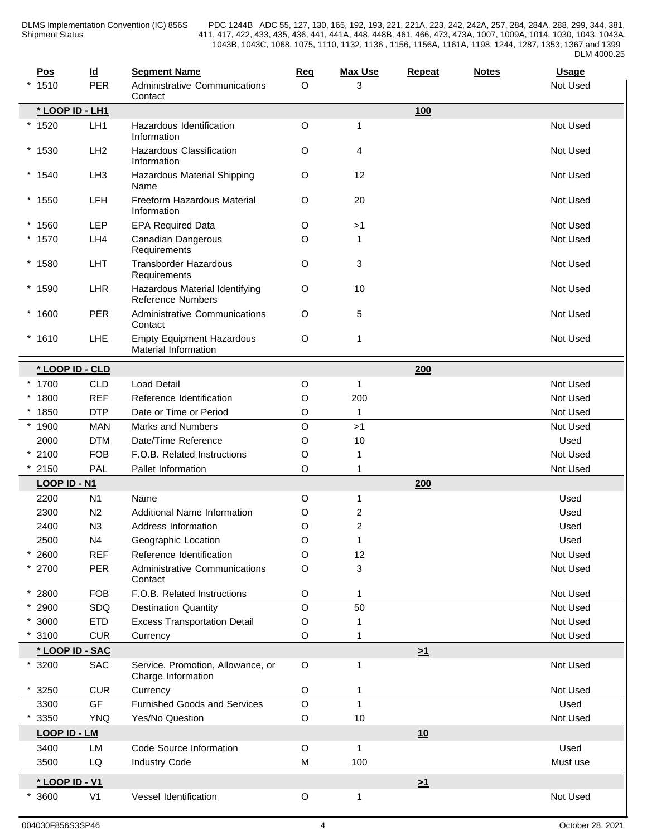| Pos      |                     | $\underline{\mathsf{Id}}$ | <b>Segment Name</b>                                        | Req         | <b>Max Use</b>          | Repeat   | <b>Notes</b> | <b>Usage</b> |
|----------|---------------------|---------------------------|------------------------------------------------------------|-------------|-------------------------|----------|--------------|--------------|
| $*1510$  |                     | <b>PER</b>                | <b>Administrative Communications</b><br>Contact            | $\circ$     | 3                       |          |              | Not Used     |
|          | * LOOP ID - LH1     |                           |                                                            |             |                         | 100      |              |              |
| $*1520$  |                     | LH <sub>1</sub>           | Hazardous Identification<br>Information                    | O           | $\mathbf{1}$            |          |              | Not Used     |
| $*1530$  |                     | LH <sub>2</sub>           | Hazardous Classification<br>Information                    | O           | 4                       |          |              | Not Used     |
| $*1540$  |                     | LH <sub>3</sub>           | Hazardous Material Shipping<br>Name                        | O           | 12                      |          |              | Not Used     |
| $*1550$  |                     | <b>LFH</b>                | Freeform Hazardous Material<br>Information                 | O           | 20                      |          |              | Not Used     |
| $*1560$  |                     | <b>LEP</b>                | <b>EPA Required Data</b>                                   | O           | >1                      |          |              | Not Used     |
| $*1570$  |                     | LH4                       | Canadian Dangerous<br>Requirements                         | O           | $\mathbf{1}$            |          |              | Not Used     |
| $*1580$  |                     | <b>LHT</b>                | <b>Transborder Hazardous</b><br>Requirements               | O           | 3                       |          |              | Not Used     |
| $*1590$  |                     | LHR                       | Hazardous Material Identifying<br><b>Reference Numbers</b> | O           | 10                      |          |              | Not Used     |
| $*1600$  |                     | <b>PER</b>                | <b>Administrative Communications</b><br>Contact            | $\circ$     | 5                       |          |              | Not Used     |
| $*1610$  |                     | <b>LHE</b>                | <b>Empty Equipment Hazardous</b><br>Material Information   | O           | $\mathbf{1}$            |          |              | Not Used     |
|          | * LOOP ID - CLD     |                           |                                                            |             |                         | 200      |              |              |
| * 1700   |                     | <b>CLD</b>                | <b>Load Detail</b>                                         | O           | $\mathbf{1}$            |          |              | Not Used     |
| $*1800$  |                     | <b>REF</b>                | Reference Identification                                   | O           | 200                     |          |              | Not Used     |
| $*1850$  |                     | <b>DTP</b>                | Date or Time or Period                                     | O           | $\mathbf{1}$            |          |              | Not Used     |
| $*1900$  |                     | <b>MAN</b>                | <b>Marks and Numbers</b>                                   | $\mathsf O$ | >1                      |          |              | Not Used     |
| 2000     |                     | <b>DTM</b>                | Date/Time Reference                                        | O           | 10                      |          |              | Used         |
| $*2100$  |                     | <b>FOB</b>                | F.O.B. Related Instructions                                | O           | 1                       |          |              | Not Used     |
| $*2150$  |                     | PAL                       | Pallet Information                                         | O           | 1                       |          |              | Not Used     |
|          | LOOP ID - N1        |                           |                                                            |             |                         | 200      |              |              |
| 2200     |                     | N <sub>1</sub>            | Name                                                       | O           | $\mathbf{1}$            |          |              | Used         |
| 2300     |                     | N <sub>2</sub>            | Additional Name Information                                | O           | $\overline{\mathbf{c}}$ |          |              | Used         |
| 2400     |                     | N3                        | Address Information                                        | O           | 2                       |          |              | Used         |
| 2500     |                     | N4                        | Geographic Location                                        | O           | 1                       |          |              | Used         |
| 2600     |                     | <b>REF</b>                | Reference Identification                                   | O           | 12                      |          |              | Not Used     |
| $*$ 2700 |                     | <b>PER</b>                | Administrative Communications<br>Contact                   | $\mathsf O$ | 3                       |          |              | Not Used     |
| $* 2800$ |                     | <b>FOB</b>                | F.O.B. Related Instructions                                | O           | 1                       |          |              | Not Used     |
| $* 2900$ |                     | SDQ                       | <b>Destination Quantity</b>                                | $\mathsf O$ | 50                      |          |              | Not Used     |
| $*3000$  |                     | <b>ETD</b>                | <b>Excess Transportation Detail</b>                        | O           |                         |          |              | Not Used     |
| 3100     |                     | <b>CUR</b>                | Currency                                                   | O           |                         |          |              | Not Used     |
|          | * LOOP ID - SAC     |                           |                                                            |             |                         | $\geq 1$ |              |              |
| $*3200$  |                     | SAC                       | Service, Promotion, Allowance, or<br>Charge Information    | $\circ$     | 1                       |          |              | Not Used     |
| 3250     |                     | <b>CUR</b>                | Currency                                                   | O           | 1                       |          |              | Not Used     |
| 3300     |                     | GF                        | Furnished Goods and Services                               | $\mathsf O$ | $\mathbf{1}$            |          |              | Used         |
| 3350     |                     | <b>YNQ</b>                | Yes/No Question                                            | $\mathsf O$ | 10                      |          |              | Not Used     |
|          | <b>LOOP ID - LM</b> |                           |                                                            |             |                         | 10       |              |              |
| 3400     |                     | LM                        | Code Source Information                                    | $\mathsf O$ | $\mathbf{1}$            |          |              | Used         |
| 3500     |                     | LQ                        | <b>Industry Code</b>                                       | M           | 100                     |          |              | Must use     |
|          | * LOOP ID - V1      |                           |                                                            |             |                         | $\geq 1$ |              |              |
| 3600     |                     | V <sub>1</sub>            | Vessel Identification                                      | $\mathsf O$ | $\mathbf{1}$            |          |              | Not Used     |

 $\mathbf \mu$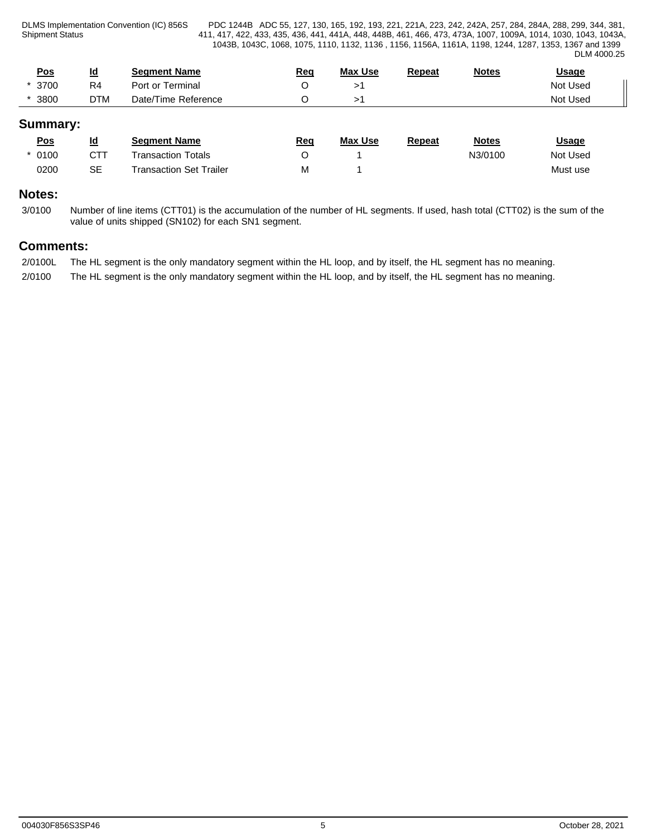Shipment Status

DLMS Implementation Convention (IC) 856S PDC 1244B ADC 55, 127, 130, 165, 192, 193, 221, 221A, 223, 242, 242A, 257, 284, 284A, 288, 299, 344, 381, 411, 417, 422, 433, 435, 436, 441, 441A, 448, 448B, 461, 466, 473, 473A, 1007, 1009A, 1014, 1030, 1043, 1043A, 1043B, 1043C, 1068, 1075, 1110, 1132, 1136 , 1156, 1156A, 1161A, 1198, 1244, 1287, 1353, 1367 and 1399 DLM 4000.25

| <u>Pos</u> | Id<br>_        | <b>Seament Name</b>            | Req | <b>Max Use</b> | Repeat | <b>Notes</b> | <u>Usage</u> |  |
|------------|----------------|--------------------------------|-----|----------------|--------|--------------|--------------|--|
| 3700       | R <sub>4</sub> | Port or Terminal               |     |                |        |              | Not Used     |  |
| 3800       | <b>DTM</b>     | Reference ؛<br>Time ,<br>Date/ |     |                |        |              | Not Used     |  |

# **Summary:**

| <u>Pos</u> | <u>ld</u> | <b>Seament Name</b>       | <u>Req</u> | <b>Max Use</b> | Repeat | <b>Notes</b> | <b>Usage</b> |
|------------|-----------|---------------------------|------------|----------------|--------|--------------|--------------|
| 0100       | CTT       | <b>Transaction Totals</b> |            |                |        | N3/0100      | Not Used     |
| 0200       | SE        | Transaction Set Trailer   | М          |                |        |              | Must use     |

# **Notes:**

3/0100 Number of line items (CTT01) is the accumulation of the number of HL segments. If used, hash total (CTT02) is the sum of the value of units shipped (SN102) for each SN1 segment.

# **Comments:**

2/0100L The HL segment is the only mandatory segment within the HL loop, and by itself, the HL segment has no meaning. 2/0100 The HL segment is the only mandatory segment within the HL loop, and by itself, the HL segment has no meaning.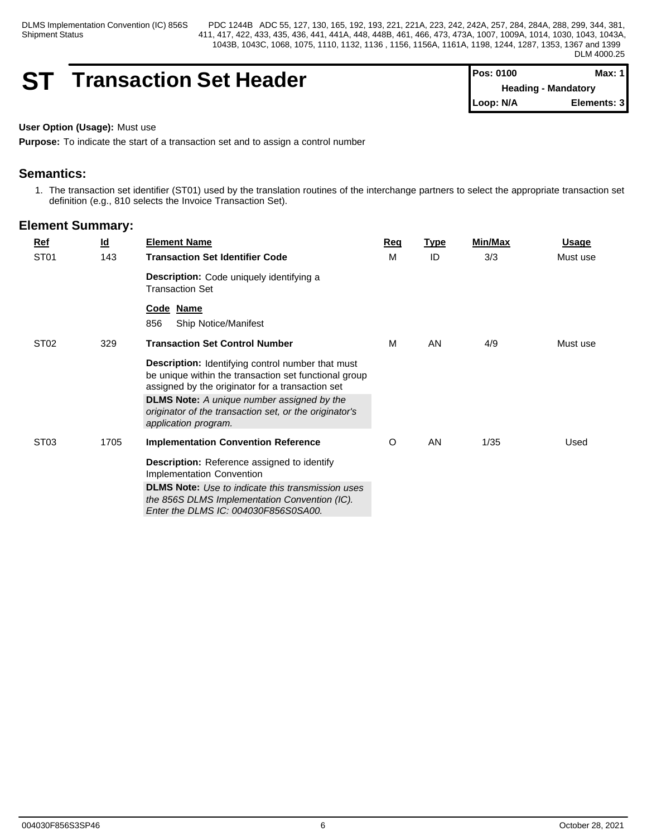# **ST Transaction Set Header**

| I Pos: 0100 | Max: 1                     |
|-------------|----------------------------|
|             | <b>Heading - Mandatory</b> |
| ∥Loop: N/A  | Elements: 31               |

# **User Option (Usage):** Must use

**Purpose:** To indicate the start of a transaction set and to assign a control number

# **Semantics:**

1. The transaction set identifier (ST01) used by the translation routines of the interchange partners to select the appropriate transaction set definition (e.g., 810 selects the Invoice Transaction Set).

| <u>Ref</u>       | $\underline{\mathsf{Id}}$ | <b>Element Name</b>                                                                                                                                                                                                                                                                                   | <b>Reg</b> | <b>Type</b> | <b>Min/Max</b> | <u>Usage</u> |
|------------------|---------------------------|-------------------------------------------------------------------------------------------------------------------------------------------------------------------------------------------------------------------------------------------------------------------------------------------------------|------------|-------------|----------------|--------------|
| ST <sub>01</sub> | 143                       | <b>Transaction Set Identifier Code</b>                                                                                                                                                                                                                                                                | M          | ID          | 3/3            | Must use     |
|                  |                           | Description: Code uniquely identifying a<br><b>Transaction Set</b>                                                                                                                                                                                                                                    |            |             |                |              |
|                  |                           | Code Name<br>856<br><b>Ship Notice/Manifest</b>                                                                                                                                                                                                                                                       |            |             |                |              |
| ST <sub>02</sub> | 329                       | <b>Transaction Set Control Number</b>                                                                                                                                                                                                                                                                 | M          | AN          | 4/9            | Must use     |
|                  |                           | Description: Identifying control number that must<br>be unique within the transaction set functional group<br>assigned by the originator for a transaction set<br><b>DLMS Note:</b> A unique number assigned by the<br>originator of the transaction set, or the originator's<br>application program. |            |             |                |              |
| ST <sub>03</sub> | 1705                      | <b>Implementation Convention Reference</b><br><b>Description:</b> Reference assigned to identify<br>Implementation Convention                                                                                                                                                                         | O          | AN          | 1/35           | Used         |
|                  |                           | <b>DLMS Note:</b> Use to indicate this transmission uses<br>the 856S DLMS Implementation Convention (IC).<br>Enter the DLMS IC: 004030F856S0SA00.                                                                                                                                                     |            |             |                |              |
|                  |                           |                                                                                                                                                                                                                                                                                                       |            |             |                |              |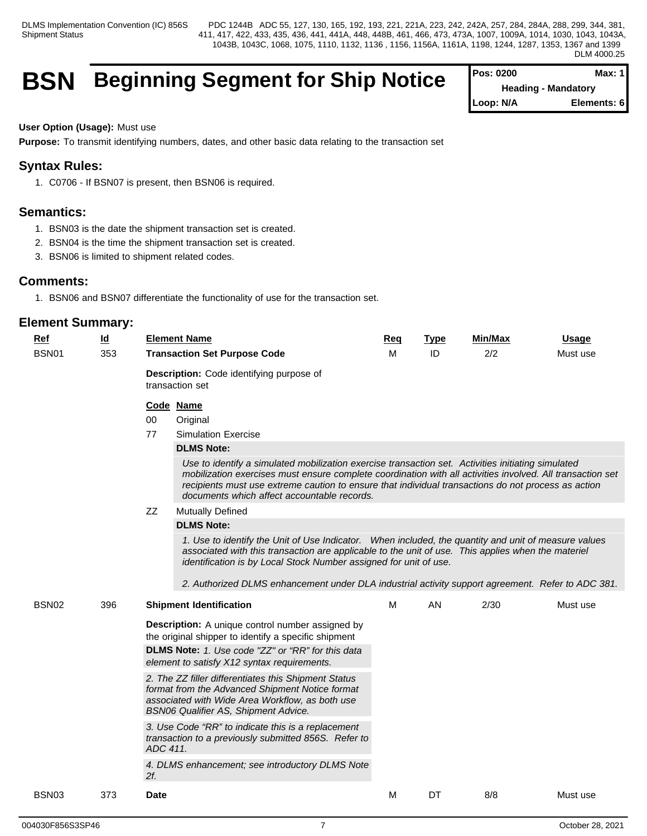# **BSN** Beginning Segment for Ship Notice

| <b>Pos: 0200</b>           | Max: $1$    |  |
|----------------------------|-------------|--|
| <b>Heading - Mandatory</b> |             |  |
| Loop: N/A                  | Elements: 6 |  |

#### **User Option (Usage):** Must use

**Purpose:** To transmit identifying numbers, dates, and other basic data relating to the transaction set

# **Syntax Rules:**

1. C0706 - If BSN07 is present, then BSN06 is required.

# **Semantics:**

- 1. BSN03 is the date the shipment transaction set is created.
- 2. BSN04 is the time the shipment transaction set is created.
- 3. BSN06 is limited to shipment related codes.

### **Comments:**

1. BSN06 and BSN07 differentiate the functionality of use for the transaction set.

| <u>Ref</u><br><b>BSN01</b> | <u>ld</u><br>353 | <b>Element Name</b><br><b>Transaction Set Purpose Code</b>                                                                                                                                                                                                                                                                                                                                                                                                                                                                                                                                                                                                       |                                                                                                                                                                                                                                                                                                                                                                                                                                                                                                                                                                                                                                                                                                                                                                | <b>Type</b><br>ID | Min/Max<br>2/2 | <b>Usage</b><br>Must use |  |  |  |  |
|----------------------------|------------------|------------------------------------------------------------------------------------------------------------------------------------------------------------------------------------------------------------------------------------------------------------------------------------------------------------------------------------------------------------------------------------------------------------------------------------------------------------------------------------------------------------------------------------------------------------------------------------------------------------------------------------------------------------------|----------------------------------------------------------------------------------------------------------------------------------------------------------------------------------------------------------------------------------------------------------------------------------------------------------------------------------------------------------------------------------------------------------------------------------------------------------------------------------------------------------------------------------------------------------------------------------------------------------------------------------------------------------------------------------------------------------------------------------------------------------------|-------------------|----------------|--------------------------|--|--|--|--|
|                            |                  | <b>Description:</b> Code identifying purpose of<br>transaction set                                                                                                                                                                                                                                                                                                                                                                                                                                                                                                                                                                                               |                                                                                                                                                                                                                                                                                                                                                                                                                                                                                                                                                                                                                                                                                                                                                                |                   |                |                          |  |  |  |  |
|                            |                  | Code Name<br>$00\,$<br>Original<br>77<br><b>Simulation Exercise</b><br><b>DLMS Note:</b><br>ZZ<br><b>Mutually Defined</b><br><b>DLMS Note:</b>                                                                                                                                                                                                                                                                                                                                                                                                                                                                                                                   | Use to identify a simulated mobilization exercise transaction set. Activities initiating simulated<br>mobilization exercises must ensure complete coordination with all activities involved. All transaction set<br>recipients must use extreme caution to ensure that individual transactions do not process as action<br>documents which affect accountable records.<br>1. Use to identify the Unit of Use Indicator. When included, the quantity and unit of measure values<br>associated with this transaction are applicable to the unit of use. This applies when the materiel<br>identification is by Local Stock Number assigned for unit of use.<br>2. Authorized DLMS enhancement under DLA industrial activity support agreement. Refer to ADC 381. |                   |                |                          |  |  |  |  |
| BSN <sub>02</sub>          | 396              | <b>Shipment Identification</b><br><b>Description:</b> A unique control number assigned by<br>the original shipper to identify a specific shipment<br><b>DLMS Note:</b> 1. Use code "ZZ" or "RR" for this data<br>element to satisfy X12 syntax requirements.<br>2. The ZZ filler differentiates this Shipment Status<br>format from the Advanced Shipment Notice format<br>associated with Wide Area Workflow, as both use<br><b>BSN06 Qualifier AS, Shipment Advice.</b><br>3. Use Code "RR" to indicate this is a replacement<br>transaction to a previously submitted 856S. Refer to<br>ADC 411.<br>4. DLMS enhancement; see introductory DLMS Note<br>$2f$ . | M                                                                                                                                                                                                                                                                                                                                                                                                                                                                                                                                                                                                                                                                                                                                                              | <b>AN</b>         | 2/30           | Must use                 |  |  |  |  |
| BSN <sub>03</sub>          | 373              | <b>Date</b>                                                                                                                                                                                                                                                                                                                                                                                                                                                                                                                                                                                                                                                      | M                                                                                                                                                                                                                                                                                                                                                                                                                                                                                                                                                                                                                                                                                                                                                              | DT                | 8/8            | Must use                 |  |  |  |  |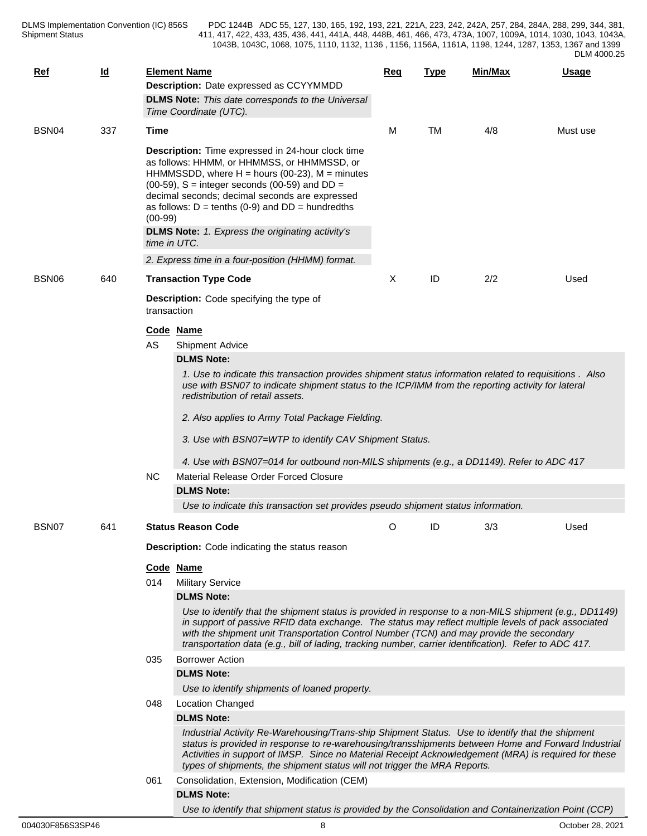| Ref               | $\underline{\mathsf{Id}}$ |                                                | <b>Element Name</b><br>Description: Date expressed as CCYYMMDD<br><b>DLMS Note:</b> This date corresponds to the Universal<br>Time Coordinate (UTC).                                                                                                                                                                                                                                                                                                                 | Req | Type      | <u>Min/Max</u> | Usage    |  |  |  |  |
|-------------------|---------------------------|------------------------------------------------|----------------------------------------------------------------------------------------------------------------------------------------------------------------------------------------------------------------------------------------------------------------------------------------------------------------------------------------------------------------------------------------------------------------------------------------------------------------------|-----|-----------|----------------|----------|--|--|--|--|
| BSN <sub>04</sub> | 337                       | <b>Time</b>                                    |                                                                                                                                                                                                                                                                                                                                                                                                                                                                      | м   | <b>TM</b> | 4/8            | Must use |  |  |  |  |
|                   |                           | $(00-99)$                                      | Description: Time expressed in 24-hour clock time<br>as follows: HHMM, or HHMMSS, or HHMMSSD, or<br>HHMMSSDD, where $H =$ hours (00-23), $M =$ minutes<br>$(00-59)$ , S = integer seconds $(00-59)$ and DD =<br>decimal seconds; decimal seconds are expressed<br>as follows: $D = \text{tenths}$ (0-9) and $DD = \text{hundredths}$<br><b>DLMS Note:</b> 1. Express the originating activity's<br>time in UTC.<br>2. Express time in a four-position (HHMM) format. |     |           |                |          |  |  |  |  |
| BSN06             | 640                       |                                                | <b>Transaction Type Code</b>                                                                                                                                                                                                                                                                                                                                                                                                                                         | X   | ID        | 2/2            | Used     |  |  |  |  |
|                   |                           | transaction                                    | <b>Description:</b> Code specifying the type of<br>Code Name                                                                                                                                                                                                                                                                                                                                                                                                         |     |           |                |          |  |  |  |  |
|                   |                           | AS                                             | Shipment Advice                                                                                                                                                                                                                                                                                                                                                                                                                                                      |     |           |                |          |  |  |  |  |
|                   |                           |                                                | <b>DLMS Note:</b><br>1. Use to indicate this transaction provides shipment status information related to requisitions . Also<br>use with BSN07 to indicate shipment status to the ICP/IMM from the reporting activity for lateral                                                                                                                                                                                                                                    |     |           |                |          |  |  |  |  |
|                   |                           |                                                | redistribution of retail assets.                                                                                                                                                                                                                                                                                                                                                                                                                                     |     |           |                |          |  |  |  |  |
|                   |                           |                                                | 2. Also applies to Army Total Package Fielding.                                                                                                                                                                                                                                                                                                                                                                                                                      |     |           |                |          |  |  |  |  |
|                   |                           |                                                | 3. Use with BSN07=WTP to identify CAV Shipment Status.                                                                                                                                                                                                                                                                                                                                                                                                               |     |           |                |          |  |  |  |  |
|                   |                           |                                                | 4. Use with BSN07=014 for outbound non-MILS shipments (e.g., a DD1149). Refer to ADC 417                                                                                                                                                                                                                                                                                                                                                                             |     |           |                |          |  |  |  |  |
|                   |                           | <b>NC</b>                                      | Material Release Order Forced Closure                                                                                                                                                                                                                                                                                                                                                                                                                                |     |           |                |          |  |  |  |  |
|                   |                           |                                                | <b>DLMS Note:</b>                                                                                                                                                                                                                                                                                                                                                                                                                                                    |     |           |                |          |  |  |  |  |
|                   |                           |                                                | Use to indicate this transaction set provides pseudo shipment status information.                                                                                                                                                                                                                                                                                                                                                                                    |     |           |                |          |  |  |  |  |
|                   |                           |                                                |                                                                                                                                                                                                                                                                                                                                                                                                                                                                      |     |           |                |          |  |  |  |  |
| BSN07             | 641                       |                                                | <b>Status Reason Code</b>                                                                                                                                                                                                                                                                                                                                                                                                                                            | O   | ID        | 3/3            | Used     |  |  |  |  |
|                   |                           | Description: Code indicating the status reason |                                                                                                                                                                                                                                                                                                                                                                                                                                                                      |     |           |                |          |  |  |  |  |
|                   |                           |                                                | Code Name                                                                                                                                                                                                                                                                                                                                                                                                                                                            |     |           |                |          |  |  |  |  |
|                   |                           | 014                                            | <b>Military Service</b>                                                                                                                                                                                                                                                                                                                                                                                                                                              |     |           |                |          |  |  |  |  |
|                   |                           |                                                | <b>DLMS Note:</b>                                                                                                                                                                                                                                                                                                                                                                                                                                                    |     |           |                |          |  |  |  |  |
|                   |                           |                                                | Use to identify that the shipment status is provided in response to a non-MILS shipment (e.g., DD1149)<br>in support of passive RFID data exchange. The status may reflect multiple levels of pack associated<br>with the shipment unit Transportation Control Number (TCN) and may provide the secondary<br>transportation data (e.g., bill of lading, tracking number, carrier identification). Refer to ADC 417.                                                  |     |           |                |          |  |  |  |  |
|                   |                           | 035                                            | <b>Borrower Action</b>                                                                                                                                                                                                                                                                                                                                                                                                                                               |     |           |                |          |  |  |  |  |
|                   |                           |                                                | <b>DLMS Note:</b>                                                                                                                                                                                                                                                                                                                                                                                                                                                    |     |           |                |          |  |  |  |  |
|                   |                           |                                                | Use to identify shipments of loaned property.                                                                                                                                                                                                                                                                                                                                                                                                                        |     |           |                |          |  |  |  |  |
|                   |                           | 048                                            | Location Changed                                                                                                                                                                                                                                                                                                                                                                                                                                                     |     |           |                |          |  |  |  |  |
|                   |                           |                                                | <b>DLMS Note:</b>                                                                                                                                                                                                                                                                                                                                                                                                                                                    |     |           |                |          |  |  |  |  |
|                   |                           |                                                | Industrial Activity Re-Warehousing/Trans-ship Shipment Status. Use to identify that the shipment<br>status is provided in response to re-warehousing/transshipments between Home and Forward Industrial<br>Activities in support of IMSP. Since no Material Receipt Acknowledgement (MRA) is required for these<br>types of shipments, the shipment status will not trigger the MRA Reports.                                                                         |     |           |                |          |  |  |  |  |
|                   |                           | 061                                            | Consolidation, Extension, Modification (CEM)                                                                                                                                                                                                                                                                                                                                                                                                                         |     |           |                |          |  |  |  |  |
|                   |                           |                                                | <b>DLMS Note:</b>                                                                                                                                                                                                                                                                                                                                                                                                                                                    |     |           |                |          |  |  |  |  |
|                   |                           |                                                | Use to identify that shipment status is provided by the Consolidation and Containerization Point (CCP)                                                                                                                                                                                                                                                                                                                                                               |     |           |                |          |  |  |  |  |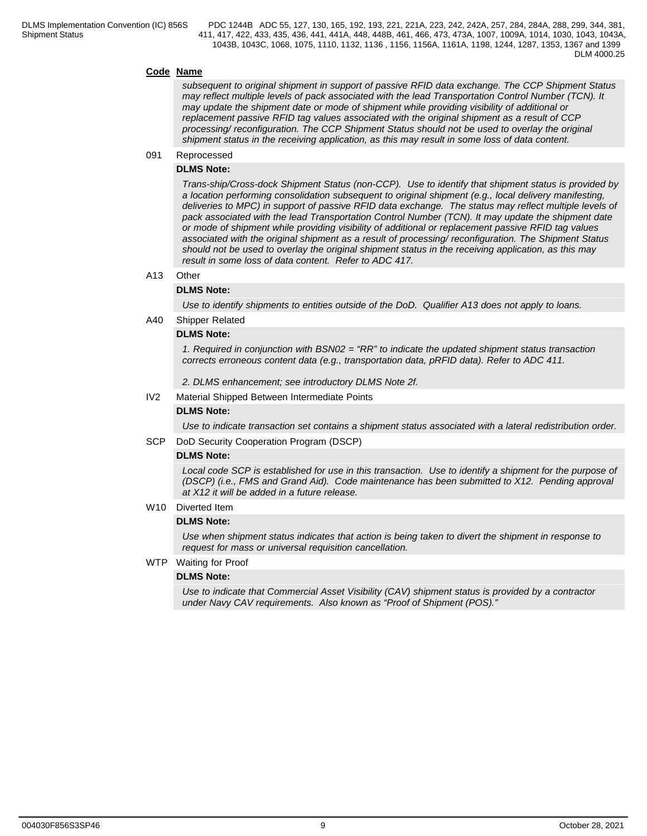#### **Code Name**

*subsequent to original shipment in support of passive RFID data exchange. The CCP Shipment Status may reflect multiple levels of pack associated with the lead Transportation Control Number (TCN). It may update the shipment date or mode of shipment while providing visibility of additional or replacement passive RFID tag values associated with the original shipment as a result of CCP processing/ reconfiguration. The CCP Shipment Status should not be used to overlay the original shipment status in the receiving application, as this may result in some loss of data content.*

### 091 Reprocessed

#### **DLMS Note:**

*Trans-ship/Cross-dock Shipment Status (non-CCP). Use to identify that shipment status is provided by a location performing consolidation subsequent to original shipment (e.g., local delivery manifesting, deliveries to MPC) in support of passive RFID data exchange. The status may reflect multiple levels of pack associated with the lead Transportation Control Number (TCN). It may update the shipment date or mode of shipment while providing visibility of additional or replacement passive RFID tag values associated with the original shipment as a result of processing/ reconfiguration. The Shipment Status should not be used to overlay the original shipment status in the receiving application, as this may result in some loss of data content. Refer to ADC 417.*

#### A13 Other

#### **DLMS Note:**

*Use to identify shipments to entities outside of the DoD. Qualifier A13 does not apply to loans.*

#### A40 Shipper Related

#### **DLMS Note:**

*1. Required in conjunction with BSN02 = "RR" to indicate the updated shipment status transaction corrects erroneous content data (e.g., transportation data, pRFID data). Refer to ADC 411.*

*2. DLMS enhancement; see introductory DLMS Note 2f.*

IV2 Material Shipped Between Intermediate Points

#### **DLMS Note:**

*Use to indicate transaction set contains a shipment status associated with a lateral redistribution order.*

SCP DoD Security Cooperation Program (DSCP)

#### **DLMS Note:**

*Local code SCP is established for use in this transaction. Use to identify a shipment for the purpose of (DSCP) (i.e., FMS and Grand Aid). Code maintenance has been submitted to X12. Pending approval at X12 it will be added in a future release.*

#### W<sub>10</sub> Diverted Item

#### **DLMS Note:**

*Use when shipment status indicates that action is being taken to divert the shipment in response to request for mass or universal requisition cancellation.*

WTP Waiting for Proof

#### **DLMS Note:**

*Use to indicate that Commercial Asset Visibility (CAV) shipment status is provided by a contractor under Navy CAV requirements. Also known as "Proof of Shipment (POS)."*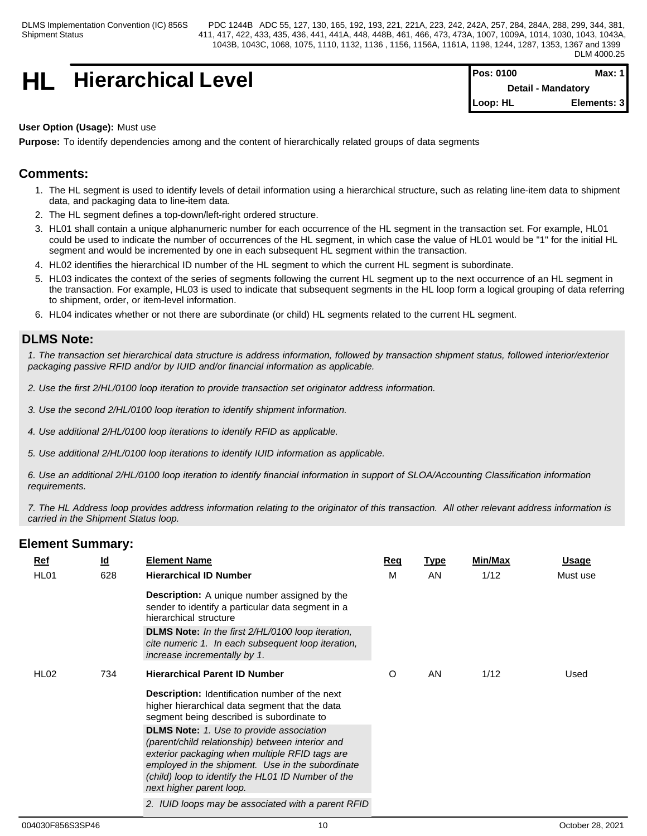# **HL** Hierarchical Level

| <b>IPos: 0100</b>         | Max: 11     |  |
|---------------------------|-------------|--|
| <b>Detail - Mandatory</b> |             |  |
| $Loop: HL$                | Elements: 3 |  |

### **User Option (Usage):** Must use

**Purpose:** To identify dependencies among and the content of hierarchically related groups of data segments

# **Comments:**

- 1. The HL segment is used to identify levels of detail information using a hierarchical structure, such as relating line-item data to shipment data, and packaging data to line-item data.
- 2. The HL segment defines a top-down/left-right ordered structure.
- 3. HL01 shall contain a unique alphanumeric number for each occurrence of the HL segment in the transaction set. For example, HL01 could be used to indicate the number of occurrences of the HL segment, in which case the value of HL01 would be "1" for the initial HL segment and would be incremented by one in each subsequent HL segment within the transaction.
- 4. HL02 identifies the hierarchical ID number of the HL segment to which the current HL segment is subordinate.
- 5. HL03 indicates the context of the series of segments following the current HL segment up to the next occurrence of an HL segment in the transaction. For example, HL03 is used to indicate that subsequent segments in the HL loop form a logical grouping of data referring to shipment, order, or item-level information.
- 6. HL04 indicates whether or not there are subordinate (or child) HL segments related to the current HL segment.

# **DLMS Note:**

*1. The transaction set hierarchical data structure is address information, followed by transaction shipment status, followed interior/exterior packaging passive RFID and/or by IUID and/or financial information as applicable.* 

- *2. Use the first 2/HL/0100 loop iteration to provide transaction set originator address information.*
- *3. Use the second 2/HL/0100 loop iteration to identify shipment information.*
- *4. Use additional 2/HL/0100 loop iterations to identify RFID as applicable.*
- *5. Use additional 2/HL/0100 loop iterations to identify IUID information as applicable.*

*6. Use an additional 2/HL/0100 loop iteration to identify financial information in support of SLOA/Accounting Classification information requirements.*

*7. The HL Address loop provides address information relating to the originator of this transaction. All other relevant address information is carried in the Shipment Status loop.*

|  | <u>Ref</u>       | $\underline{\mathsf{Id}}$ | <b>Element Name</b>                                                                                                                                                                                                                                         | <u>Req</u> | <b>Type</b> | <b>Min/Max</b> | <u>Usage</u> |
|--|------------------|---------------------------|-------------------------------------------------------------------------------------------------------------------------------------------------------------------------------------------------------------------------------------------------------------|------------|-------------|----------------|--------------|
|  | HL <sub>01</sub> | 628                       | <b>Hierarchical ID Number</b>                                                                                                                                                                                                                               | M          | AN          | 1/12           | Must use     |
|  |                  |                           | <b>Description:</b> A unique number assigned by the<br>sender to identify a particular data segment in a<br>hierarchical structure                                                                                                                          |            |             |                |              |
|  |                  |                           | <b>DLMS Note:</b> In the first 2/HL/0100 loop iteration,<br>cite numeric 1. In each subsequent loop iteration,<br>increase incrementally by 1.                                                                                                              |            |             |                |              |
|  | HL <sub>02</sub> | 734                       | <b>Hierarchical Parent ID Number</b>                                                                                                                                                                                                                        | O          | AN          | 1/12           | Used         |
|  |                  |                           | <b>Description:</b> Identification number of the next<br>higher hierarchical data segment that the data<br>segment being described is subordinate to<br><b>DLMS Note:</b> 1. Use to provide association<br>(parent/child relationship) between interior and |            |             |                |              |
|  |                  |                           | exterior packaging when multiple RFID tags are<br>employed in the shipment. Use in the subordinate<br>(child) loop to identify the HL01 ID Number of the<br>next higher parent loop.                                                                        |            |             |                |              |
|  |                  |                           | 2. IUID loops may be associated with a parent RFID                                                                                                                                                                                                          |            |             |                |              |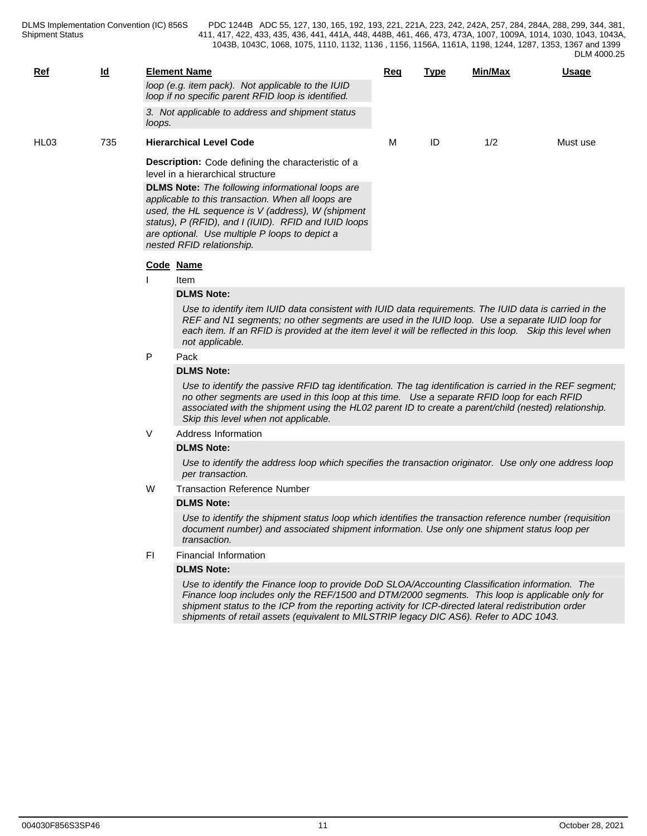| Ref              | $\underline{\mathsf{Id}}$ |        | <b>Element Name</b>                                                                                                                                                                                                                                                                                                                                                                                  | <u>Req</u> | <b>Type</b> | Min/Max | Usage    |  |  |  |
|------------------|---------------------------|--------|------------------------------------------------------------------------------------------------------------------------------------------------------------------------------------------------------------------------------------------------------------------------------------------------------------------------------------------------------------------------------------------------------|------------|-------------|---------|----------|--|--|--|
|                  |                           |        | loop (e.g. item pack). Not applicable to the IUID<br>loop if no specific parent RFID loop is identified.                                                                                                                                                                                                                                                                                             |            |             |         |          |  |  |  |
|                  |                           | loops. | 3. Not applicable to address and shipment status                                                                                                                                                                                                                                                                                                                                                     |            |             |         |          |  |  |  |
| HL <sub>03</sub> | 735                       |        | <b>Hierarchical Level Code</b>                                                                                                                                                                                                                                                                                                                                                                       | м          | ID          | 1/2     | Must use |  |  |  |
|                  |                           |        | <b>Description:</b> Code defining the characteristic of a<br>level in a hierarchical structure                                                                                                                                                                                                                                                                                                       |            |             |         |          |  |  |  |
|                  |                           |        | <b>DLMS Note:</b> The following informational loops are<br>applicable to this transaction. When all loops are<br>used, the HL sequence is V (address), W (shipment<br>status), P (RFID), and I (IUID). RFID and IUID loops<br>are optional. Use multiple P loops to depict a<br>nested RFID relationship.                                                                                            |            |             |         |          |  |  |  |
|                  |                           |        | Code Name                                                                                                                                                                                                                                                                                                                                                                                            |            |             |         |          |  |  |  |
|                  |                           |        | Item                                                                                                                                                                                                                                                                                                                                                                                                 |            |             |         |          |  |  |  |
|                  |                           |        | <b>DLMS Note:</b>                                                                                                                                                                                                                                                                                                                                                                                    |            |             |         |          |  |  |  |
|                  |                           |        | Use to identify item IUID data consistent with IUID data requirements. The IUID data is carried in the<br>REF and N1 segments; no other segments are used in the IUID loop. Use a separate IUID loop for<br>each item. If an RFID is provided at the item level it will be reflected in this loop. Skip this level when<br>not applicable.                                                           |            |             |         |          |  |  |  |
|                  |                           | P      | Pack                                                                                                                                                                                                                                                                                                                                                                                                 |            |             |         |          |  |  |  |
|                  |                           |        | <b>DLMS Note:</b>                                                                                                                                                                                                                                                                                                                                                                                    |            |             |         |          |  |  |  |
|                  |                           |        | Use to identify the passive RFID tag identification. The tag identification is carried in the REF segment;<br>no other segments are used in this loop at this time. Use a separate RFID loop for each RFID<br>associated with the shipment using the HL02 parent ID to create a parent/child (nested) relationship.<br>Skip this level when not applicable.                                          |            |             |         |          |  |  |  |
|                  |                           | V      | Address Information                                                                                                                                                                                                                                                                                                                                                                                  |            |             |         |          |  |  |  |
|                  |                           |        | <b>DLMS Note:</b>                                                                                                                                                                                                                                                                                                                                                                                    |            |             |         |          |  |  |  |
|                  |                           |        | Use to identify the address loop which specifies the transaction originator. Use only one address loop<br>per transaction.                                                                                                                                                                                                                                                                           |            |             |         |          |  |  |  |
|                  |                           | W      | <b>Transaction Reference Number</b>                                                                                                                                                                                                                                                                                                                                                                  |            |             |         |          |  |  |  |
|                  |                           |        | <b>DLMS Note:</b>                                                                                                                                                                                                                                                                                                                                                                                    |            |             |         |          |  |  |  |
|                  |                           |        | Use to identify the shipment status loop which identifies the transaction reference number (requisition<br>document number) and associated shipment information. Use only one shipment status loop per<br>transaction.                                                                                                                                                                               |            |             |         |          |  |  |  |
|                  |                           | FI.    | Financial Information                                                                                                                                                                                                                                                                                                                                                                                |            |             |         |          |  |  |  |
|                  |                           |        | <b>DLMS Note:</b>                                                                                                                                                                                                                                                                                                                                                                                    |            |             |         |          |  |  |  |
|                  |                           |        | Use to identify the Finance loop to provide DoD SLOA/Accounting Classification information. The<br>Finance loop includes only the REF/1500 and DTM/2000 segments. This loop is applicable only for<br>shipment status to the ICP from the reporting activity for ICP-directed lateral redistribution order<br>shipments of retail assets (equivalent to MILSTRIP legacy DIC AS6). Refer to ADC 1043. |            |             |         |          |  |  |  |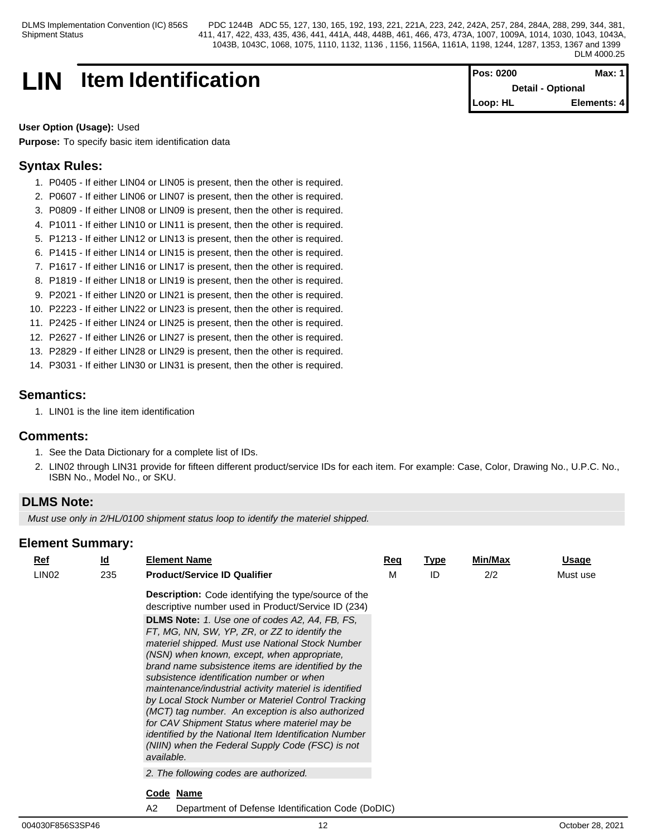# **LIN** Item Identification **Pos: 0200 Max: 1**

**Detail - Optional Loop: HL Elements: 4**

# **User Option (Usage):** Used

**Purpose:** To specify basic item identification data

# **Syntax Rules:**

- 1. P0405 If either LIN04 or LIN05 is present, then the other is required.
- 2. P0607 If either LIN06 or LIN07 is present, then the other is required.
- 3. P0809 If either LIN08 or LIN09 is present, then the other is required.
- 4. P1011 If either LIN10 or LIN11 is present, then the other is required.
- 5. P1213 If either LIN12 or LIN13 is present, then the other is required.
- 6. P1415 If either LIN14 or LIN15 is present, then the other is required.
- 7. P1617 If either LIN16 or LIN17 is present, then the other is required.
- 8. P1819 If either LIN18 or LIN19 is present, then the other is required.
- 9. P2021 If either LIN20 or LIN21 is present, then the other is required.
- 10. P2223 If either LIN22 or LIN23 is present, then the other is required.
- 11. P2425 If either LIN24 or LIN25 is present, then the other is required.
- 12. P2627 If either LIN26 or LIN27 is present, then the other is required.
- 13. P2829 If either LIN28 or LIN29 is present, then the other is required.
- 14. P3031 If either LIN30 or LIN31 is present, then the other is required.

# **Semantics:**

1. LIN01 is the line item identification

# **Comments:**

- 1. See the Data Dictionary for a complete list of IDs.
- 2. LIN02 through LIN31 provide for fifteen different product/service IDs for each item. For example: Case, Color, Drawing No., U.P.C. No., ISBN No., Model No., or SKU.

# **DLMS Note:**

*Must use only in 2/HL/0100 shipment status loop to identify the materiel shipped.*

| $Ref$             | <u>ld</u> | <b>Element Name</b>                                                                                                                                                                                                                                                                                                                                                                                                                                                                                                                                                                                                                                           | Req | <u>Type</u> | Min/Max | <u>Usage</u> |
|-------------------|-----------|---------------------------------------------------------------------------------------------------------------------------------------------------------------------------------------------------------------------------------------------------------------------------------------------------------------------------------------------------------------------------------------------------------------------------------------------------------------------------------------------------------------------------------------------------------------------------------------------------------------------------------------------------------------|-----|-------------|---------|--------------|
| LIN <sub>02</sub> | 235       | <b>Product/Service ID Qualifier</b>                                                                                                                                                                                                                                                                                                                                                                                                                                                                                                                                                                                                                           | M   | ID          | 2/2     | Must use     |
|                   |           | <b>Description:</b> Code identifying the type/source of the<br>descriptive number used in Product/Service ID (234)                                                                                                                                                                                                                                                                                                                                                                                                                                                                                                                                            |     |             |         |              |
|                   |           | <b>DLMS Note:</b> 1. Use one of codes A2, A4, FB, FS,<br>FT, MG, NN, SW, YP, ZR, or ZZ to identify the<br>materiel shipped. Must use National Stock Number<br>(NSN) when known, except, when appropriate,<br>brand name subsistence items are identified by the<br>subsistence identification number or when<br>maintenance/industrial activity materiel is identified<br>by Local Stock Number or Materiel Control Tracking<br>(MCT) tag number. An exception is also authorized<br>for CAV Shipment Status where materiel may be<br>identified by the National Item Identification Number<br>(NIIN) when the Federal Supply Code (FSC) is not<br>available. |     |             |         |              |
|                   |           | 2. The following codes are authorized.                                                                                                                                                                                                                                                                                                                                                                                                                                                                                                                                                                                                                        |     |             |         |              |
|                   |           | Code Name                                                                                                                                                                                                                                                                                                                                                                                                                                                                                                                                                                                                                                                     |     |             |         |              |
|                   |           | A2<br>Department of Defense Identification Code (DoDIC)                                                                                                                                                                                                                                                                                                                                                                                                                                                                                                                                                                                                       |     |             |         |              |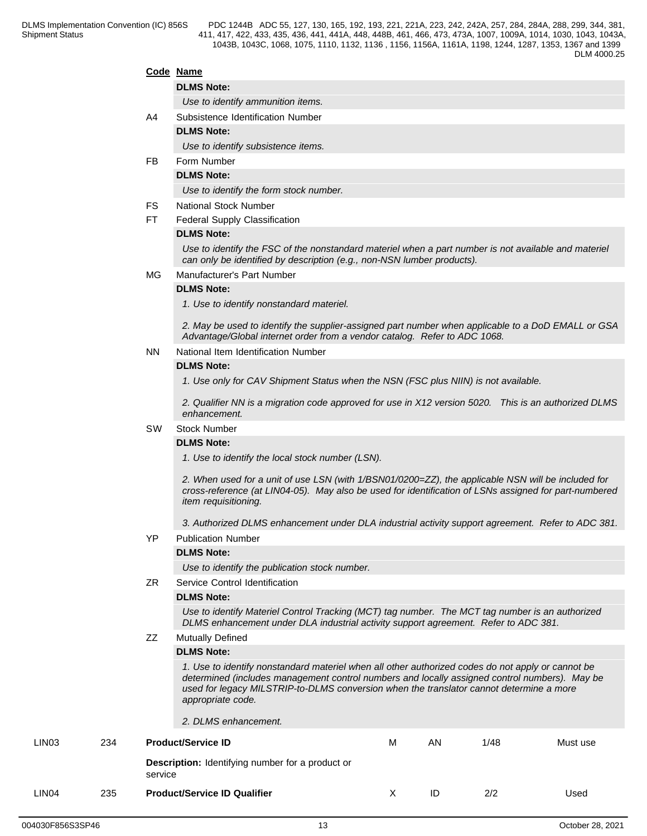# **Code Name**

# **DLMS Note:**

*Use to identify ammunition items.*

- A4 Subsistence Identification Number
	- **DLMS Note:**

*Use to identify subsistence items.*

FB Form Number

**DLMS Note:**

*Use to identify the form stock number.*

- FS National Stock Number
- FT Federal Supply Classification

### **DLMS Note:**

*Use to identify the FSC of the nonstandard materiel when a part number is not available and materiel can only be identified by description (e.g., non-NSN lumber products).*

#### MG Manufacturer's Part Number

#### **DLMS Note:**

*1. Use to identify nonstandard materiel.*

*2. May be used to identify the supplier-assigned part number when applicable to a DoD EMALL or GSA Advantage/Global internet order from a vendor catalog. Refer to ADC 1068.*

NN National Item Identification Number

#### **DLMS Note:**

*1. Use only for CAV Shipment Status when the NSN (FSC plus NIIN) is not available.* 

*2. Qualifier NN is a migration code approved for use in X12 version 5020. This is an authorized DLMS enhancement.*

#### SW Stock Number

#### **DLMS Note:**

*1. Use to identify the local stock number (LSN).* 

*2. When used for a unit of use LSN (with 1/BSN01/0200=ZZ), the applicable NSN will be included for cross-reference (at LIN04-05). May also be used for identification of LSNs assigned for part-numbered item requisitioning.*

*3. Authorized DLMS enhancement under DLA industrial activity support agreement. Refer to ADC 381.*

#### YP Publication Number

#### **DLMS Note:**

*Use to identify the publication stock number.*

ZR Service Control Identification

#### **DLMS Note:**

*Use to identify Materiel Control Tracking (MCT) tag number. The MCT tag number is an authorized DLMS enhancement under DLA industrial activity support agreement. Refer to ADC 381.*

ZZ Mutually Defined

#### **DLMS Note:**

*1. Use to identify nonstandard materiel when all other authorized codes do not apply or cannot be determined (includes management control numbers and locally assigned control numbers). May be used for legacy MILSTRIP-to-DLMS conversion when the translator cannot determine a more appropriate code.* 

|                   |     | 2. DLMS enhancement.                                               |   |    |      |          |
|-------------------|-----|--------------------------------------------------------------------|---|----|------|----------|
| LIN <sub>03</sub> | 234 | <b>Product/Service ID</b>                                          | М | AN | 1/48 | Must use |
|                   |     | <b>Description:</b> Identifying number for a product or<br>service |   |    |      |          |
| LIN <sub>04</sub> | 235 | <b>Product/Service ID Qualifier</b>                                |   | ID | 2/2  | Used     |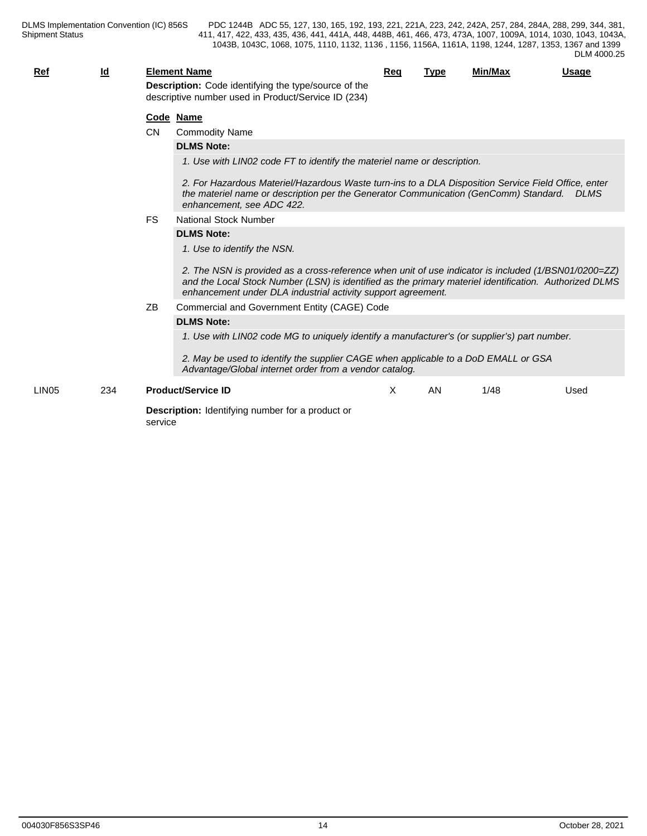| Ref               | <u>ld</u> |           | <b>Element Name</b><br>Description: Code identifying the type/source of the                                                                                                                                                                                                    | <u>Req</u> | <b>Type</b> | Min/Max | <u>Usage</u> |  |  |  |  |  |
|-------------------|-----------|-----------|--------------------------------------------------------------------------------------------------------------------------------------------------------------------------------------------------------------------------------------------------------------------------------|------------|-------------|---------|--------------|--|--|--|--|--|
|                   |           |           | descriptive number used in Product/Service ID (234)                                                                                                                                                                                                                            |            |             |         |              |  |  |  |  |  |
|                   |           |           | Code Name                                                                                                                                                                                                                                                                      |            |             |         |              |  |  |  |  |  |
|                   |           | <b>CN</b> | <b>Commodity Name</b>                                                                                                                                                                                                                                                          |            |             |         |              |  |  |  |  |  |
|                   |           |           | <b>DLMS Note:</b>                                                                                                                                                                                                                                                              |            |             |         |              |  |  |  |  |  |
|                   |           |           | 1. Use with LIN02 code FT to identify the materiel name or description.                                                                                                                                                                                                        |            |             |         |              |  |  |  |  |  |
|                   |           |           | 2. For Hazardous Materiel/Hazardous Waste turn-ins to a DLA Disposition Service Field Office, enter<br>the materiel name or description per the Generator Communication (GenComm) Standard.<br>enhancement. see ADC 422.                                                       |            |             |         | <b>DLMS</b>  |  |  |  |  |  |
|                   |           | <b>FS</b> | National Stock Number                                                                                                                                                                                                                                                          |            |             |         |              |  |  |  |  |  |
|                   |           |           | <b>DLMS Note:</b>                                                                                                                                                                                                                                                              |            |             |         |              |  |  |  |  |  |
|                   |           |           | 1. Use to identify the NSN.                                                                                                                                                                                                                                                    |            |             |         |              |  |  |  |  |  |
|                   |           |           | 2. The NSN is provided as a cross-reference when unit of use indicator is included (1/BSN01/0200=ZZ)<br>and the Local Stock Number (LSN) is identified as the primary materiel identification. Authorized DLMS<br>enhancement under DLA industrial activity support agreement. |            |             |         |              |  |  |  |  |  |
|                   |           | ZB        | Commercial and Government Entity (CAGE) Code                                                                                                                                                                                                                                   |            |             |         |              |  |  |  |  |  |
|                   |           |           | <b>DLMS Note:</b>                                                                                                                                                                                                                                                              |            |             |         |              |  |  |  |  |  |
|                   |           |           | 1. Use with LIN02 code MG to uniquely identify a manufacturer's (or supplier's) part number.                                                                                                                                                                                   |            |             |         |              |  |  |  |  |  |
|                   |           |           | 2. May be used to identify the supplier CAGE when applicable to a DoD EMALL or GSA<br>Advantage/Global internet order from a vendor catalog.                                                                                                                                   |            |             |         |              |  |  |  |  |  |
| LIN <sub>05</sub> | 234       |           | <b>Product/Service ID</b>                                                                                                                                                                                                                                                      | X          | <b>AN</b>   | 1/48    | Used         |  |  |  |  |  |
|                   |           | service   | <b>Description:</b> Identifying number for a product or                                                                                                                                                                                                                        |            |             |         |              |  |  |  |  |  |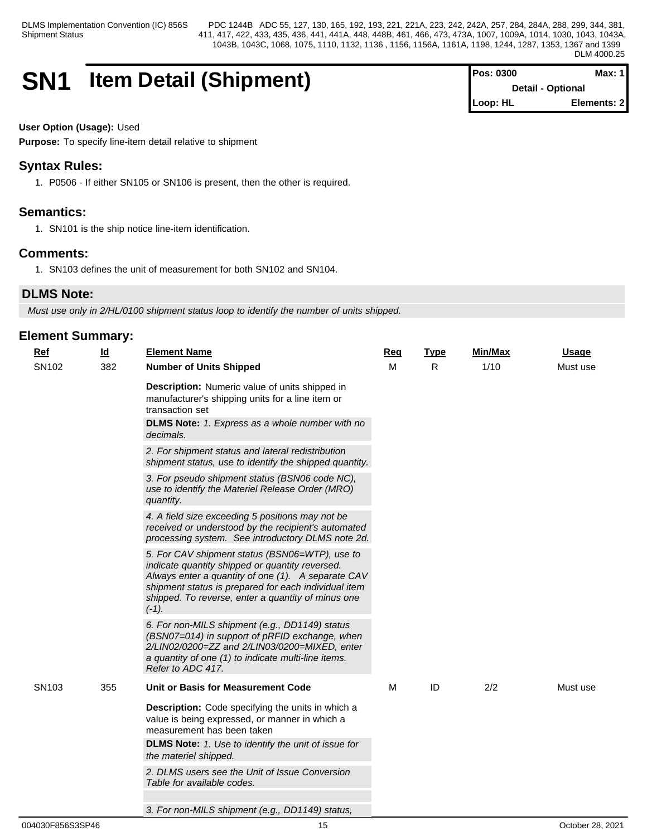# **SN1 Item Detail (Shipment)**

| <b>IPos: 0300</b>         | Max: 1      |
|---------------------------|-------------|
| <b>Detail - Optional</b>  |             |
| $\blacksquare$ Loop: $HL$ | Elements: 2 |

### **User Option (Usage):** Used

**Purpose:** To specify line-item detail relative to shipment

# **Syntax Rules:**

1. P0506 - If either SN105 or SN106 is present, then the other is required.

# **Semantics:**

1. SN101 is the ship notice line-item identification.

# **Comments:**

1. SN103 defines the unit of measurement for both SN102 and SN104.

# **DLMS Note:**

*Must use only in 2/HL/0100 shipment status loop to identify the number of units shipped.*

| <b>Ref</b>        | $\underline{\mathsf{Id}}$ | <b>Element Name</b>                                                                                                                                                                                                                                                               | Req | <b>Type</b> | Min/Max | <b>Usage</b> |
|-------------------|---------------------------|-----------------------------------------------------------------------------------------------------------------------------------------------------------------------------------------------------------------------------------------------------------------------------------|-----|-------------|---------|--------------|
| SN102             | 382                       | <b>Number of Units Shipped</b>                                                                                                                                                                                                                                                    | M   | R.          | 1/10    | Must use     |
|                   |                           | Description: Numeric value of units shipped in<br>manufacturer's shipping units for a line item or<br>transaction set                                                                                                                                                             |     |             |         |              |
|                   |                           | DLMS Note: 1. Express as a whole number with no<br>decimals.                                                                                                                                                                                                                      |     |             |         |              |
|                   |                           | 2. For shipment status and lateral redistribution<br>shipment status, use to identify the shipped quantity.                                                                                                                                                                       |     |             |         |              |
|                   |                           | 3. For pseudo shipment status (BSN06 code NC),<br>use to identify the Materiel Release Order (MRO)<br>quantity.                                                                                                                                                                   |     |             |         |              |
|                   |                           | 4. A field size exceeding 5 positions may not be<br>received or understood by the recipient's automated<br>processing system. See introductory DLMS note 2d.                                                                                                                      |     |             |         |              |
|                   |                           | 5. For CAV shipment status (BSN06=WTP), use to<br>indicate quantity shipped or quantity reversed.<br>Always enter a quantity of one (1). A separate CAV<br>shipment status is prepared for each individual item<br>shipped. To reverse, enter a quantity of minus one<br>$(-1)$ . |     |             |         |              |
|                   |                           | 6. For non-MILS shipment (e.g., DD1149) status<br>(BSN07=014) in support of pRFID exchange, when<br>2/LIN02/0200=ZZ and 2/LIN03/0200=MIXED, enter<br>a quantity of one (1) to indicate multi-line items.<br>Refer to ADC 417.                                                     |     |             |         |              |
| SN <sub>103</sub> | 355                       | Unit or Basis for Measurement Code                                                                                                                                                                                                                                                | M   | ID          | 2/2     | Must use     |
|                   |                           | <b>Description:</b> Code specifying the units in which a<br>value is being expressed, or manner in which a<br>measurement has been taken                                                                                                                                          |     |             |         |              |
|                   |                           | <b>DLMS Note:</b> 1. Use to identify the unit of issue for<br>the materiel shipped.                                                                                                                                                                                               |     |             |         |              |
|                   |                           | 2. DLMS users see the Unit of Issue Conversion<br>Table for available codes.                                                                                                                                                                                                      |     |             |         |              |
|                   |                           | 3. For non-MILS shipment (e.g., DD1149) status,                                                                                                                                                                                                                                   |     |             |         |              |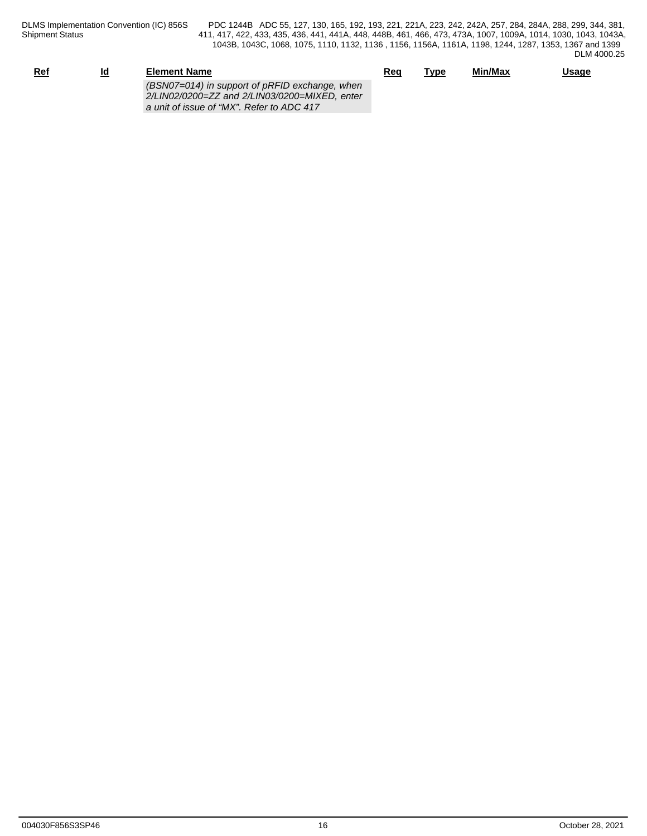| <u>Ref</u> | Id<br>-- | <b>Element Name</b>                                                                                                                          | Req | Type | Min/Max | <u>Usage</u> |
|------------|----------|----------------------------------------------------------------------------------------------------------------------------------------------|-----|------|---------|--------------|
|            |          | (BSN07=014) in support of pRFID exchange, when<br>2/LIN02/0200=ZZ and 2/LIN03/0200=MIXED, enter<br>a unit of issue of "MX". Refer to ADC 417 |     |      |         |              |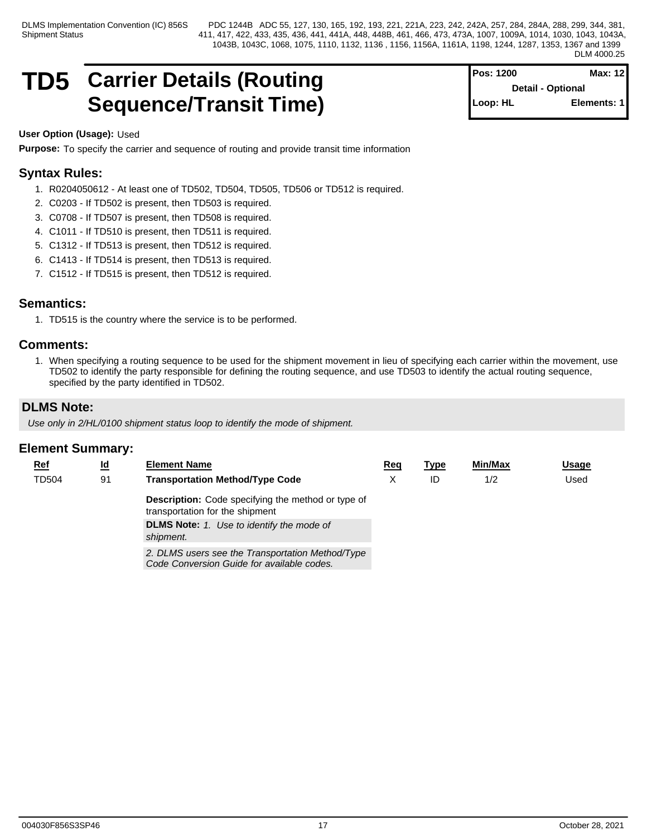# **TD5** Carrier Details (Routing For Setail optional Retail optional Max: 12 Sequence/Transit Time) **Sequence/Transit Time**

**Pos: 1200 Max: 12 Detail - Optional Elements: 1** 

### **User Option (Usage):** Used

**Purpose:** To specify the carrier and sequence of routing and provide transit time information

# **Syntax Rules:**

- 1. R0204050612 At least one of TD502, TD504, TD505, TD506 or TD512 is required.
- 2. C0203 If TD502 is present, then TD503 is required.
- 3. C0708 If TD507 is present, then TD508 is required.
- 4. C1011 If TD510 is present, then TD511 is required.
- 5. C1312 If TD513 is present, then TD512 is required.
- 6. C1413 If TD514 is present, then TD513 is required.
- 7. C1512 If TD515 is present, then TD512 is required.

# **Semantics:**

1. TD515 is the country where the service is to be performed.

# **Comments:**

1. When specifying a routing sequence to be used for the shipment movement in lieu of specifying each carrier within the movement, use TD502 to identify the party responsible for defining the routing sequence, and use TD503 to identify the actual routing sequence, specified by the party identified in TD502.

# **DLMS Note:**

*Use only in 2/HL/0100 shipment status loop to identify the mode of shipment.*

| <b>Ref</b>   | <u>ld</u> | <b>Element Name</b>                                                                            | Req | <u>Type</u> | <b>Min/Max</b> | <u>Usage</u> |
|--------------|-----------|------------------------------------------------------------------------------------------------|-----|-------------|----------------|--------------|
| <b>TD504</b> | 91        | <b>Transportation Method/Type Code</b>                                                         |     | ID          | 1/2            | Used         |
|              |           | <b>Description:</b> Code specifying the method or type of<br>transportation for the shipment   |     |             |                |              |
|              |           | <b>DLMS Note:</b> 1. Use to identify the mode of<br>shipment.                                  |     |             |                |              |
|              |           | 2. DLMS users see the Transportation Method/Type<br>Code Conversion Guide for available codes. |     |             |                |              |
|              |           |                                                                                                |     |             |                |              |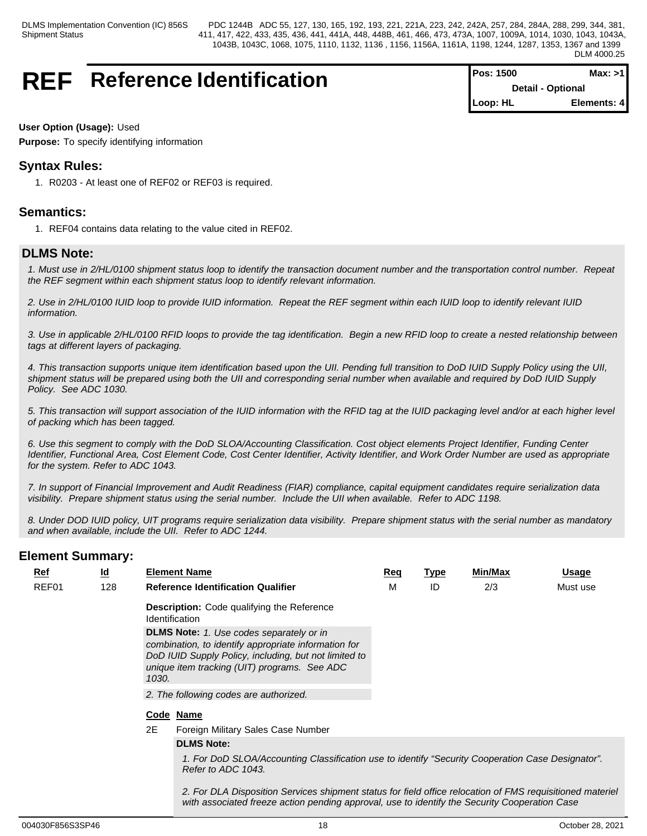# **REF** Reference Identification

| lPos: 1500 | Max: >1                  |
|------------|--------------------------|
|            | <b>Detail - Optional</b> |
| Loop: HL   | Elements: 4              |

### **User Option (Usage):** Used

**Purpose:** To specify identifying information

# **Syntax Rules:**

1. R0203 - At least one of REF02 or REF03 is required.

# **Semantics:**

1. REF04 contains data relating to the value cited in REF02.

# **DLMS Note:**

*1. Must use in 2/HL/0100 shipment status loop to identify the transaction document number and the transportation control number. Repeat the REF segment within each shipment status loop to identify relevant information.*

*2. Use in 2/HL/0100 IUID loop to provide IUID information. Repeat the REF segment within each IUID loop to identify relevant IUID information.*

*3. Use in applicable 2/HL/0100 RFID loops to provide the tag identification. Begin a new RFID loop to create a nested relationship between tags at different layers of packaging.*

*4. This transaction supports unique item identification based upon the UII. Pending full transition to DoD IUID Supply Policy using the UII, shipment status will be prepared using both the UII and corresponding serial number when available and required by DoD IUID Supply Policy. See ADC 1030.*

*5. This transaction will support association of the IUID information with the RFID tag at the IUID packaging level and/or at each higher level of packing which has been tagged.*

*6. Use this segment to comply with the DoD SLOA/Accounting Classification. Cost object elements Project Identifier, Funding Center Identifier, Functional Area, Cost Element Code, Cost Center Identifier, Activity Identifier, and Work Order Number are used as appropriate for the system. Refer to ADC 1043.*

*7. In support of Financial Improvement and Audit Readiness (FIAR) compliance, capital equipment candidates require serialization data visibility. Prepare shipment status using the serial number. Include the UII when available. Refer to ADC 1198.*

*8. Under DOD IUID policy, UIT programs require serialization data visibility. Prepare shipment status with the serial number as mandatory and when available, include the UII. Refer to ADC 1244.*

# **Element Summary:**

| $Ref$ | <u>ld</u> |       | <b>Element Name</b>                                                                                                                                                                                              | Req | Type | Min/Max | Usage    |  |
|-------|-----------|-------|------------------------------------------------------------------------------------------------------------------------------------------------------------------------------------------------------------------|-----|------|---------|----------|--|
| REF01 | 128       |       | <b>Reference Identification Qualifier</b>                                                                                                                                                                        | м   | ID   | 2/3     | Must use |  |
|       |           |       | <b>Description:</b> Code qualifying the Reference<br><b>Identification</b>                                                                                                                                       |     |      |         |          |  |
|       |           | 1030. | <b>DLMS Note:</b> 1. Use codes separately or in<br>combination, to identify appropriate information for<br>DoD IUID Supply Policy, including, but not limited to<br>unique item tracking (UIT) programs. See ADC |     |      |         |          |  |
|       |           |       | 2. The following codes are authorized.                                                                                                                                                                           |     |      |         |          |  |
|       |           |       | Code Name                                                                                                                                                                                                        |     |      |         |          |  |
|       |           | 2E    | Foreign Military Sales Case Number                                                                                                                                                                               |     |      |         |          |  |
|       |           |       | <b>DLMS Note:</b>                                                                                                                                                                                                |     |      |         |          |  |
|       |           |       | 1. For DoD SLOA/Accounting Classification use to identify "Security Cooperation Case Designator".<br>Refer to ADC 1043.                                                                                          |     |      |         |          |  |
|       |           |       | 2. For DLA Disposition Services shipment status for field office relocation of FMS requisitioned materiel                                                                                                        |     |      |         |          |  |

*with associated freeze action pending approval, use to identify the Security Cooperation Case*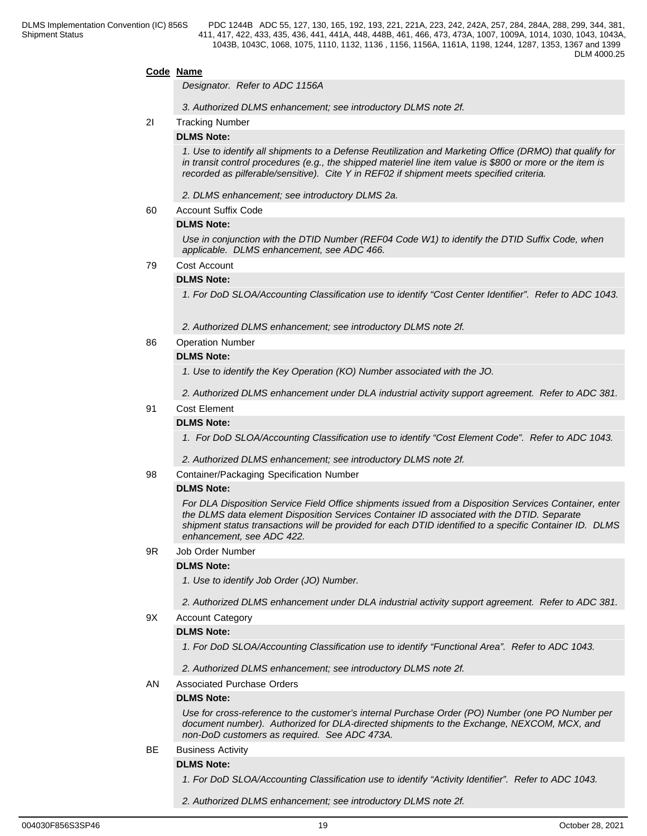#### **Code Name**

*Designator. Refer to ADC 1156A*

*3. Authorized DLMS enhancement; see introductory DLMS note 2f.*

#### 2I Tracking Number

#### **DLMS Note:**

*1. Use to identify all shipments to a Defense Reutilization and Marketing Office (DRMO) that qualify for in transit control procedures (e.g., the shipped materiel line item value is \$800 or more or the item is recorded as pilferable/sensitive). Cite Y in REF02 if shipment meets specified criteria.*

*2. DLMS enhancement; see introductory DLMS 2a.*

60 Account Suffix Code

#### **DLMS Note:**

*Use in conjunction with the DTID Number (REF04 Code W1) to identify the DTID Suffix Code, when applicable. DLMS enhancement, see ADC 466.*

#### 79 Cost Account

#### **DLMS Note:**

*1. For DoD SLOA/Accounting Classification use to identify "Cost Center Identifier". Refer to ADC 1043.* 

*2. Authorized DLMS enhancement; see introductory DLMS note 2f.*

86 Operation Number

#### **DLMS Note:**

*1. Use to identify the Key Operation (KO) Number associated with the JO.* 

*2. Authorized DLMS enhancement under DLA industrial activity support agreement. Refer to ADC 381.*

#### 91 Cost Element

#### **DLMS Note:**

*1. For DoD SLOA/Accounting Classification use to identify "Cost Element Code". Refer to ADC 1043.* 

*2. Authorized DLMS enhancement; see introductory DLMS note 2f.*

#### 98 Container/Packaging Specification Number

#### **DLMS Note:**

*For DLA Disposition Service Field Office shipments issued from a Disposition Services Container, enter the DLMS data element Disposition Services Container ID associated with the DTID. Separate shipment status transactions will be provided for each DTID identified to a specific Container ID. DLMS enhancement, see ADC 422.*

#### 9R Job Order Number

#### **DLMS Note:**

*1. Use to identify Job Order (JO) Number.* 

*2. Authorized DLMS enhancement under DLA industrial activity support agreement. Refer to ADC 381.*

#### 9X Account Category

#### **DLMS Note:**

*1. For DoD SLOA/Accounting Classification use to identify "Functional Area". Refer to ADC 1043.* 

*2. Authorized DLMS enhancement; see introductory DLMS note 2f.*

#### AN Associated Purchase Orders

#### **DLMS Note:**

*Use for cross-reference to the customer's internal Purchase Order (PO) Number (one PO Number per document number). Authorized for DLA-directed shipments to the Exchange, NEXCOM, MCX, and non-DoD customers as required. See ADC 473A.*

#### BE Business Activity

### **DLMS Note:**

*1. For DoD SLOA/Accounting Classification use to identify "Activity Identifier". Refer to ADC 1043.* 

*2. Authorized DLMS enhancement; see introductory DLMS note 2f.*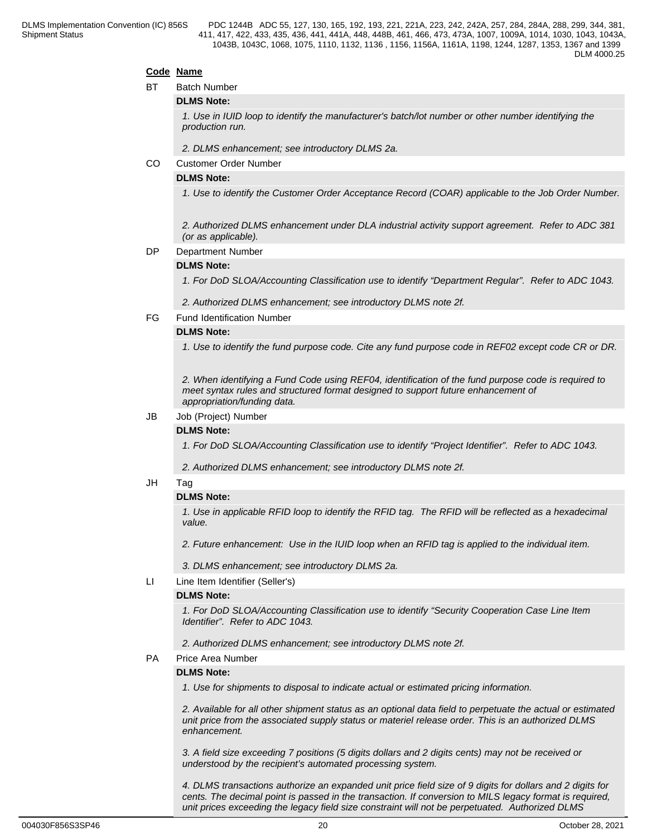#### **Code Name**

BT Batch Number

#### **DLMS Note:**

*1. Use in IUID loop to identify the manufacturer's batch/lot number or other number identifying the production run.*

*2. DLMS enhancement; see introductory DLMS 2a.*

CO Customer Order Number

#### **DLMS Note:**

*1. Use to identify the Customer Order Acceptance Record (COAR) applicable to the Job Order Number.*

*2. Authorized DLMS enhancement under DLA industrial activity support agreement. Refer to ADC 381 (or as applicable).*

#### DP Department Number

#### **DLMS Note:**

*1. For DoD SLOA/Accounting Classification use to identify "Department Regular". Refer to ADC 1043.*

*2. Authorized DLMS enhancement; see introductory DLMS note 2f.*

FG Fund Identification Number

#### **DLMS Note:**

*1. Use to identify the fund purpose code. Cite any fund purpose code in REF02 except code CR or DR.* 

*2. When identifying a Fund Code using REF04, identification of the fund purpose code is required to meet syntax rules and structured format designed to support future enhancement of appropriation/funding data.* 

#### JB Job (Project) Number

#### **DLMS Note:**

*1. For DoD SLOA/Accounting Classification use to identify "Project Identifier". Refer to ADC 1043.*

*2. Authorized DLMS enhancement; see introductory DLMS note 2f.*

#### JH Tag

#### **DLMS Note:**

*1. Use in applicable RFID loop to identify the RFID tag. The RFID will be reflected as a hexadecimal value.*

*2. Future enhancement: Use in the IUID loop when an RFID tag is applied to the individual item.* 

*3. DLMS enhancement; see introductory DLMS 2a.*

LI Line Item Identifier (Seller's)

#### **DLMS Note:**

*1. For DoD SLOA/Accounting Classification use to identify "Security Cooperation Case Line Item Identifier". Refer to ADC 1043.* 

*2. Authorized DLMS enhancement; see introductory DLMS note 2f.*

#### PA Price Area Number

#### **DLMS Note:**

*1. Use for shipments to disposal to indicate actual or estimated pricing information.*

*2. Available for all other shipment status as an optional data field to perpetuate the actual or estimated unit price from the associated supply status or materiel release order. This is an authorized DLMS enhancement.*

*3. A field size exceeding 7 positions (5 digits dollars and 2 digits cents) may not be received or understood by the recipient's automated processing system.*

*4. DLMS transactions authorize an expanded unit price field size of 9 digits for dollars and 2 digits for cents. The decimal point is passed in the transaction. If conversion to MILS legacy format is required, unit prices exceeding the legacy field size constraint will not be perpetuated. Authorized DLMS*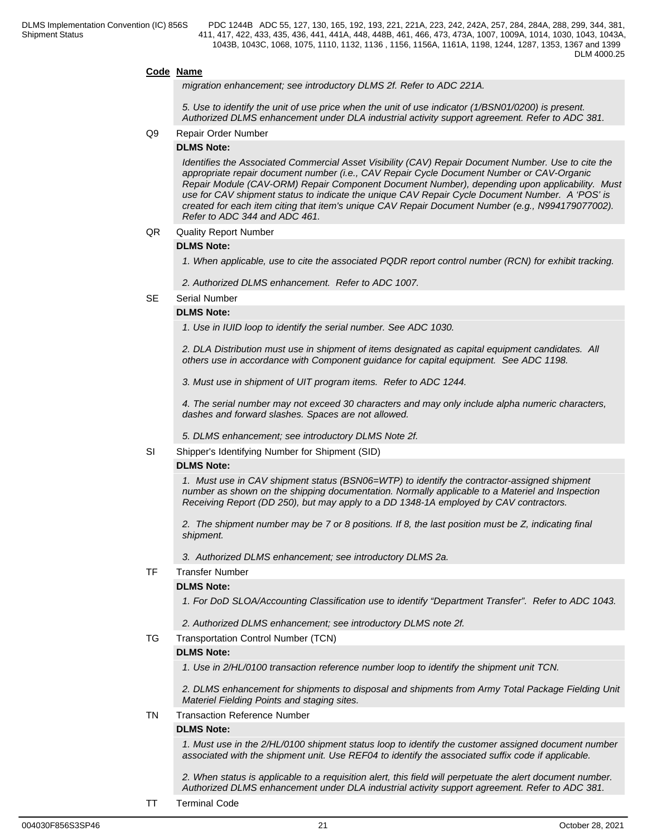#### **Code Name**

*migration enhancement; see introductory DLMS 2f. Refer to ADC 221A.*

*5. Use to identify the unit of use price when the unit of use indicator (1/BSN01/0200) is present. Authorized DLMS enhancement under DLA industrial activity support agreement. Refer to ADC 381.*

#### Q9 Repair Order Number

#### **DLMS Note:**

*Identifies the Associated Commercial Asset Visibility (CAV) Repair Document Number. Use to cite the appropriate repair document number (i.e., CAV Repair Cycle Document Number or CAV-Organic Repair Module (CAV-ORM) Repair Component Document Number), depending upon applicability. Must use for CAV shipment status to indicate the unique CAV Repair Cycle Document Number. A 'POS' is created for each item citing that item's unique CAV Repair Document Number (e.g., N994179077002). Refer to ADC 344 and ADC 461.*

#### QR Quality Report Number

#### **DLMS Note:**

*1. When applicable, use to cite the associated PQDR report control number (RCN) for exhibit tracking.*

*2. Authorized DLMS enhancement. Refer to ADC 1007.*

SE Serial Number

#### **DLMS Note:**

*1. Use in IUID loop to identify the serial number. See ADC 1030.*

*2. DLA Distribution must use in shipment of items designated as capital equipment candidates. All others use in accordance with Component guidance for capital equipment. See ADC 1198.*

*3. Must use in shipment of UIT program items. Refer to ADC 1244.*

*4. The serial number may not exceed 30 characters and may only include alpha numeric characters, dashes and forward slashes. Spaces are not allowed.* 

*5. DLMS enhancement; see introductory DLMS Note 2f.*

SI Shipper's Identifying Number for Shipment (SID)

#### **DLMS Note:**

*1. Must use in CAV shipment status (BSN06=WTP) to identify the contractor-assigned shipment number as shown on the shipping documentation. Normally applicable to a Materiel and Inspection Receiving Report (DD 250), but may apply to a DD 1348-1A employed by CAV contractors.*

*2. The shipment number may be 7 or 8 positions. If 8, the last position must be Z, indicating final shipment.*

*3. Authorized DLMS enhancement; see introductory DLMS 2a.*

#### TF Transfer Number

#### **DLMS Note:**

*1. For DoD SLOA/Accounting Classification use to identify "Department Transfer". Refer to ADC 1043.*

*2. Authorized DLMS enhancement; see introductory DLMS note 2f.*

#### TG Transportation Control Number (TCN)

#### **DLMS Note:**

*1. Use in 2/HL/0100 transaction reference number loop to identify the shipment unit TCN.*

*2. DLMS enhancement for shipments to disposal and shipments from Army Total Package Fielding Unit Materiel Fielding Points and staging sites.*

TN Transaction Reference Number

#### **DLMS Note:**

*1. Must use in the 2/HL/0100 shipment status loop to identify the customer assigned document number associated with the shipment unit. Use REF04 to identify the associated suffix code if applicable.*

*2. When status is applicable to a requisition alert, this field will perpetuate the alert document number. Authorized DLMS enhancement under DLA industrial activity support agreement. Refer to ADC 381.*

TT Terminal Code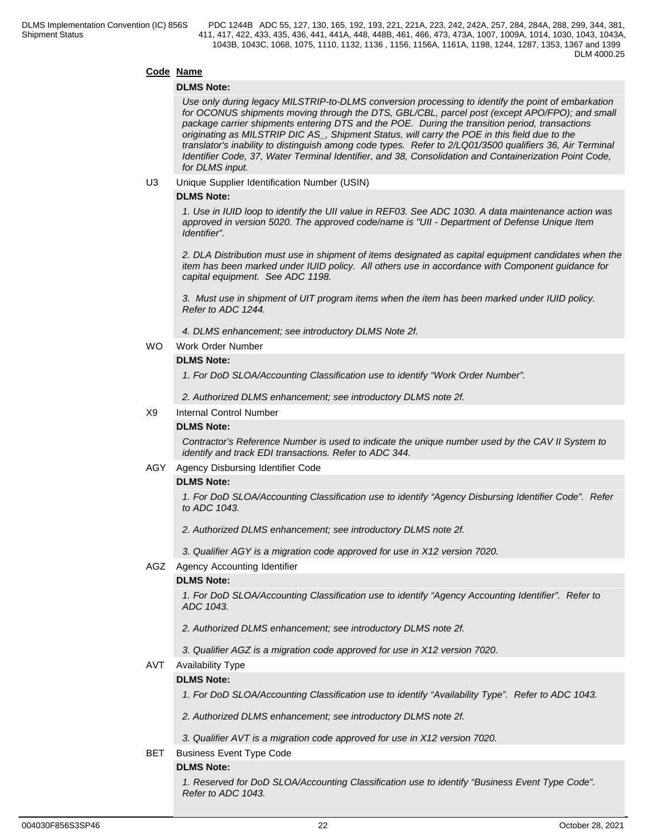#### **Code Name**

#### **DLMS Note:**

*Use only during legacy MILSTRIP-to-DLMS conversion processing to identify the point of embarkation for OCONUS shipments moving through the DTS, GBL/CBL, parcel post (except APO/FPO); and small package carrier shipments entering DTS and the POE. During the transition period, transactions originating as MILSTRIP DIC AS\_, Shipment Status, will carry the POE in this field due to the translator's inability to distinguish among code types. Refer to 2/LQ01/3500 qualifiers 36, Air Terminal Identifier Code, 37, Water Terminal Identifier, and 38, Consolidation and Containerization Point Code, for DLMS input.* 

#### U3 Unique Supplier Identification Number (USIN)

#### **DLMS Note:**

*1. Use in IUID loop to identify the UII value in REF03. See ADC 1030. A data maintenance action was approved in version 5020. The approved code/name is "UII - Department of Defense Unique Item Identifier".*

*2. DLA Distribution must use in shipment of items designated as capital equipment candidates when the item has been marked under IUID policy. All others use in accordance with Component guidance for capital equipment. See ADC 1198.*

*3. Must use in shipment of UIT program items when the item has been marked under IUID policy. Refer to ADC 1244.*

*4. DLMS enhancement; see introductory DLMS Note 2f.*

#### WO Work Order Number

#### **DLMS Note:**

*1. For DoD SLOA/Accounting Classification use to identify "Work Order Number".*

*2. Authorized DLMS enhancement; see introductory DLMS note 2f.*

#### X9 Internal Control Number

#### **DLMS Note:**

*Contractor's Reference Number is used to indicate the unique number used by the CAV II System to identify and track EDI transactions. Refer to ADC 344.* 

#### AGY Agency Disbursing Identifier Code

#### **DLMS Note:**

*1. For DoD SLOA/Accounting Classification use to identify "Agency Disbursing Identifier Code". Refer to ADC 1043.*

*2. Authorized DLMS enhancement; see introductory DLMS note 2f.*

*3. Qualifier AGY is a migration code approved for use in X12 version 7020.*

#### AGZ Agency Accounting Identifier

#### **DLMS Note:**

*1. For DoD SLOA/Accounting Classification use to identify "Agency Accounting Identifier". Refer to ADC 1043.*

*2. Authorized DLMS enhancement; see introductory DLMS note 2f.*

*3. Qualifier AGZ is a migration code approved for use in X12 version 7020.*

AVT Availability Type

#### **DLMS Note:**

*1. For DoD SLOA/Accounting Classification use to identify "Availability Type". Refer to ADC 1043.*

*2. Authorized DLMS enhancement; see introductory DLMS note 2f.*

*3. Qualifier AVT is a migration code approved for use in X12 version 7020.*

BET Business Event Type Code

#### **DLMS Note:**

*1. Reserved for DoD SLOA/Accounting Classification use to identify "Business Event Type Code". Refer to ADC 1043.*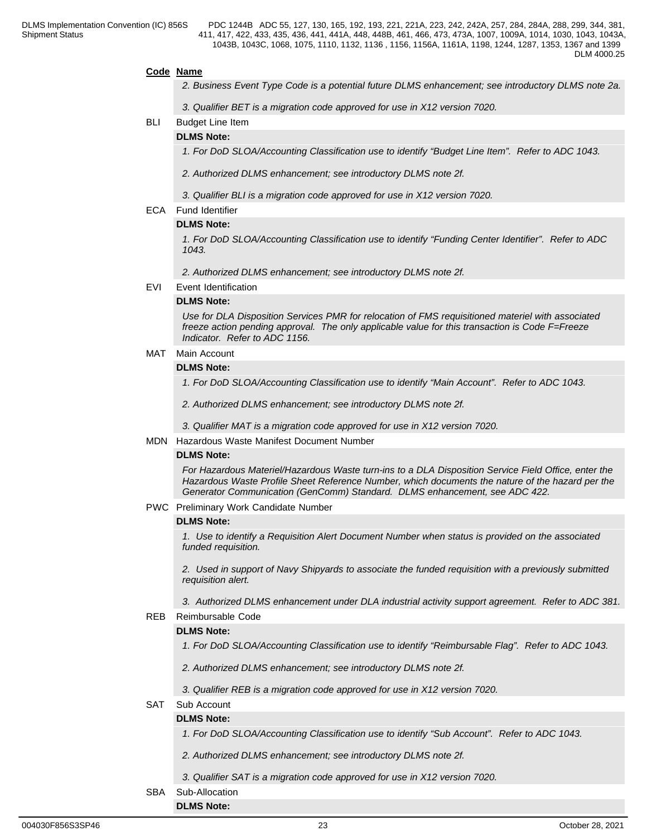#### **Code Name**

- *2. Business Event Type Code is a potential future DLMS enhancement; see introductory DLMS note 2a.*
- *3. Qualifier BET is a migration code approved for use in X12 version 7020.*
- BLI Budget Line Item

# **DLMS Note:**

*1. For DoD SLOA/Accounting Classification use to identify "Budget Line Item". Refer to ADC 1043.*

- *2. Authorized DLMS enhancement; see introductory DLMS note 2f.*
- *3. Qualifier BLI is a migration code approved for use in X12 version 7020.*

#### ECA Fund Identifier

#### **DLMS Note:**

*1. For DoD SLOA/Accounting Classification use to identify "Funding Center Identifier". Refer to ADC 1043.* 

*2. Authorized DLMS enhancement; see introductory DLMS note 2f.*

EVI Event Identification

### **DLMS Note:**

*Use for DLA Disposition Services PMR for relocation of FMS requisitioned materiel with associated freeze action pending approval. The only applicable value for this transaction is Code F=Freeze Indicator. Refer to ADC 1156.*

#### MAT Main Account

**DLMS Note:**

*1. For DoD SLOA/Accounting Classification use to identify "Main Account". Refer to ADC 1043.*

*2. Authorized DLMS enhancement; see introductory DLMS note 2f.*

*3. Qualifier MAT is a migration code approved for use in X12 version 7020.*

#### MDN Hazardous Waste Manifest Document Number

#### **DLMS Note:**

*For Hazardous Materiel/Hazardous Waste turn-ins to a DLA Disposition Service Field Office, enter the Hazardous Waste Profile Sheet Reference Number, which documents the nature of the hazard per the Generator Communication (GenComm) Standard. DLMS enhancement, see ADC 422.*

PWC Preliminary Work Candidate Number

#### **DLMS Note:**

*1. Use to identify a Requisition Alert Document Number when status is provided on the associated funded requisition.* 

*2. Used in support of Navy Shipyards to associate the funded requisition with a previously submitted requisition alert.* 

*3. Authorized DLMS enhancement under DLA industrial activity support agreement. Refer to ADC 381.*

#### REB Reimbursable Code

#### **DLMS Note:**

*1. For DoD SLOA/Accounting Classification use to identify "Reimbursable Flag". Refer to ADC 1043.*

*2. Authorized DLMS enhancement; see introductory DLMS note 2f.*

*3. Qualifier REB is a migration code approved for use in X12 version 7020.*

#### SAT Sub Account

#### **DLMS Note:**

*1. For DoD SLOA/Accounting Classification use to identify "Sub Account". Refer to ADC 1043.*

- *2. Authorized DLMS enhancement; see introductory DLMS note 2f.*
- *3. Qualifier SAT is a migration code approved for use in X12 version 7020.*
- SBA Sub-Allocation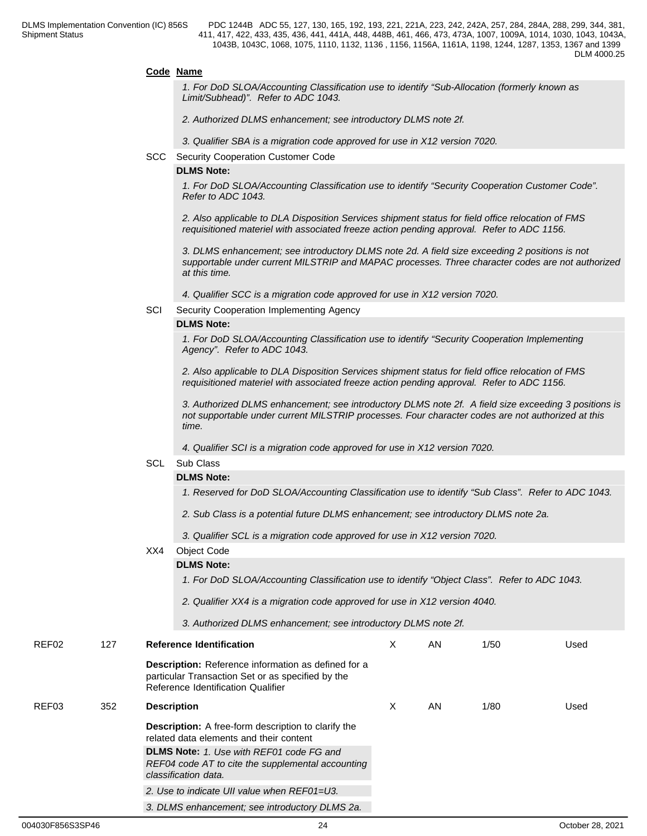#### **Code Name**

*1. For DoD SLOA/Accounting Classification use to identify "Sub-Allocation (formerly known as Limit/Subhead)". Refer to ADC 1043.*

*2. Authorized DLMS enhancement; see introductory DLMS note 2f.*

*3. Qualifier SBA is a migration code approved for use in X12 version 7020.*

SCC Security Cooperation Customer Code

#### **DLMS Note:**

*1. For DoD SLOA/Accounting Classification use to identify "Security Cooperation Customer Code". Refer to ADC 1043.*

*2. Also applicable to DLA Disposition Services shipment status for field office relocation of FMS requisitioned materiel with associated freeze action pending approval. Refer to ADC 1156.*

*3. DLMS enhancement; see introductory DLMS note 2d. A field size exceeding 2 positions is not supportable under current MILSTRIP and MAPAC processes. Three character codes are not authorized at this time.*

- *4. Qualifier SCC is a migration code approved for use in X12 version 7020.*
- SCI Security Cooperation Implementing Agency

#### **DLMS Note:**

*1. For DoD SLOA/Accounting Classification use to identify "Security Cooperation Implementing Agency". Refer to ADC 1043.*

*2. Also applicable to DLA Disposition Services shipment status for field office relocation of FMS requisitioned materiel with associated freeze action pending approval. Refer to ADC 1156.*

*3. Authorized DLMS enhancement; see introductory DLMS note 2f. A field size exceeding 3 positions is not supportable under current MILSTRIP processes. Four character codes are not authorized at this time.*

*4. Qualifier SCI is a migration code approved for use in X12 version 7020.*

#### SCL Sub Class

### **DLMS Note:**

*1. Reserved for DoD SLOA/Accounting Classification use to identify "Sub Class". Refer to ADC 1043.*

*2. Sub Class is a potential future DLMS enhancement; see introductory DLMS note 2a.*

*3. Qualifier SCL is a migration code approved for use in X12 version 7020.*

### XX4 Object Code

#### **DLMS Note:**

*1. For DoD SLOA/Accounting Classification use to identify "Object Class". Refer to ADC 1043.*

*2. Qualifier XX4 is a migration code approved for use in X12 version 4040.*

*3. Authorized DLMS enhancement; see introductory DLMS note 2f.*

| REF02 | 127 | <b>Reference Identification</b>                                                                                                                       | Χ | AN | 1/50 | Used |  |
|-------|-----|-------------------------------------------------------------------------------------------------------------------------------------------------------|---|----|------|------|--|
|       |     | <b>Description:</b> Reference information as defined for a<br>particular Transaction Set or as specified by the<br>Reference Identification Qualifier |   |    |      |      |  |
| REF03 | 352 | <b>Description</b>                                                                                                                                    | X | AN | 1/80 | Used |  |
|       |     | <b>Description:</b> A free-form description to clarify the<br>related data elements and their content                                                 |   |    |      |      |  |
|       |     | <b>DLMS Note:</b> 1. Use with REF01 code FG and<br>REF04 code AT to cite the supplemental accounting<br>classification data.                          |   |    |      |      |  |
|       |     | 2. Use to indicate UII value when REF01=U3.                                                                                                           |   |    |      |      |  |
|       |     | 3. DLMS enhancement; see introductory DLMS 2a.                                                                                                        |   |    |      |      |  |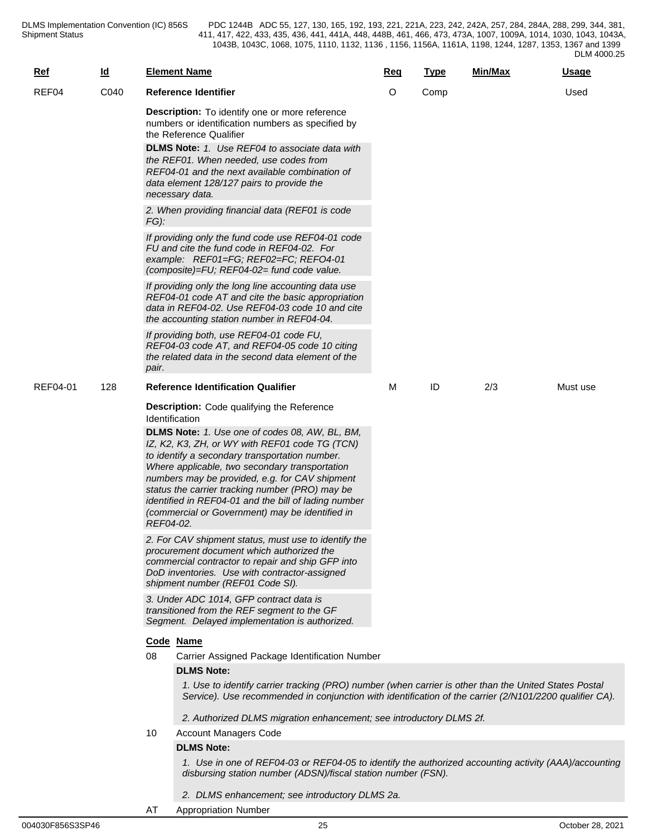| <b>Ref</b> | <u>ld</u> |           | <b>Element Name</b>                                                                                                                                                                                                                                                                                                                                                                                                                                                                                                                                                                                                                                                                                                                                                                                                                                                                           | Req | <b>Type</b> | Min/Max | <b>Usage</b> |
|------------|-----------|-----------|-----------------------------------------------------------------------------------------------------------------------------------------------------------------------------------------------------------------------------------------------------------------------------------------------------------------------------------------------------------------------------------------------------------------------------------------------------------------------------------------------------------------------------------------------------------------------------------------------------------------------------------------------------------------------------------------------------------------------------------------------------------------------------------------------------------------------------------------------------------------------------------------------|-----|-------------|---------|--------------|
| REF04      | C040      |           | Reference Identifier                                                                                                                                                                                                                                                                                                                                                                                                                                                                                                                                                                                                                                                                                                                                                                                                                                                                          | O   | Comp        |         | Used         |
|            |           | $FG$ ):   | <b>Description:</b> To identify one or more reference<br>numbers or identification numbers as specified by<br>the Reference Qualifier<br><b>DLMS Note:</b> 1. Use REF04 to associate data with<br>the REF01. When needed, use codes from<br>REF04-01 and the next available combination of<br>data element 128/127 pairs to provide the<br>necessary data.<br>2. When providing financial data (REF01 is code<br>If providing only the fund code use REF04-01 code<br>FU and cite the fund code in REF04-02. For                                                                                                                                                                                                                                                                                                                                                                              |     |             |         |              |
|            |           |           | example: REF01=FG; REF02=FC; REF04-01<br>(composite)=FU; REF04-02= fund code value.<br>If providing only the long line accounting data use<br>REF04-01 code AT and cite the basic appropriation<br>data in REF04-02. Use REF04-03 code 10 and cite                                                                                                                                                                                                                                                                                                                                                                                                                                                                                                                                                                                                                                            |     |             |         |              |
|            |           | pair.     | the accounting station number in REF04-04.<br>If providing both, use REF04-01 code FU,<br>REF04-03 code AT, and REF04-05 code 10 citing<br>the related data in the second data element of the                                                                                                                                                                                                                                                                                                                                                                                                                                                                                                                                                                                                                                                                                                 |     |             |         |              |
| REF04-01   | 128       |           | <b>Reference Identification Qualifier</b>                                                                                                                                                                                                                                                                                                                                                                                                                                                                                                                                                                                                                                                                                                                                                                                                                                                     | м   | ID          | 2/3     | Must use     |
|            |           | REF04-02. | <b>Description:</b> Code qualifying the Reference<br><b>Identification</b><br>DLMS Note: 1. Use one of codes 08, AW, BL, BM,<br>IZ, K2, K3, ZH, or WY with REF01 code TG (TCN)<br>to identify a secondary transportation number.<br>Where applicable, two secondary transportation<br>numbers may be provided, e.g. for CAV shipment<br>status the carrier tracking number (PRO) may be<br>identified in REF04-01 and the bill of lading number<br>(commercial or Government) may be identified in<br>2. For CAV shipment status, must use to identify the<br>procurement document which authorized the<br>commercial contractor to repair and ship GFP into<br>DoD inventories. Use with contractor-assigned<br>shipment number (REF01 Code SI).<br>3. Under ADC 1014, GFP contract data is<br>transitioned from the REF segment to the GF<br>Segment. Delayed implementation is authorized. |     |             |         |              |
|            |           | 08        | Code Name                                                                                                                                                                                                                                                                                                                                                                                                                                                                                                                                                                                                                                                                                                                                                                                                                                                                                     |     |             |         |              |
|            |           |           | Carrier Assigned Package Identification Number<br><b>DLMS Note:</b>                                                                                                                                                                                                                                                                                                                                                                                                                                                                                                                                                                                                                                                                                                                                                                                                                           |     |             |         |              |
|            |           | 10        | 1. Use to identify carrier tracking (PRO) number (when carrier is other than the United States Postal<br>Service). Use recommended in conjunction with identification of the carrier (2/N101/2200 qualifier CA).<br>2. Authorized DLMS migration enhancement; see introductory DLMS 2f.<br><b>Account Managers Code</b>                                                                                                                                                                                                                                                                                                                                                                                                                                                                                                                                                                       |     |             |         |              |
|            |           |           | <b>DLMS Note:</b>                                                                                                                                                                                                                                                                                                                                                                                                                                                                                                                                                                                                                                                                                                                                                                                                                                                                             |     |             |         |              |
|            |           |           | 1. Use in one of REF04-03 or REF04-05 to identify the authorized accounting activity (AAA)/accounting<br>disbursing station number (ADSN)/fiscal station number (FSN).                                                                                                                                                                                                                                                                                                                                                                                                                                                                                                                                                                                                                                                                                                                        |     |             |         |              |
|            |           |           | 2. DLMS enhancement; see introductory DLMS 2a.                                                                                                                                                                                                                                                                                                                                                                                                                                                                                                                                                                                                                                                                                                                                                                                                                                                |     |             |         |              |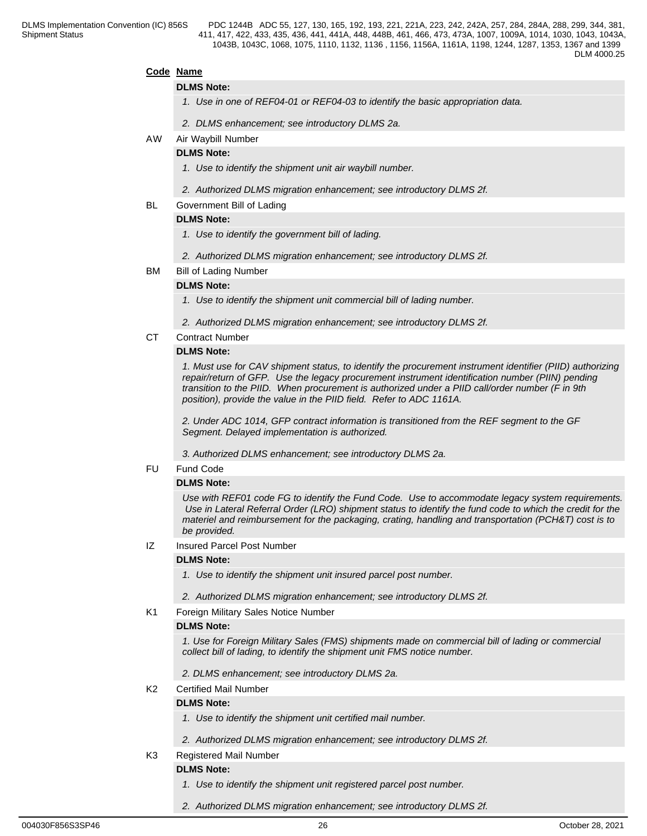#### **Code Name**

#### **DLMS Note:**

- *1. Use in one of REF04-01 or REF04-03 to identify the basic appropriation data.*
- *2. DLMS enhancement; see introductory DLMS 2a.*
- AW Air Waybill Number

#### **DLMS Note:**

- *1. Use to identify the shipment unit air waybill number.*
- *2. Authorized DLMS migration enhancement; see introductory DLMS 2f.*
- BL Government Bill of Lading

#### **DLMS Note:**

- *1. Use to identify the government bill of lading.*
- *2. Authorized DLMS migration enhancement; see introductory DLMS 2f.*
- BM Bill of Lading Number

#### **DLMS Note:**

*1. Use to identify the shipment unit commercial bill of lading number.*

- *2. Authorized DLMS migration enhancement; see introductory DLMS 2f.*
- CT Contract Number

#### **DLMS Note:**

*1. Must use for CAV shipment status, to identify the procurement instrument identifier (PIID) authorizing repair/return of GFP. Use the legacy procurement instrument identification number (PIIN) pending transition to the PIID. When procurement is authorized under a PIID call/order number (F in 9th position), provide the value in the PIID field. Refer to ADC 1161A.*

*2. Under ADC 1014, GFP contract information is transitioned from the REF segment to the GF Segment. Delayed implementation is authorized.* 

*3. Authorized DLMS enhancement; see introductory DLMS 2a.*

#### FU Fund Code

#### **DLMS Note:**

*Use with REF01 code FG to identify the Fund Code. Use to accommodate legacy system requirements. Use in Lateral Referral Order (LRO) shipment status to identify the fund code to which the credit for the materiel and reimbursement for the packaging, crating, handling and transportation (PCH&T) cost is to be provided.*

IZ Insured Parcel Post Number

#### **DLMS Note:**

- *1. Use to identify the shipment unit insured parcel post number.*
- *2. Authorized DLMS migration enhancement; see introductory DLMS 2f.*
- K1 Foreign Military Sales Notice Number

#### **DLMS Note:**

*1. Use for Foreign Military Sales (FMS) shipments made on commercial bill of lading or commercial collect bill of lading, to identify the shipment unit FMS notice number.*

*2. DLMS enhancement; see introductory DLMS 2a.*

#### K2 Certified Mail Number

#### **DLMS Note:**

- *1. Use to identify the shipment unit certified mail number.*
- *2. Authorized DLMS migration enhancement; see introductory DLMS 2f.*
- K3 Registered Mail Number

## **DLMS Note:**

- *1. Use to identify the shipment unit registered parcel post number.*
- *2. Authorized DLMS migration enhancement; see introductory DLMS 2f.*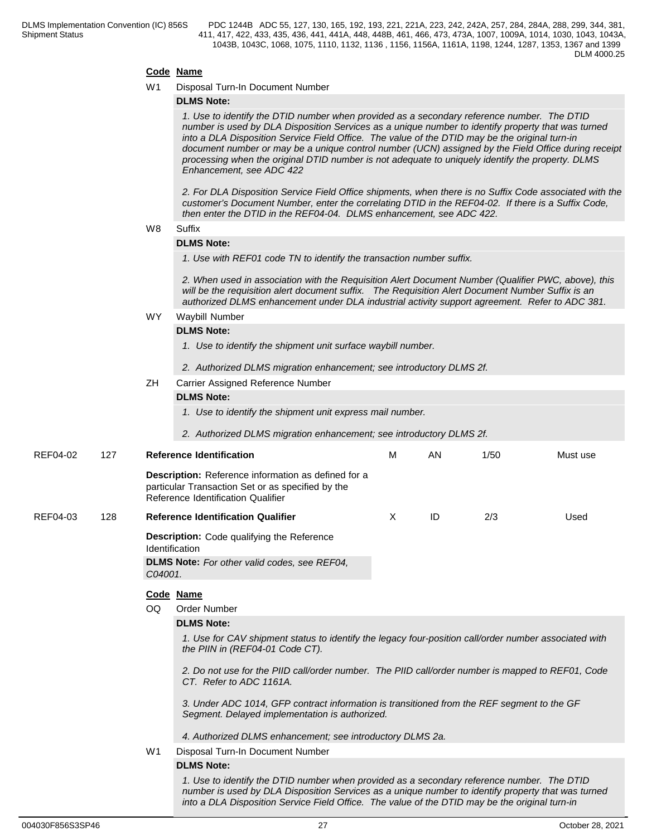#### **Code Name**

W1 Disposal Turn-In Document Number

#### **DLMS Note:**

*1. Use to identify the DTID number when provided as a secondary reference number. The DTID number is used by DLA Disposition Services as a unique number to identify property that was turned into a DLA Disposition Service Field Office. The value of the DTID may be the original turn-in document number or may be a unique control number (UCN) assigned by the Field Office during receipt processing when the original DTID number is not adequate to uniquely identify the property. DLMS Enhancement, see ADC 422*

*2. For DLA Disposition Service Field Office shipments, when there is no Suffix Code associated with the customer's Document Number, enter the correlating DTID in the REF04-02. If there is a Suffix Code, then enter the DTID in the REF04-04. DLMS enhancement, see ADC 422.*

#### W8 Suffix **Suffix Suffix Suffix Suffix Suffix Suffix SUFFIX SUFFIX SUFFIX**

#### **DLMS Note:**

*1. Use with REF01 code TN to identify the transaction number suffix.*

*2. When used in association with the Requisition Alert Document Number (Qualifier PWC, above), this will be the requisition alert document suffix. The Requisition Alert Document Number Suffix is an authorized DLMS enhancement under DLA industrial activity support agreement. Refer to ADC 381.*

#### WY Waybill Number

#### **DLMS Note:**

- *1. Use to identify the shipment unit surface waybill number.*
- *2. Authorized DLMS migration enhancement; see introductory DLMS 2f.*
- ZH Carrier Assigned Reference Number

#### **DLMS Note:**

*1. Use to identify the shipment unit express mail number.*

*2. Authorized DLMS migration enhancement; see introductory DLMS 2f.*

| REF04-02 | 127 |                | <b>Reference Identification</b>                                                                                                                                                                                                                                                                    | M | AN | 1/50 | Must use |  |  |  |  |
|----------|-----|----------------|----------------------------------------------------------------------------------------------------------------------------------------------------------------------------------------------------------------------------------------------------------------------------------------------------|---|----|------|----------|--|--|--|--|
|          |     |                | <b>Description:</b> Reference information as defined for a<br>particular Transaction Set or as specified by the<br>Reference Identification Qualifier                                                                                                                                              |   |    |      |          |  |  |  |  |
| REF04-03 | 128 |                | <b>Reference Identification Qualifier</b>                                                                                                                                                                                                                                                          | X | ID | 2/3  | Used     |  |  |  |  |
|          |     |                | <b>Description:</b> Code qualifying the Reference<br>Identification<br><b>DLMS Note:</b> For other valid codes, see REF04,<br>C04001.                                                                                                                                                              |   |    |      |          |  |  |  |  |
|          |     |                | Code Name                                                                                                                                                                                                                                                                                          |   |    |      |          |  |  |  |  |
|          |     | OQ.            | <b>Order Number</b>                                                                                                                                                                                                                                                                                |   |    |      |          |  |  |  |  |
|          |     |                | <b>DLMS Note:</b>                                                                                                                                                                                                                                                                                  |   |    |      |          |  |  |  |  |
|          |     |                | 1. Use for CAV shipment status to identify the legacy four-position call/order number associated with<br>the PIIN in (REF04-01 Code CT).                                                                                                                                                           |   |    |      |          |  |  |  |  |
|          |     |                | 2. Do not use for the PIID call/order number. The PIID call/order number is mapped to REF01, Code<br>CT. Refer to ADC 1161A.                                                                                                                                                                       |   |    |      |          |  |  |  |  |
|          |     |                | 3. Under ADC 1014, GFP contract information is transitioned from the REF segment to the GF<br>Segment. Delayed implementation is authorized.                                                                                                                                                       |   |    |      |          |  |  |  |  |
|          |     |                | 4. Authorized DLMS enhancement; see introductory DLMS 2a.                                                                                                                                                                                                                                          |   |    |      |          |  |  |  |  |
|          |     | W <sub>1</sub> | Disposal Turn-In Document Number                                                                                                                                                                                                                                                                   |   |    |      |          |  |  |  |  |
|          |     |                | <b>DLMS Note:</b>                                                                                                                                                                                                                                                                                  |   |    |      |          |  |  |  |  |
|          |     |                | 1. Use to identify the DTID number when provided as a secondary reference number. The DTID<br>number is used by DLA Disposition Services as a unique number to identify property that was turned<br>into a DLA Disposition Service Field Office. The value of the DTID may be the original turn-in |   |    |      |          |  |  |  |  |
|          |     |                |                                                                                                                                                                                                                                                                                                    |   |    |      |          |  |  |  |  |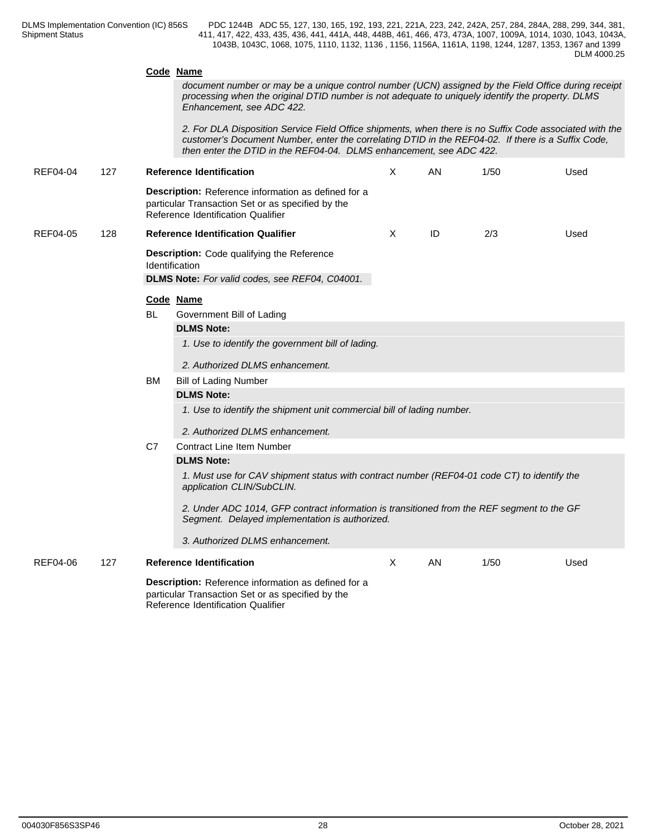#### **Code Name**

*document number or may be a unique control number (UCN) assigned by the Field Office during receipt processing when the original DTID number is not adequate to uniquely identify the property. DLMS Enhancement, see ADC 422.*

*2. For DLA Disposition Service Field Office shipments, when there is no Suffix Code associated with the customer's Document Number, enter the correlating DTID in the REF04-02. If there is a Suffix Code, then enter the DTID in the REF04-04. DLMS enhancement, see ADC 422.*

| <b>REF04-04</b> | 127 |           | <b>Reference Identification</b>                                                                                                                | X            | AN | 1/50 | Used |
|-----------------|-----|-----------|------------------------------------------------------------------------------------------------------------------------------------------------|--------------|----|------|------|
|                 |     |           | Description: Reference information as defined for a<br>particular Transaction Set or as specified by the<br>Reference Identification Qualifier |              |    |      |      |
| <b>REF04-05</b> | 128 |           | <b>Reference Identification Qualifier</b>                                                                                                      | $\times$     | ID | 2/3  | Used |
|                 |     |           | <b>Description:</b> Code qualifying the Reference<br>Identification<br>DLMS Note: For valid codes, see REF04, C04001.                          |              |    |      |      |
|                 |     |           | Code Name                                                                                                                                      |              |    |      |      |
|                 |     | <b>BL</b> | Government Bill of Lading                                                                                                                      |              |    |      |      |
|                 |     |           | <b>DLMS Note:</b>                                                                                                                              |              |    |      |      |
|                 |     |           | 1. Use to identify the government bill of lading.                                                                                              |              |    |      |      |
|                 |     |           | 2. Authorized DLMS enhancement.                                                                                                                |              |    |      |      |
|                 |     | <b>BM</b> | <b>Bill of Lading Number</b>                                                                                                                   |              |    |      |      |
|                 |     |           | <b>DLMS Note:</b>                                                                                                                              |              |    |      |      |
|                 |     |           | 1. Use to identify the shipment unit commercial bill of lading number.                                                                         |              |    |      |      |
|                 |     |           |                                                                                                                                                |              |    |      |      |
|                 |     |           | 2. Authorized DLMS enhancement.                                                                                                                |              |    |      |      |
|                 |     | C7        | <b>Contract Line Item Number</b><br><b>DLMS Note:</b>                                                                                          |              |    |      |      |
|                 |     |           | 1. Must use for CAV shipment status with contract number (REF04-01 code CT) to identify the                                                    |              |    |      |      |
|                 |     |           | application CLIN/SubCLIN.                                                                                                                      |              |    |      |      |
|                 |     |           | 2. Under ADC 1014, GFP contract information is transitioned from the REF segment to the GF<br>Segment. Delayed implementation is authorized.   |              |    |      |      |
|                 |     |           | 3. Authorized DLMS enhancement.                                                                                                                |              |    |      |      |
| <b>REF04-06</b> | 127 |           | <b>Reference Identification</b>                                                                                                                | $\mathsf{X}$ | AN | 1/50 | Used |
|                 |     |           | Description: Reference information as defined for a<br>particular Transaction Set or as specified by the<br>Reference Identification Qualifier |              |    |      |      |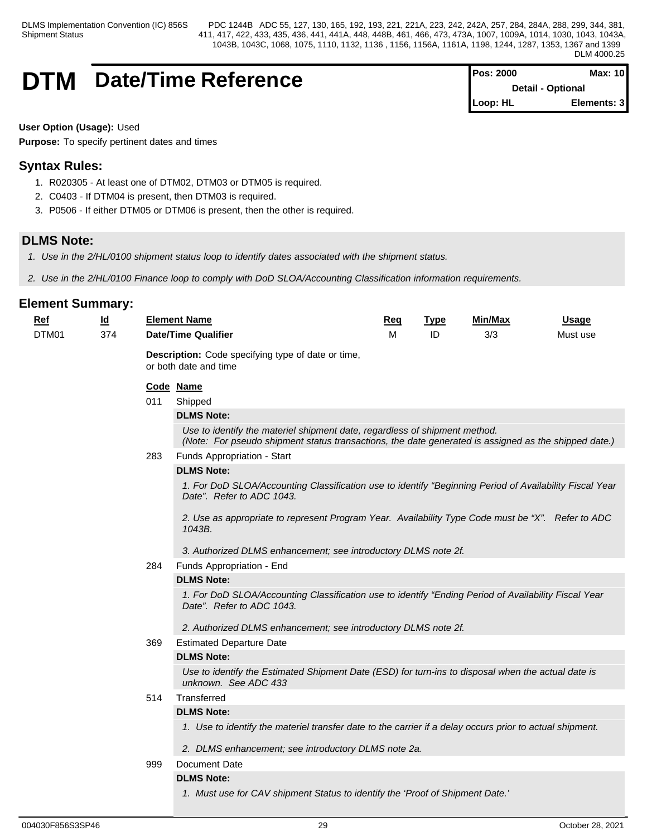# **DTM** Date/Time Reference

| <b>IPos: 2000</b>        | Max: 10     |  |
|--------------------------|-------------|--|
| <b>Detail - Optional</b> |             |  |
| Loop: HL                 | Elements: 3 |  |

**User Option (Usage):** Used

**Purpose:** To specify pertinent dates and times

# **Syntax Rules:**

- 1. R020305 At least one of DTM02, DTM03 or DTM05 is required.
- 2. C0403 If DTM04 is present, then DTM03 is required.
- 3. P0506 If either DTM05 or DTM06 is present, then the other is required.

# **DLMS Note:**

- *1. Use in the 2/HL/0100 shipment status loop to identify dates associated with the shipment status.*
- *2. Use in the 2/HL/0100 Finance loop to comply with DoD SLOA/Accounting Classification information requirements.*

| Ref   | $\underline{\mathsf{Id}}$ |     | <b>Element Name</b>                                                                                                                                                                | Req | <b>Type</b> | <b>Min/Max</b> | Usage    |  |  |  |
|-------|---------------------------|-----|------------------------------------------------------------------------------------------------------------------------------------------------------------------------------------|-----|-------------|----------------|----------|--|--|--|
| DTM01 | 374                       |     | <b>Date/Time Qualifier</b>                                                                                                                                                         | м   | ID          | 3/3            | Must use |  |  |  |
|       |                           |     | Description: Code specifying type of date or time,<br>or both date and time                                                                                                        |     |             |                |          |  |  |  |
|       |                           |     | Code Name                                                                                                                                                                          |     |             |                |          |  |  |  |
|       |                           | 011 | Shipped                                                                                                                                                                            |     |             |                |          |  |  |  |
|       |                           |     | <b>DLMS Note:</b>                                                                                                                                                                  |     |             |                |          |  |  |  |
|       |                           |     | Use to identify the materiel shipment date, regardless of shipment method.<br>(Note: For pseudo shipment status transactions, the date generated is assigned as the shipped date.) |     |             |                |          |  |  |  |
|       |                           | 283 | Funds Appropriation - Start                                                                                                                                                        |     |             |                |          |  |  |  |
|       |                           |     | <b>DLMS Note:</b>                                                                                                                                                                  |     |             |                |          |  |  |  |
|       |                           |     | 1. For DoD SLOA/Accounting Classification use to identify "Beginning Period of Availability Fiscal Year<br>Date". Refer to ADC 1043.                                               |     |             |                |          |  |  |  |
|       |                           |     | 2. Use as appropriate to represent Program Year. Availability Type Code must be "X". Refer to ADC<br>1043B.                                                                        |     |             |                |          |  |  |  |
|       |                           |     | 3. Authorized DLMS enhancement; see introductory DLMS note 2f.                                                                                                                     |     |             |                |          |  |  |  |
|       |                           | 284 | Funds Appropriation - End                                                                                                                                                          |     |             |                |          |  |  |  |
|       |                           |     | <b>DLMS Note:</b>                                                                                                                                                                  |     |             |                |          |  |  |  |
|       |                           |     | 1. For DoD SLOA/Accounting Classification use to identify "Ending Period of Availability Fiscal Year<br>Date". Refer to ADC 1043.                                                  |     |             |                |          |  |  |  |
|       |                           |     | 2. Authorized DLMS enhancement; see introductory DLMS note 2f.                                                                                                                     |     |             |                |          |  |  |  |
|       |                           | 369 | <b>Estimated Departure Date</b>                                                                                                                                                    |     |             |                |          |  |  |  |
|       |                           |     | <b>DLMS Note:</b>                                                                                                                                                                  |     |             |                |          |  |  |  |
|       |                           |     | Use to identify the Estimated Shipment Date (ESD) for turn-ins to disposal when the actual date is<br>unknown. See ADC 433                                                         |     |             |                |          |  |  |  |
|       |                           | 514 | Transferred                                                                                                                                                                        |     |             |                |          |  |  |  |
|       |                           |     | <b>DLMS Note:</b>                                                                                                                                                                  |     |             |                |          |  |  |  |
|       |                           |     | 1. Use to identify the materiel transfer date to the carrier if a delay occurs prior to actual shipment.                                                                           |     |             |                |          |  |  |  |
|       |                           |     | 2. DLMS enhancement; see introductory DLMS note 2a.                                                                                                                                |     |             |                |          |  |  |  |
|       |                           | 999 | Document Date                                                                                                                                                                      |     |             |                |          |  |  |  |
|       |                           |     | <b>DLMS Note:</b>                                                                                                                                                                  |     |             |                |          |  |  |  |
|       |                           |     | 1. Must use for CAV shipment Status to identify the 'Proof of Shipment Date.'                                                                                                      |     |             |                |          |  |  |  |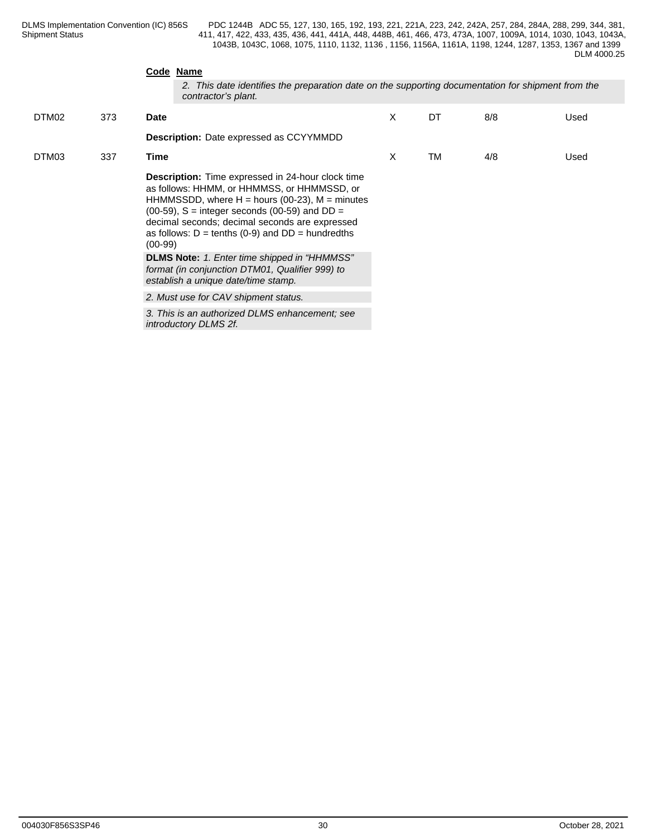|       |     | Code Name<br>2. This date identifies the preparation date on the supporting documentation for shipment from the<br>contractor's plant.                                                                                                                                                                                                                   |   |           |     |      |
|-------|-----|----------------------------------------------------------------------------------------------------------------------------------------------------------------------------------------------------------------------------------------------------------------------------------------------------------------------------------------------------------|---|-----------|-----|------|
| DTM02 | 373 | <b>Date</b>                                                                                                                                                                                                                                                                                                                                              | X | DT        | 8/8 | Used |
|       |     | <b>Description:</b> Date expressed as CCYYMMDD                                                                                                                                                                                                                                                                                                           |   |           |     |      |
| DTM03 | 337 | Time                                                                                                                                                                                                                                                                                                                                                     | X | <b>TM</b> | 4/8 | Used |
|       |     | <b>Description:</b> Time expressed in 24-hour clock time<br>as follows: HHMM, or HHMMSS, or HHMMSSD, or<br>HHMMSSDD, where $H =$ hours (00-23), $M =$ minutes<br>$(00-59)$ , S = integer seconds $(00-59)$ and DD =<br>decimal seconds; decimal seconds are expressed<br>as follows: $D = \text{tenths}$ (0-9) and $DD = \text{hundredths}$<br>$(00-99)$ |   |           |     |      |
|       |     | DLMS Note: 1. Enter time shipped in "HHMMSS"<br>format (in conjunction DTM01, Qualifier 999) to<br>establish a unique date/time stamp.                                                                                                                                                                                                                   |   |           |     |      |
|       |     | 2. Must use for CAV shipment status.                                                                                                                                                                                                                                                                                                                     |   |           |     |      |
|       |     | 3. This is an authorized DLMS enhancement; see<br>introductory DLMS 2f.                                                                                                                                                                                                                                                                                  |   |           |     |      |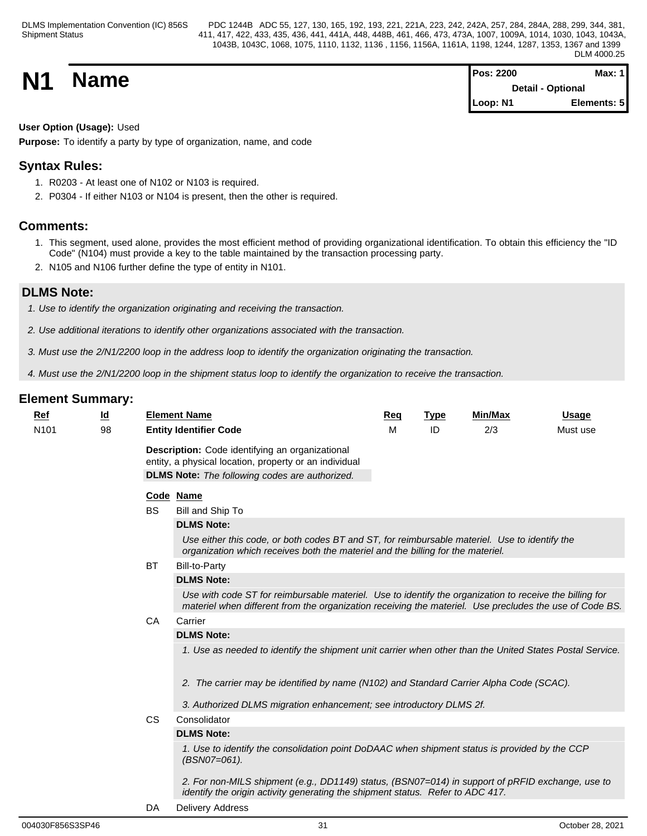**N1 Name Magnetic Max:** 1 **Detail - Optional Loop: N1 Elements: 5**

# **User Option (Usage):** Used

**Purpose:** To identify a party by type of organization, name, and code

# **Syntax Rules:**

- 1. R0203 At least one of N102 or N103 is required.
- 2. P0304 If either N103 or N104 is present, then the other is required.

# **Comments:**

- 1. This segment, used alone, provides the most efficient method of providing organizational identification. To obtain this efficiency the "ID Code" (N104) must provide a key to the table maintained by the transaction processing party.
- 2. N105 and N106 further define the type of entity in N101.

# **DLMS Note:**

- *1. Use to identify the organization originating and receiving the transaction.*
- *2. Use additional iterations to identify other organizations associated with the transaction.*
- *3. Must use the 2/N1/2200 loop in the address loop to identify the organization originating the transaction.*
- *4. Must use the 2/N1/2200 loop in the shipment status loop to identify the organization to receive the transaction.*

# **Element Summary:**

| <b>Ref</b>       | <u>ld</u> |           | <b>Element Name</b>                                                                                                                                                                                                | Req | <b>Type</b> | Min/Max | <b>Usage</b> |
|------------------|-----------|-----------|--------------------------------------------------------------------------------------------------------------------------------------------------------------------------------------------------------------------|-----|-------------|---------|--------------|
| N <sub>101</sub> | 98        |           | <b>Entity Identifier Code</b>                                                                                                                                                                                      | M   | ID          | 2/3     | Must use     |
|                  |           |           | Description: Code identifying an organizational<br>entity, a physical location, property or an individual<br><b>DLMS Note:</b> The following codes are authorized.                                                 |     |             |         |              |
|                  |           |           | Code Name                                                                                                                                                                                                          |     |             |         |              |
|                  |           | <b>BS</b> | Bill and Ship To                                                                                                                                                                                                   |     |             |         |              |
|                  |           |           | <b>DLMS Note:</b>                                                                                                                                                                                                  |     |             |         |              |
|                  |           |           | Use either this code, or both codes BT and ST, for reimbursable materiel. Use to identify the<br>organization which receives both the materiel and the billing for the materiel.                                   |     |             |         |              |
|                  |           | <b>BT</b> | <b>Bill-to-Party</b>                                                                                                                                                                                               |     |             |         |              |
|                  |           |           | <b>DLMS Note:</b>                                                                                                                                                                                                  |     |             |         |              |
|                  |           |           | Use with code ST for reimbursable materiel. Use to identify the organization to receive the billing for<br>materiel when different from the organization receiving the materiel. Use precludes the use of Code BS. |     |             |         |              |
|                  |           | CA        | Carrier                                                                                                                                                                                                            |     |             |         |              |
|                  |           |           | <b>DLMS Note:</b>                                                                                                                                                                                                  |     |             |         |              |
|                  |           |           | 1. Use as needed to identify the shipment unit carrier when other than the United States Postal Service.                                                                                                           |     |             |         |              |
|                  |           |           | 2. The carrier may be identified by name (N102) and Standard Carrier Alpha Code (SCAC).                                                                                                                            |     |             |         |              |
|                  |           |           | 3. Authorized DLMS migration enhancement; see introductory DLMS 2f.                                                                                                                                                |     |             |         |              |
|                  |           | <b>CS</b> | Consolidator                                                                                                                                                                                                       |     |             |         |              |
|                  |           |           | <b>DLMS Note:</b>                                                                                                                                                                                                  |     |             |         |              |
|                  |           |           | 1. Use to identify the consolidation point DoDAAC when shipment status is provided by the CCP<br>(BSN07=061).                                                                                                      |     |             |         |              |
|                  |           |           | 2. For non-MILS shipment (e.g., DD1149) status, (BSN07=014) in support of pRFID exchange, use to<br>identify the origin activity generating the shipment status. Refer to ADC 417.                                 |     |             |         |              |
|                  |           |           |                                                                                                                                                                                                                    |     |             |         |              |

DA Delivery Address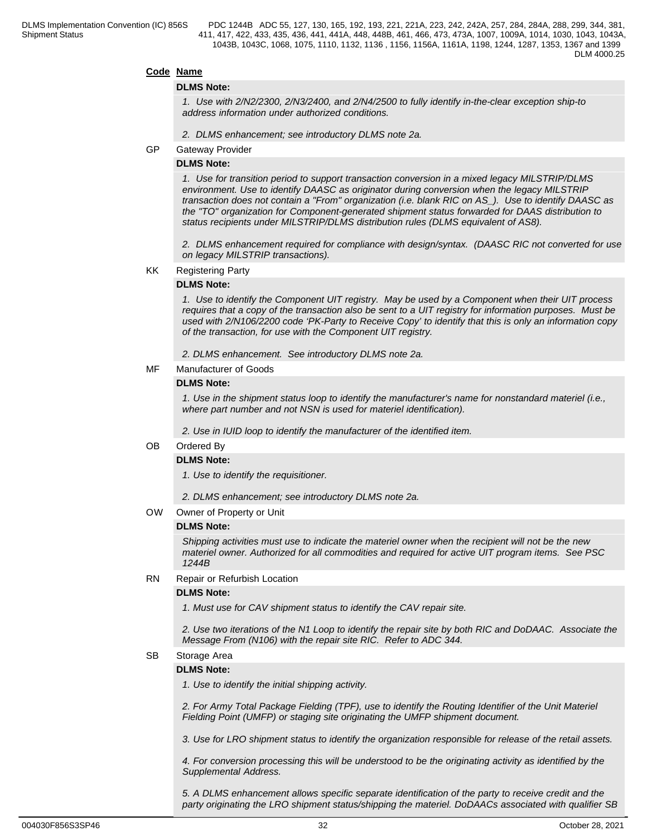## **Code Name**

### **DLMS Note:**

*1. Use with 2/N2/2300, 2/N3/2400, and 2/N4/2500 to fully identify in-the-clear exception ship-to address information under authorized conditions.*

- *2. DLMS enhancement; see introductory DLMS note 2a.*
- GP Gateway Provider

#### **DLMS Note:**

*1. Use for transition period to support transaction conversion in a mixed legacy MILSTRIP/DLMS environment. Use to identify DAASC as originator during conversion when the legacy MILSTRIP transaction does not contain a "From" organization (i.e. blank RIC on AS\_). Use to identify DAASC as the "TO" organization for Component-generated shipment status forwarded for DAAS distribution to status recipients under MILSTRIP/DLMS distribution rules (DLMS equivalent of AS8).*

*2. DLMS enhancement required for compliance with design/syntax. (DAASC RIC not converted for use on legacy MILSTRIP transactions).* 

KK Registering Party

#### **DLMS Note:**

*1. Use to identify the Component UIT registry. May be used by a Component when their UIT process requires that a copy of the transaction also be sent to a UIT registry for information purposes. Must be used with 2/N106/2200 code 'PK-Party to Receive Copy' to identify that this is only an information copy of the transaction, for use with the Component UIT registry.* 

*2. DLMS enhancement. See introductory DLMS note 2a.* 

#### MF Manufacturer of Goods

#### **DLMS Note:**

*1. Use in the shipment status loop to identify the manufacturer's name for nonstandard materiel (i.e., where part number and not NSN is used for materiel identification).*

*2. Use in IUID loop to identify the manufacturer of the identified item.*

OB Ordered By

#### **DLMS Note:**

*1. Use to identify the requisitioner.*

*2. DLMS enhancement; see introductory DLMS note 2a.*

OW Owner of Property or Unit

#### **DLMS Note:**

*Shipping activities must use to indicate the materiel owner when the recipient will not be the new materiel owner. Authorized for all commodities and required for active UIT program items. See PSC 1244B*

RN Repair or Refurbish Location

#### **DLMS Note:**

*1. Must use for CAV shipment status to identify the CAV repair site.* 

*2. Use two iterations of the N1 Loop to identify the repair site by both RIC and DoDAAC. Associate the Message From (N106) with the repair site RIC. Refer to ADC 344.*

SB Storage Area

#### **DLMS Note:**

*1. Use to identify the initial shipping activity.*

*2. For Army Total Package Fielding (TPF), use to identify the Routing Identifier of the Unit Materiel Fielding Point (UMFP) or staging site originating the UMFP shipment document.*

 *3. Use for LRO shipment status to identify the organization responsible for release of the retail assets.*

*4. For conversion processing this will be understood to be the originating activity as identified by the Supplemental Address.*

*5. A DLMS enhancement allows specific separate identification of the party to receive credit and the party originating the LRO shipment status/shipping the materiel. DoDAACs associated with qualifier SB*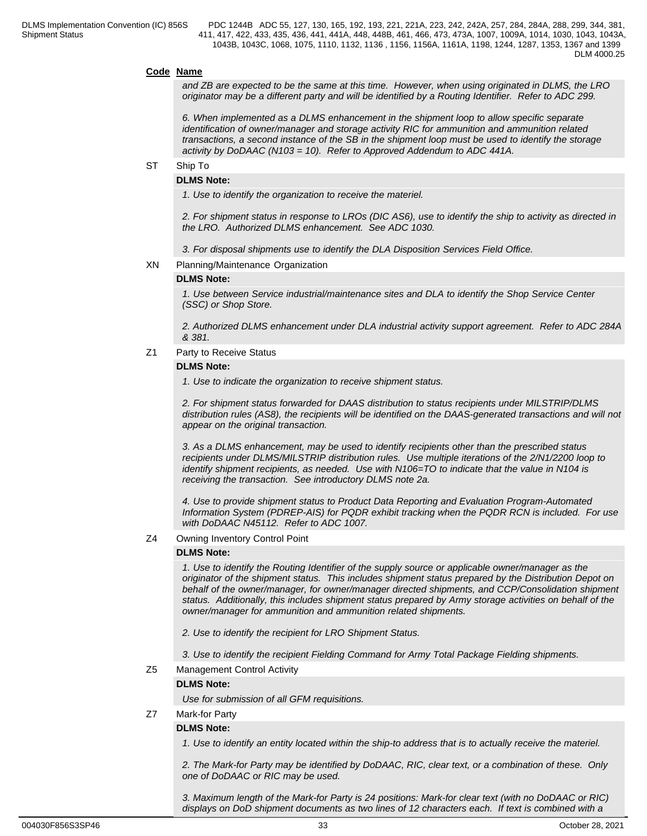#### **Code Name**

*and ZB are expected to be the same at this time. However, when using originated in DLMS, the LRO originator may be a different party and will be identified by a Routing Identifier. Refer to ADC 299.*

*6. When implemented as a DLMS enhancement in the shipment loop to allow specific separate identification of owner/manager and storage activity RIC for ammunition and ammunition related transactions, a second instance of the SB in the shipment loop must be used to identify the storage activity by DoDAAC (N103 = 10). Refer to Approved Addendum to ADC 441A.*

#### ST Ship To

#### **DLMS Note:**

*1. Use to identify the organization to receive the materiel.*

*2. For shipment status in response to LROs (DIC AS6), use to identify the ship to activity as directed in the LRO. Authorized DLMS enhancement. See ADC 1030.*

*3. For disposal shipments use to identify the DLA Disposition Services Field Office.*

XN Planning/Maintenance Organization

#### **DLMS Note:**

*1. Use between Service industrial/maintenance sites and DLA to identify the Shop Service Center (SSC) or Shop Store.*

*2. Authorized DLMS enhancement under DLA industrial activity support agreement. Refer to ADC 284A & 381.*

Z1 Party to Receive Status

#### **DLMS Note:**

*1. Use to indicate the organization to receive shipment status.*

*2. For shipment status forwarded for DAAS distribution to status recipients under MILSTRIP/DLMS distribution rules (AS8), the recipients will be identified on the DAAS-generated transactions and will not appear on the original transaction.*

*3. As a DLMS enhancement, may be used to identify recipients other than the prescribed status recipients under DLMS/MILSTRIP distribution rules. Use multiple iterations of the 2/N1/2200 loop to identify shipment recipients, as needed. Use with N106=TO to indicate that the value in N104 is receiving the transaction. See introductory DLMS note 2a.*

*4. Use to provide shipment status to Product Data Reporting and Evaluation Program-Automated Information System (PDREP-AIS) for PQDR exhibit tracking when the PQDR RCN is included. For use with DoDAAC N45112. Refer to ADC 1007.*

Z4 Owning Inventory Control Point

#### **DLMS Note:**

*1. Use to identify the Routing Identifier of the supply source or applicable owner/manager as the originator of the shipment status. This includes shipment status prepared by the Distribution Depot on behalf of the owner/manager, for owner/manager directed shipments, and CCP/Consolidation shipment status. Additionally, this includes shipment status prepared by Army storage activities on behalf of the owner/manager for ammunition and ammunition related shipments.*

*2. Use to identify the recipient for LRO Shipment Status.*

*3. Use to identify the recipient Fielding Command for Army Total Package Fielding shipments.*

Z5 Management Control Activity

#### **DLMS Note:**

*Use for submission of all GFM requisitions.*

Z7 Mark-for Party

#### **DLMS Note:**

*1. Use to identify an entity located within the ship-to address that is to actually receive the materiel.*

*2. The Mark-for Party may be identified by DoDAAC, RIC, clear text, or a combination of these. Only one of DoDAAC or RIC may be used.*

*3. Maximum length of the Mark-for Party is 24 positions: Mark-for clear text (with no DoDAAC or RIC) displays on DoD shipment documents as two lines of 12 characters each. If text is combined with a*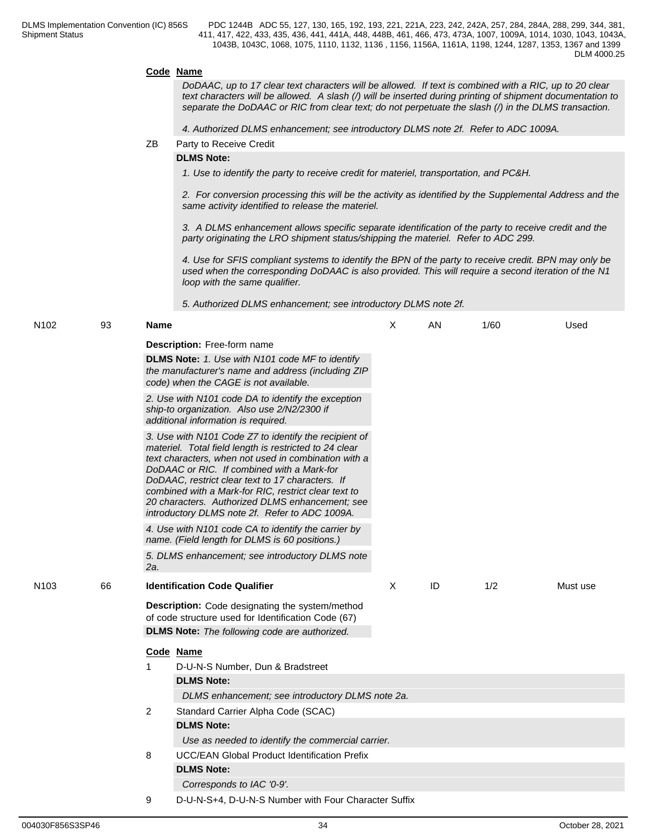#### **Code Name**

*DoDAAC, up to 17 clear text characters will be allowed. If text is combined with a RIC, up to 20 clear text characters will be allowed. A slash (/) will be inserted during printing of shipment documentation to separate the DoDAAC or RIC from clear text; do not perpetuate the slash (/) in the DLMS transaction.*

*4. Authorized DLMS enhancement; see introductory DLMS note 2f. Refer to ADC 1009A.*

ZB Party to Receive Credit

#### **DLMS Note:**

*1. Use to identify the party to receive credit for materiel, transportation, and PC&H.*

*2. For conversion processing this will be the activity as identified by the Supplemental Address and the same activity identified to release the materiel.*

*3. A DLMS enhancement allows specific separate identification of the party to receive credit and the party originating the LRO shipment status/shipping the materiel. Refer to ADC 299.*

*4. Use for SFIS compliant systems to identify the BPN of the party to receive credit. BPN may only be used when the corresponding DoDAAC is also provided. This will require a second iteration of the N1 loop with the same qualifier.*

*5. Authorized DLMS enhancement; see introductory DLMS note 2f.*

| N <sub>102</sub> | 93 | <b>Name</b>                                                                                                                                                                                                                                                                                                                                                                                                                            | X        | AN | 1/60 | Used     |
|------------------|----|----------------------------------------------------------------------------------------------------------------------------------------------------------------------------------------------------------------------------------------------------------------------------------------------------------------------------------------------------------------------------------------------------------------------------------------|----------|----|------|----------|
|                  |    | <b>Description: Free-form name</b><br>DLMS Note: 1. Use with N101 code MF to identify<br>the manufacturer's name and address (including ZIP<br>code) when the CAGE is not available.                                                                                                                                                                                                                                                   |          |    |      |          |
|                  |    | 2. Use with N101 code DA to identify the exception<br>ship-to organization. Also use 2/N2/2300 if<br>additional information is required.                                                                                                                                                                                                                                                                                               |          |    |      |          |
|                  |    | 3. Use with N101 Code Z7 to identify the recipient of<br>materiel. Total field length is restricted to 24 clear<br>text characters, when not used in combination with a<br>DoDAAC or RIC. If combined with a Mark-for<br>DoDAAC, restrict clear text to 17 characters. If<br>combined with a Mark-for RIC, restrict clear text to<br>20 characters. Authorized DLMS enhancement: see<br>introductory DLMS note 2f. Refer to ADC 1009A. |          |    |      |          |
|                  |    | 4. Use with N101 code CA to identify the carrier by<br>name. (Field length for DLMS is 60 positions.)                                                                                                                                                                                                                                                                                                                                  |          |    |      |          |
|                  |    | 5. DLMS enhancement; see introductory DLMS note<br>2a.                                                                                                                                                                                                                                                                                                                                                                                 |          |    |      |          |
| N <sub>103</sub> | 66 | <b>Identification Code Qualifier</b>                                                                                                                                                                                                                                                                                                                                                                                                   | $\times$ | ID | 1/2  | Must use |
|                  |    | <b>Description:</b> Code designating the system/method<br>of code structure used for Identification Code (67)<br><b>DLMS Note:</b> The following code are authorized.                                                                                                                                                                                                                                                                  |          |    |      |          |
|                  |    | Code Name<br>D-U-N-S Number, Dun & Bradstreet<br><b>DLMS Note:</b><br>DLMS enhancement; see introductory DLMS note 2a.                                                                                                                                                                                                                                                                                                                 |          |    |      |          |
|                  |    | $\overline{2}$<br>Standard Carrier Alpha Code (SCAC)<br><b>DLMS Note:</b>                                                                                                                                                                                                                                                                                                                                                              |          |    |      |          |
|                  |    | Use as needed to identify the commercial carrier.<br>8<br><b>UCC/EAN Global Product Identification Prefix</b><br><b>DLMS Note:</b>                                                                                                                                                                                                                                                                                                     |          |    |      |          |
|                  |    | Corresponds to IAC '0-9'.                                                                                                                                                                                                                                                                                                                                                                                                              |          |    |      |          |

9 D-U-N-S+4, D-U-N-S Number with Four Character Suffix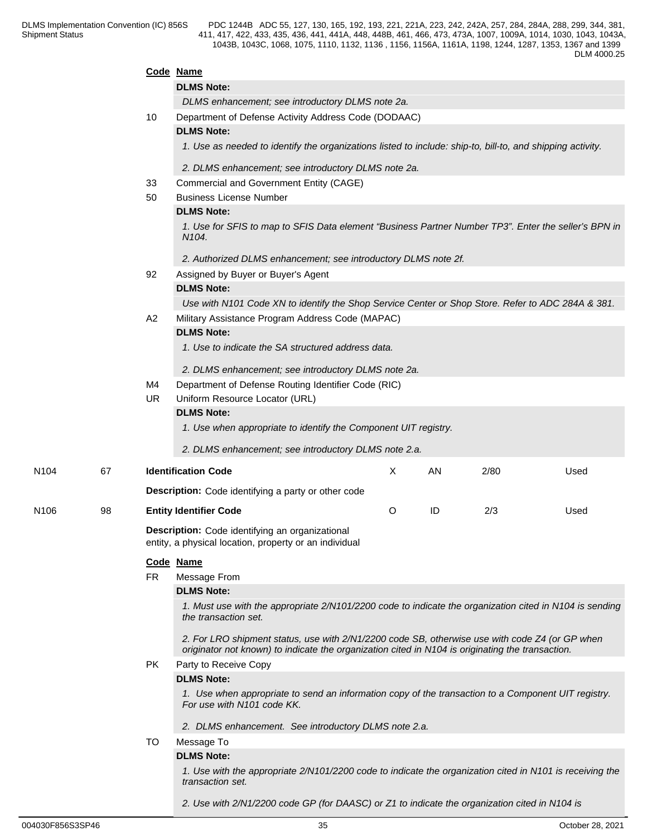|      |    |           | Code Name                                                                                                                                                                                          |              |    |      |      |  |  |  |  |
|------|----|-----------|----------------------------------------------------------------------------------------------------------------------------------------------------------------------------------------------------|--------------|----|------|------|--|--|--|--|
|      |    |           | <b>DLMS Note:</b>                                                                                                                                                                                  |              |    |      |      |  |  |  |  |
|      |    |           | DLMS enhancement; see introductory DLMS note 2a.                                                                                                                                                   |              |    |      |      |  |  |  |  |
|      |    | 10        | Department of Defense Activity Address Code (DODAAC)                                                                                                                                               |              |    |      |      |  |  |  |  |
|      |    |           | <b>DLMS Note:</b>                                                                                                                                                                                  |              |    |      |      |  |  |  |  |
|      |    |           | 1. Use as needed to identify the organizations listed to include: ship-to, bill-to, and shipping activity.                                                                                         |              |    |      |      |  |  |  |  |
|      |    |           | 2. DLMS enhancement; see introductory DLMS note 2a.                                                                                                                                                |              |    |      |      |  |  |  |  |
|      |    | 33        | Commercial and Government Entity (CAGE)                                                                                                                                                            |              |    |      |      |  |  |  |  |
|      |    | 50        | <b>Business License Number</b>                                                                                                                                                                     |              |    |      |      |  |  |  |  |
|      |    |           | <b>DLMS Note:</b>                                                                                                                                                                                  |              |    |      |      |  |  |  |  |
|      |    |           | 1. Use for SFIS to map to SFIS Data element "Business Partner Number TP3". Enter the seller's BPN in<br>N <sub>104</sub> .                                                                         |              |    |      |      |  |  |  |  |
|      |    |           | 2. Authorized DLMS enhancement; see introductory DLMS note 2f.                                                                                                                                     |              |    |      |      |  |  |  |  |
|      |    | 92        | Assigned by Buyer or Buyer's Agent                                                                                                                                                                 |              |    |      |      |  |  |  |  |
|      |    |           | <b>DLMS Note:</b>                                                                                                                                                                                  |              |    |      |      |  |  |  |  |
|      |    |           | Use with N101 Code XN to identify the Shop Service Center or Shop Store. Refer to ADC 284A & 381.                                                                                                  |              |    |      |      |  |  |  |  |
|      |    | A2        | Military Assistance Program Address Code (MAPAC)                                                                                                                                                   |              |    |      |      |  |  |  |  |
|      |    |           | <b>DLMS Note:</b>                                                                                                                                                                                  |              |    |      |      |  |  |  |  |
|      |    |           | 1. Use to indicate the SA structured address data.                                                                                                                                                 |              |    |      |      |  |  |  |  |
|      |    |           | 2. DLMS enhancement; see introductory DLMS note 2a.                                                                                                                                                |              |    |      |      |  |  |  |  |
|      |    | M4        | Department of Defense Routing Identifier Code (RIC)                                                                                                                                                |              |    |      |      |  |  |  |  |
|      |    | UR.       | Uniform Resource Locator (URL)                                                                                                                                                                     |              |    |      |      |  |  |  |  |
|      |    |           | <b>DLMS Note:</b>                                                                                                                                                                                  |              |    |      |      |  |  |  |  |
|      |    |           | 1. Use when appropriate to identify the Component UIT registry.                                                                                                                                    |              |    |      |      |  |  |  |  |
|      |    |           | 2. DLMS enhancement; see introductory DLMS note 2.a.                                                                                                                                               |              |    |      |      |  |  |  |  |
| N104 | 67 |           | <b>Identification Code</b>                                                                                                                                                                         | $\mathsf{X}$ | AN | 2/80 | Used |  |  |  |  |
|      |    |           |                                                                                                                                                                                                    |              |    |      |      |  |  |  |  |
|      |    |           | <b>Description:</b> Code identifying a party or other code                                                                                                                                         |              |    |      |      |  |  |  |  |
| N106 | 98 |           | <b>Entity Identifier Code</b>                                                                                                                                                                      | O            | ID | 2/3  | Used |  |  |  |  |
|      |    |           | <b>Description:</b> Code identifying an organizational<br>entity, a physical location, property or an individual                                                                                   |              |    |      |      |  |  |  |  |
|      |    |           | Code Name                                                                                                                                                                                          |              |    |      |      |  |  |  |  |
|      |    | <b>FR</b> | Message From                                                                                                                                                                                       |              |    |      |      |  |  |  |  |
|      |    |           | <b>DLMS Note:</b>                                                                                                                                                                                  |              |    |      |      |  |  |  |  |
|      |    |           | 1. Must use with the appropriate 2/N101/2200 code to indicate the organization cited in N104 is sending<br>the transaction set.                                                                    |              |    |      |      |  |  |  |  |
|      |    |           | 2. For LRO shipment status, use with 2/N1/2200 code SB, otherwise use with code Z4 (or GP when<br>originator not known) to indicate the organization cited in N104 is originating the transaction. |              |    |      |      |  |  |  |  |
|      |    | PK.       | Party to Receive Copy                                                                                                                                                                              |              |    |      |      |  |  |  |  |
|      |    |           | <b>DLMS Note:</b>                                                                                                                                                                                  |              |    |      |      |  |  |  |  |
|      |    |           | 1. Use when appropriate to send an information copy of the transaction to a Component UIT registry.<br>For use with N101 code KK.                                                                  |              |    |      |      |  |  |  |  |
|      |    |           |                                                                                                                                                                                                    |              |    |      |      |  |  |  |  |
|      |    |           | 2. DLMS enhancement. See introductory DLMS note 2.a.                                                                                                                                               |              |    |      |      |  |  |  |  |
|      |    | TO.       | Message To                                                                                                                                                                                         |              |    |      |      |  |  |  |  |
|      |    |           | <b>DLMS Note:</b>                                                                                                                                                                                  |              |    |      |      |  |  |  |  |
|      |    |           | 1. Use with the appropriate 2/N101/2200 code to indicate the organization cited in N101 is receiving the<br>transaction set.                                                                       |              |    |      |      |  |  |  |  |
|      |    |           |                                                                                                                                                                                                    |              |    |      |      |  |  |  |  |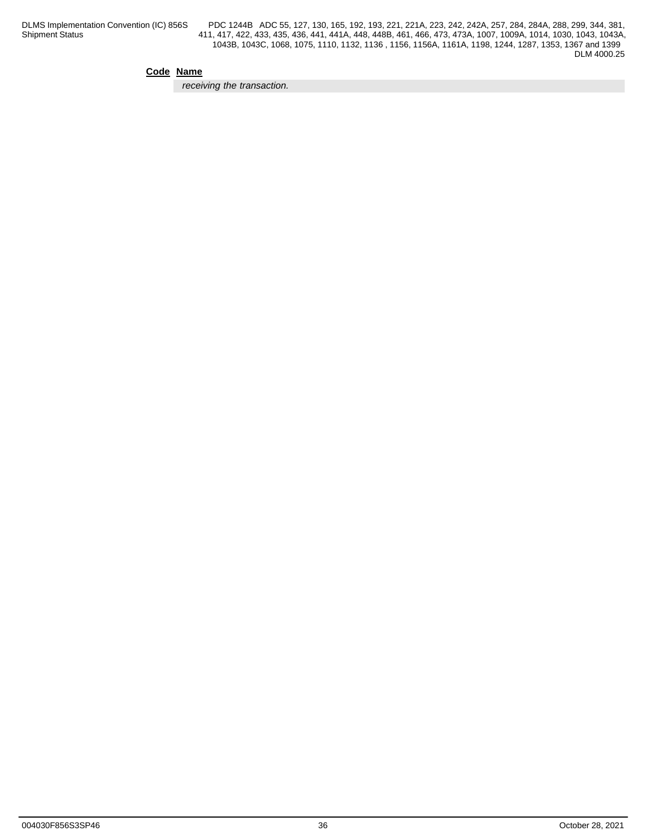### **Code Name**

*receiving the transaction.*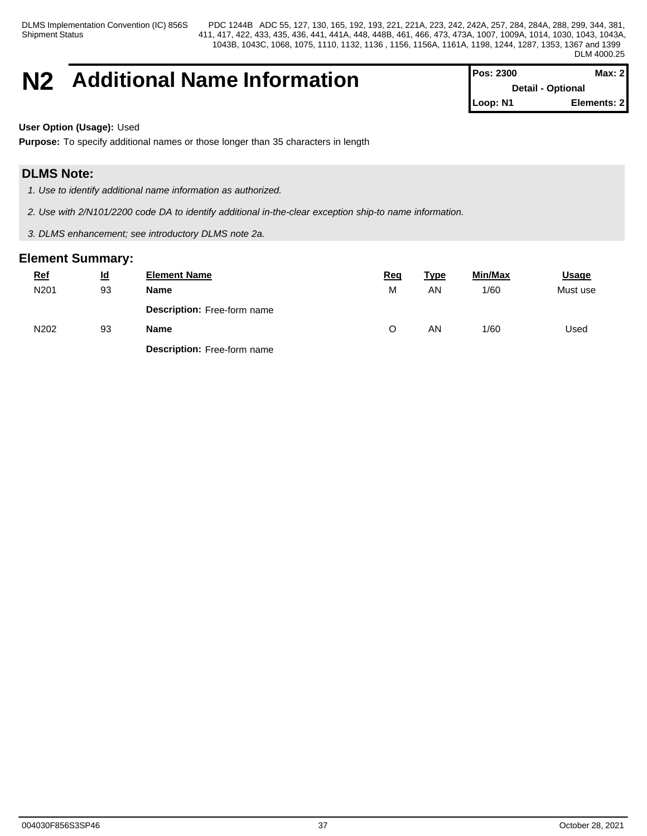Shipment Status

DLMS Implementation Convention (IC) 856S PDC 1244B ADC 55, 127, 130, 165, 192, 193, 221, 221A, 223, 242, 242A, 257, 284, 284A, 288, 299, 344, 381, 411, 417, 422, 433, 435, 436, 441, 441A, 448, 448B, 461, 466, 473, 473A, 1007, 1009A, 1014, 1030, 1043, 1043A, 1043B, 1043C, 1068, 1075, 1110, 1132, 1136 , 1156, 1156A, 1161A, 1198, 1244, 1287, 1353, 1367 and 1399 DLM 4000.25

# **N2** Additional Name Information

| <b>IPos: 2300</b>        | Max: $2$    |
|--------------------------|-------------|
| <b>Detail - Optional</b> |             |
| $\blacksquare$ Loop: N1  | Elements: 2 |

**User Option (Usage):** Used

**Purpose:** To specify additional names or those longer than 35 characters in length

# **DLMS Note:**

*1. Use to identify additional name information as authorized.*

*2. Use with 2/N101/2200 code DA to identify additional in-the-clear exception ship-to name information.*

*3. DLMS enhancement; see introductory DLMS note 2a.*

| $Ref$ | $\underline{\mathsf{Id}}$ | <b>Element Name</b>                | <u>Req</u> | <u>Type</u> | Min/Max | <b>Usage</b> |
|-------|---------------------------|------------------------------------|------------|-------------|---------|--------------|
| N201  | 93                        | <b>Name</b>                        | М          | AN.         | 1/60    | Must use     |
|       |                           | Description: Free-form name        |            |             |         |              |
| N202  | 93                        | Name                               | ◡          | AN          | 1/60    | Used         |
|       |                           | <b>Description:</b> Free-form name |            |             |         |              |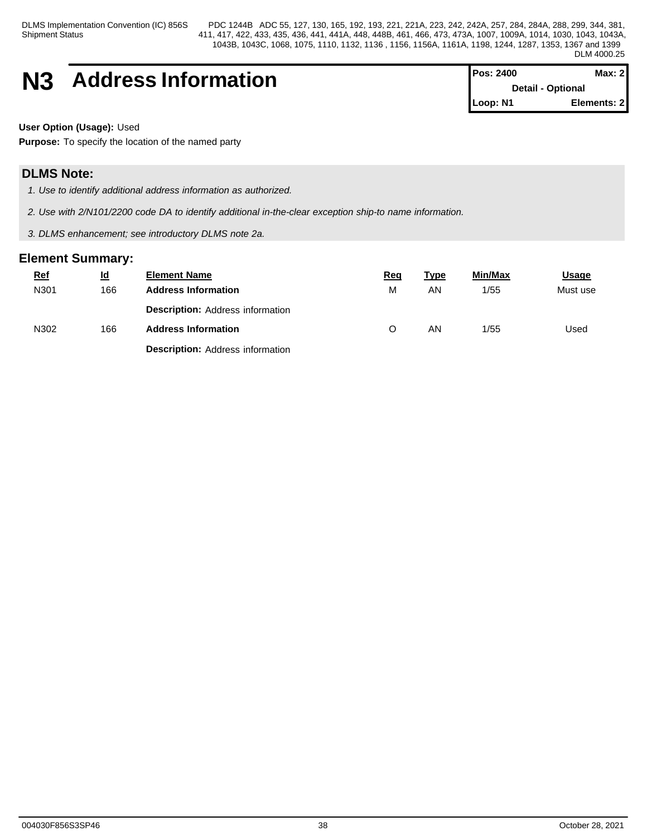Shipment Status

DLMS Implementation Convention (IC) 856S PDC 1244B ADC 55, 127, 130, 165, 192, 193, 221, 221A, 223, 242, 242A, 257, 284, 284A, 288, 299, 344, 381, 411, 417, 422, 433, 435, 436, 441, 441A, 448, 448B, 461, 466, 473, 473A, 1007, 1009A, 1014, 1030, 1043, 1043A, 1043B, 1043C, 1068, 1075, 1110, 1132, 1136 , 1156, 1156A, 1161A, 1198, 1244, 1287, 1353, 1367 and 1399 DLM 4000.25

# **N3** Address Information

| <b>Pos: 2400</b>         | Max: 2      |  |
|--------------------------|-------------|--|
| <b>Detail - Optional</b> |             |  |
| Loop: N1                 | Elements: 2 |  |

**User Option (Usage):** Used

**Purpose:** To specify the location of the named party

# **DLMS Note:**

*1. Use to identify additional address information as authorized.*

*2. Use with 2/N101/2200 code DA to identify additional in-the-clear exception ship-to name information.*

*3. DLMS enhancement; see introductory DLMS note 2a.*

| <b>Ref</b> | $\underline{\mathsf{Id}}$ | <b>Element Name</b>                     | <u>Req</u> | <u>Type</u> | Min/Max | <b>Usage</b> |
|------------|---------------------------|-----------------------------------------|------------|-------------|---------|--------------|
| N301       | 166                       | <b>Address Information</b>              | M          | AN          | 1/55    | Must use     |
|            |                           | <b>Description: Address information</b> |            |             |         |              |
| N302       | 166                       | <b>Address Information</b>              | O          | AN          | 1/55    | Used         |
|            |                           | <b>Description: Address information</b> |            |             |         |              |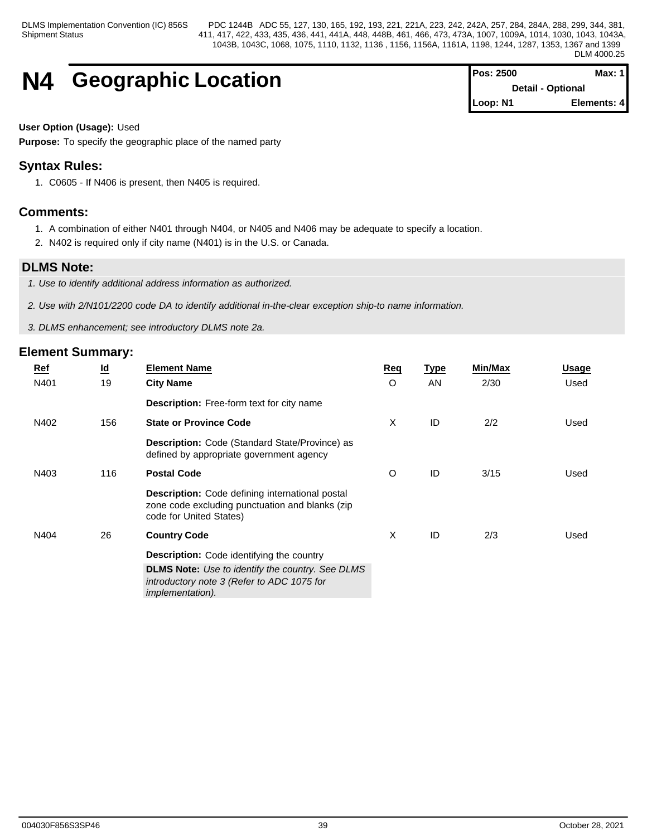# **N4 Geographic Location**

| <b>Pos: 2500</b> | Max: $11$                |
|------------------|--------------------------|
|                  | <b>Detail - Optional</b> |
| Loop: N1         | Elements: 4              |

### **User Option (Usage):** Used

**Purpose:** To specify the geographic place of the named party

# **Syntax Rules:**

1. C0605 - If N406 is present, then N405 is required.

# **Comments:**

- 1. A combination of either N401 through N404, or N405 and N406 may be adequate to specify a location.
- 2. N402 is required only if city name (N401) is in the U.S. or Canada.

# **DLMS Note:**

- *1. Use to identify additional address information as authorized.*
- *2. Use with 2/N101/2200 code DA to identify additional in-the-clear exception ship-to name information.*
- *3. DLMS enhancement; see introductory DLMS note 2a.*

| <u>Ref</u> | $\underline{\mathsf{Id}}$ | <b>Element Name</b>                                                                                                                   | <b>Req</b> | <b>Type</b> | <b>Min/Max</b> | <u>Usage</u> |
|------------|---------------------------|---------------------------------------------------------------------------------------------------------------------------------------|------------|-------------|----------------|--------------|
| N401       | 19                        | <b>City Name</b>                                                                                                                      | O          | <b>AN</b>   | 2/30           | Used         |
|            |                           | <b>Description:</b> Free-form text for city name                                                                                      |            |             |                |              |
| N402       | 156                       | <b>State or Province Code</b>                                                                                                         | X          | ID          | 2/2            | Used         |
|            |                           | Description: Code (Standard State/Province) as<br>defined by appropriate government agency                                            |            |             |                |              |
| N403       | 116                       | <b>Postal Code</b>                                                                                                                    | O          | ID          | 3/15           | Used         |
|            |                           | <b>Description:</b> Code defining international postal<br>zone code excluding punctuation and blanks (zip)<br>code for United States) |            |             |                |              |
| N404       | 26                        | <b>Country Code</b>                                                                                                                   | X          | ID          | 2/3            | Used         |
|            |                           | Description: Code identifying the country                                                                                             |            |             |                |              |
|            |                           | <b>DLMS Note:</b> Use to identify the country. See DLMS<br>introductory note 3 (Refer to ADC 1075 for<br><i>implementation).</i>      |            |             |                |              |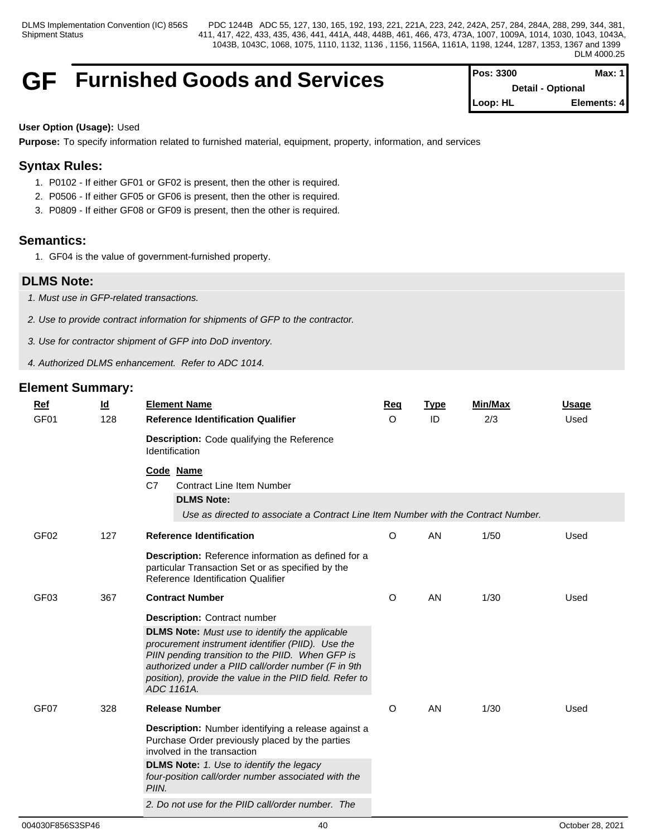# **GF** Furnished Goods and Services

| <b>IPos: 3300</b>         | Max: 1      |
|---------------------------|-------------|
| <b>Detail - Optional</b>  |             |
| $\blacksquare$ Loop: $HL$ | Elements: 4 |

## **User Option (Usage):** Used

**Purpose:** To specify information related to furnished material, equipment, property, information, and services

# **Syntax Rules:**

- 1. P0102 If either GF01 or GF02 is present, then the other is required.
- 2. P0506 If either GF05 or GF06 is present, then the other is required.
- 3. P0809 If either GF08 or GF09 is present, then the other is required.

# **Semantics:**

1. GF04 is the value of government-furnished property.

# **DLMS Note:**

- *1. Must use in GFP-related transactions.*
- *2. Use to provide contract information for shipments of GFP to the contractor.*
- *3. Use for contractor shipment of GFP into DoD inventory.*
- *4. Authorized DLMS enhancement. Refer to ADC 1014.*

| <b>Ref</b>       | $\underline{\mathsf{Id}}$ | <b>Element Name</b>                                                                                                                                                                                                                                                                                                                    | Req                                                                                | <b>Type</b> | <b>Min/Max</b> | <b>Usage</b> |  |  |
|------------------|---------------------------|----------------------------------------------------------------------------------------------------------------------------------------------------------------------------------------------------------------------------------------------------------------------------------------------------------------------------------------|------------------------------------------------------------------------------------|-------------|----------------|--------------|--|--|
| GF <sub>01</sub> | 128                       | <b>Reference Identification Qualifier</b>                                                                                                                                                                                                                                                                                              | $\circ$                                                                            | ID          | 2/3            | Used         |  |  |
|                  |                           | <b>Description:</b> Code qualifying the Reference<br><b>Identification</b>                                                                                                                                                                                                                                                             |                                                                                    |             |                |              |  |  |
|                  |                           | Code Name<br>C7<br><b>Contract Line Item Number</b><br><b>DLMS Note:</b>                                                                                                                                                                                                                                                               |                                                                                    |             |                |              |  |  |
|                  |                           |                                                                                                                                                                                                                                                                                                                                        | Use as directed to associate a Contract Line Item Number with the Contract Number. |             |                |              |  |  |
| GF <sub>02</sub> | 127                       | <b>Reference Identification</b>                                                                                                                                                                                                                                                                                                        | O                                                                                  | AN          | 1/50           | Used         |  |  |
|                  |                           | Description: Reference information as defined for a<br>particular Transaction Set or as specified by the<br>Reference Identification Qualifier                                                                                                                                                                                         |                                                                                    |             |                |              |  |  |
| GF <sub>03</sub> | 367                       | <b>Contract Number</b>                                                                                                                                                                                                                                                                                                                 | O                                                                                  | AN          | 1/30           | Used         |  |  |
|                  |                           | <b>Description: Contract number</b><br><b>DLMS Note:</b> Must use to identify the applicable<br>procurement instrument identifier (PIID). Use the<br>PIIN pending transition to the PIID. When GFP is<br>authorized under a PIID call/order number (F in 9th<br>position), provide the value in the PIID field. Refer to<br>ADC 1161A. |                                                                                    |             |                |              |  |  |
| GF <sub>07</sub> | 328                       | <b>Release Number</b>                                                                                                                                                                                                                                                                                                                  | O                                                                                  | AN          | 1/30           | Used         |  |  |
|                  |                           | Description: Number identifying a release against a<br>Purchase Order previously placed by the parties<br>involved in the transaction                                                                                                                                                                                                  |                                                                                    |             |                |              |  |  |
|                  |                           | <b>DLMS Note:</b> 1. Use to identify the legacy<br>four-position call/order number associated with the<br>PIIN.                                                                                                                                                                                                                        |                                                                                    |             |                |              |  |  |
|                  |                           | 2. Do not use for the PIID call/order number. The                                                                                                                                                                                                                                                                                      |                                                                                    |             |                |              |  |  |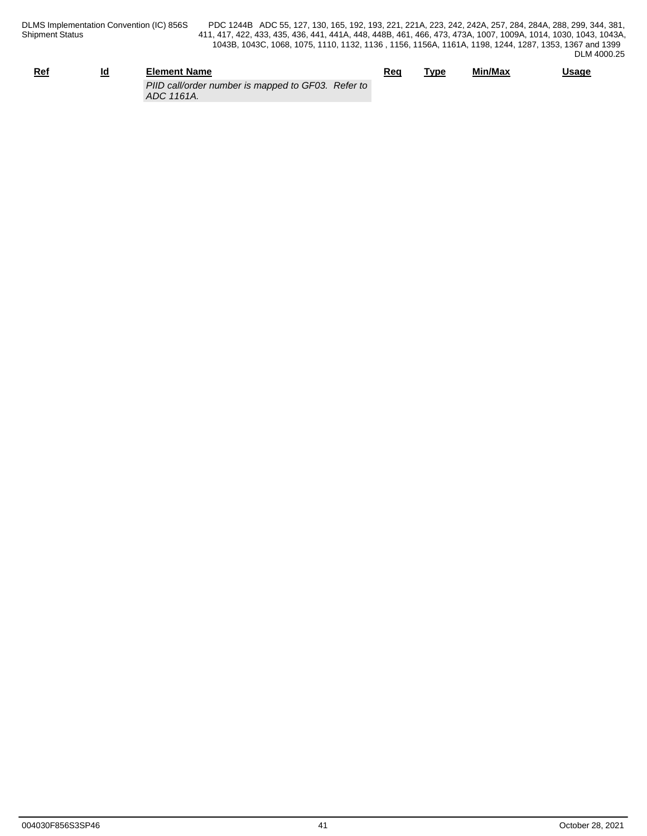| Ref | ıd<br>_ | <b>Element Name</b>                                              | Rec | Гур€ | Min/Max | <b>Usage</b> |
|-----|---------|------------------------------------------------------------------|-----|------|---------|--------------|
|     |         | PIID call/order number is mapped to GF03. Refer to<br>ADC 1161A. |     |      |         |              |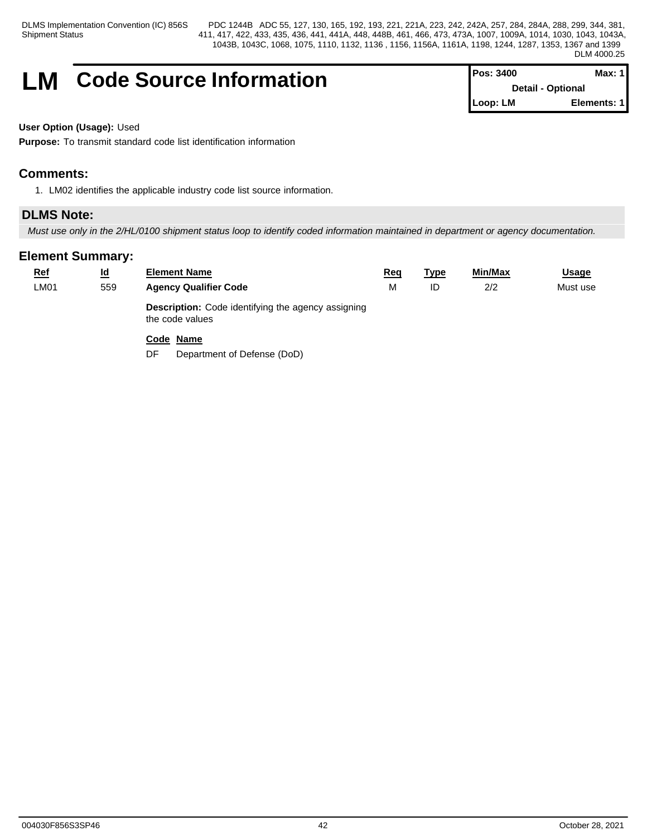# **LM** Code Source Information

| <b>Pos: 3400</b>         | Max: 1 I    |
|--------------------------|-------------|
| <b>Detail - Optional</b> |             |
| Loop: LM                 | Elements: 1 |

### **User Option (Usage):** Used

**Purpose:** To transmit standard code list identification information

# **Comments:**

1. LM02 identifies the applicable industry code list source information.

# **DLMS Note:**

*Must use only in the 2/HL/0100 shipment status loop to identify coded information maintained in department or agency documentation.*

# **Element Summary:**

| $Ref$<br><b>LM01</b> | <u>ld</u><br>559 | <b>Element Name</b><br><b>Agency Qualifier Code</b>                          | Req<br>M | <b>Type</b><br>ID | Min/Max<br>2/2 | <u>Usage</u><br>Must use |
|----------------------|------------------|------------------------------------------------------------------------------|----------|-------------------|----------------|--------------------------|
|                      |                  | <b>Description:</b> Code identifying the agency assigning<br>the code values |          |                   |                |                          |
|                      |                  | Code Name                                                                    |          |                   |                |                          |

DF Department of Defense (DoD)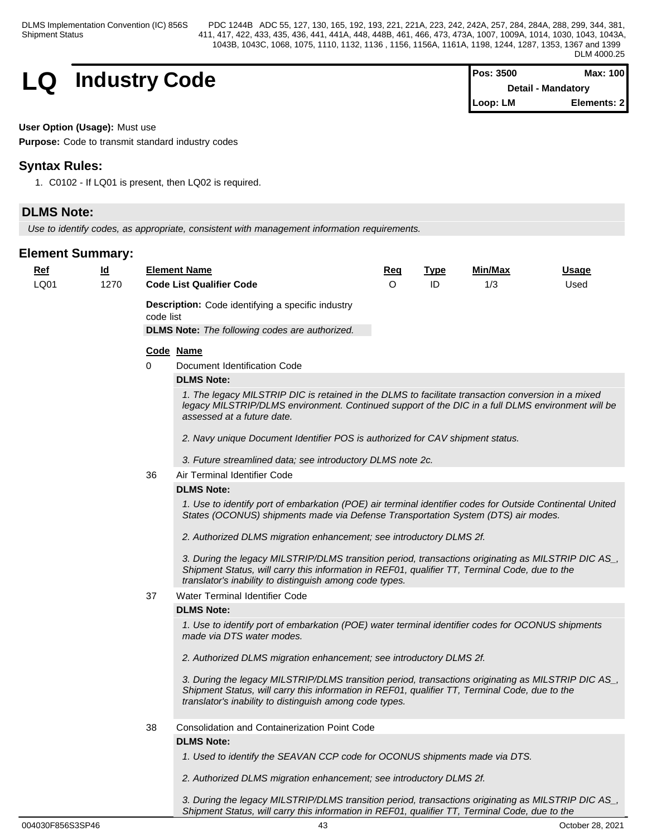

| <b>Pos: 3500</b>          | Max: 100    |  |
|---------------------------|-------------|--|
| <b>Detail - Mandatory</b> |             |  |
| $\mathsf{Loop: LM}$       | Elements: 2 |  |

**User Option (Usage):** Must use

**Purpose:** Code to transmit standard industry codes

# **Syntax Rules:**

1. C0102 - If LQ01 is present, then LQ02 is required.

# **DLMS Note:**

*Use to identify codes, as appropriate, consistent with management information requirements.*

# **Element Summary:**

| <u>Ref</u> | <u>ld</u> |           | <b>Element Name</b>                                                                                                                                                                                                                                              | Req      | <b>Type</b> | Min/Max | <u>Usage</u> |  |  |  |
|------------|-----------|-----------|------------------------------------------------------------------------------------------------------------------------------------------------------------------------------------------------------------------------------------------------------------------|----------|-------------|---------|--------------|--|--|--|
| LQ01       | 1270      |           | <b>Code List Qualifier Code</b>                                                                                                                                                                                                                                  | $\Omega$ | ID          | 1/3     | Used         |  |  |  |
|            |           | code list | <b>Description:</b> Code identifying a specific industry                                                                                                                                                                                                         |          |             |         |              |  |  |  |
|            |           |           | <b>DLMS Note:</b> The following codes are authorized.                                                                                                                                                                                                            |          |             |         |              |  |  |  |
|            |           |           | Code Name                                                                                                                                                                                                                                                        |          |             |         |              |  |  |  |
|            |           | $\Omega$  | Document Identification Code                                                                                                                                                                                                                                     |          |             |         |              |  |  |  |
|            |           |           | <b>DLMS Note:</b>                                                                                                                                                                                                                                                |          |             |         |              |  |  |  |
|            |           |           | 1. The legacy MILSTRIP DIC is retained in the DLMS to facilitate transaction conversion in a mixed<br>legacy MILSTRIP/DLMS environment. Continued support of the DIC in a full DLMS environment will be<br>assessed at a future date.                            |          |             |         |              |  |  |  |
|            |           |           | 2. Navy unique Document Identifier POS is authorized for CAV shipment status.                                                                                                                                                                                    |          |             |         |              |  |  |  |
|            |           |           | 3. Future streamlined data; see introductory DLMS note 2c.                                                                                                                                                                                                       |          |             |         |              |  |  |  |
|            |           | 36        | Air Terminal Identifier Code                                                                                                                                                                                                                                     |          |             |         |              |  |  |  |
|            |           |           | <b>DLMS Note:</b>                                                                                                                                                                                                                                                |          |             |         |              |  |  |  |
|            |           |           | 1. Use to identify port of embarkation (POE) air terminal identifier codes for Outside Continental United<br>States (OCONUS) shipments made via Defense Transportation System (DTS) air modes.                                                                   |          |             |         |              |  |  |  |
|            |           |           | 2. Authorized DLMS migration enhancement; see introductory DLMS 2f.                                                                                                                                                                                              |          |             |         |              |  |  |  |
|            |           |           | 3. During the legacy MILSTRIP/DLMS transition period, transactions originating as MILSTRIP DIC AS_,<br>Shipment Status, will carry this information in REF01, qualifier TT, Terminal Code, due to the<br>translator's inability to distinguish among code types. |          |             |         |              |  |  |  |
|            |           | 37        | Water Terminal Identifier Code                                                                                                                                                                                                                                   |          |             |         |              |  |  |  |
|            |           |           | <b>DLMS Note:</b>                                                                                                                                                                                                                                                |          |             |         |              |  |  |  |
|            |           |           | 1. Use to identify port of embarkation (POE) water terminal identifier codes for OCONUS shipments<br>made via DTS water modes.                                                                                                                                   |          |             |         |              |  |  |  |
|            |           |           | 2. Authorized DLMS migration enhancement; see introductory DLMS 2f.                                                                                                                                                                                              |          |             |         |              |  |  |  |
|            |           |           | 3. During the legacy MILSTRIP/DLMS transition period, transactions originating as MILSTRIP DIC AS_,<br>Shipment Status, will carry this information in REF01, qualifier TT, Terminal Code, due to the<br>translator's inability to distinguish among code types. |          |             |         |              |  |  |  |
|            |           | 38        | <b>Consolidation and Containerization Point Code</b>                                                                                                                                                                                                             |          |             |         |              |  |  |  |
|            |           |           | <b>DLMS Note:</b>                                                                                                                                                                                                                                                |          |             |         |              |  |  |  |
|            |           |           | 1. Used to identify the SEAVAN CCP code for OCONUS shipments made via DTS.                                                                                                                                                                                       |          |             |         |              |  |  |  |
|            |           |           | 2. Authorized DLMS migration enhancement; see introductory DLMS 2f.                                                                                                                                                                                              |          |             |         |              |  |  |  |
|            |           |           | 3. During the legacy MILSTRIP/DLMS transition period, transactions originating as MILSTRIP DIC AS                                                                                                                                                                |          |             |         |              |  |  |  |

004030F856S3SP46 43 October 28, 2021

*Shipment Status, will carry this information in REF01, qualifier TT, Terminal Code, due to the*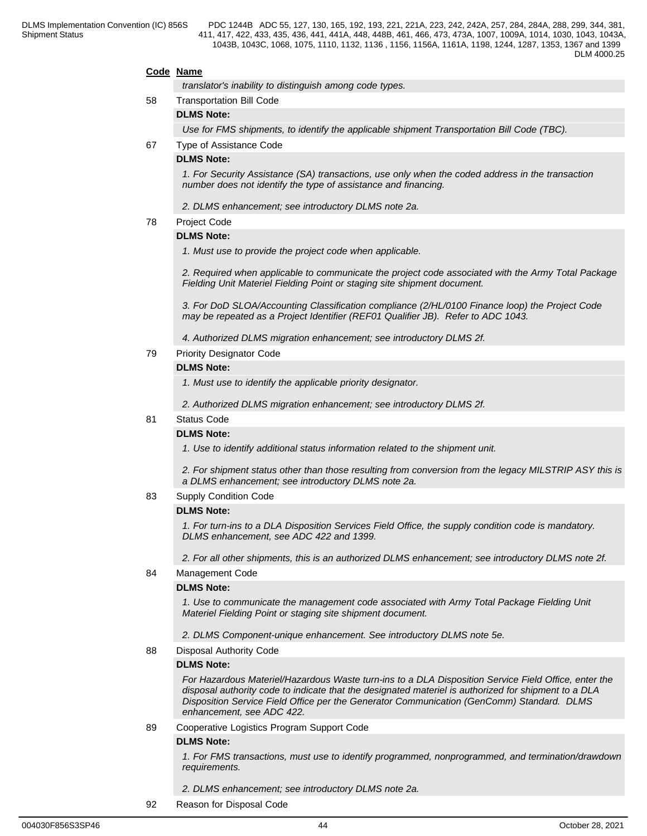#### **Code Name**

*translator's inability to distinguish among code types.*

# 58 Transportation Bill Code

# **DLMS Note:**

*Use for FMS shipments, to identify the applicable shipment Transportation Bill Code (TBC).*

67 Type of Assistance Code

#### **DLMS Note:**

*1. For Security Assistance (SA) transactions, use only when the coded address in the transaction number does not identify the type of assistance and financing.*

- *2. DLMS enhancement; see introductory DLMS note 2a.*
- 78 Project Code

#### **DLMS Note:**

*1. Must use to provide the project code when applicable.*

*2. Required when applicable to communicate the project code associated with the Army Total Package Fielding Unit Materiel Fielding Point or staging site shipment document.*

*3. For DoD SLOA/Accounting Classification compliance (2/HL/0100 Finance loop) the Project Code may be repeated as a Project Identifier (REF01 Qualifier JB). Refer to ADC 1043.*

*4. Authorized DLMS migration enhancement; see introductory DLMS 2f.*

#### 79 Priority Designator Code

#### **DLMS Note:**

*1. Must use to identify the applicable priority designator.*

*2. Authorized DLMS migration enhancement; see introductory DLMS 2f.*

# 81 Status Code

#### **DLMS Note:**

*1. Use to identify additional status information related to the shipment unit.*

*2. For shipment status other than those resulting from conversion from the legacy MILSTRIP ASY this is a DLMS enhancement; see introductory DLMS note 2a.*

83 Supply Condition Code

#### **DLMS Note:**

*1. For turn-ins to a DLA Disposition Services Field Office, the supply condition code is mandatory. DLMS enhancement, see ADC 422 and 1399.*

*2. For all other shipments, this is an authorized DLMS enhancement; see introductory DLMS note 2f.*

#### 84 Management Code

#### **DLMS Note:**

*1. Use to communicate the management code associated with Army Total Package Fielding Unit Materiel Fielding Point or staging site shipment document.* 

*2. DLMS Component-unique enhancement. See introductory DLMS note 5e.*

#### 88 Disposal Authority Code

#### **DLMS Note:**

*For Hazardous Materiel/Hazardous Waste turn-ins to a DLA Disposition Service Field Office, enter the disposal authority code to indicate that the designated materiel is authorized for shipment to a DLA Disposition Service Field Office per the Generator Communication (GenComm) Standard. DLMS enhancement, see ADC 422.*

89 Cooperative Logistics Program Support Code

#### **DLMS Note:**

*1. For FMS transactions, must use to identify programmed, nonprogrammed, and termination/drawdown requirements.*

#### *2. DLMS enhancement; see introductory DLMS note 2a.*

92 Reason for Disposal Code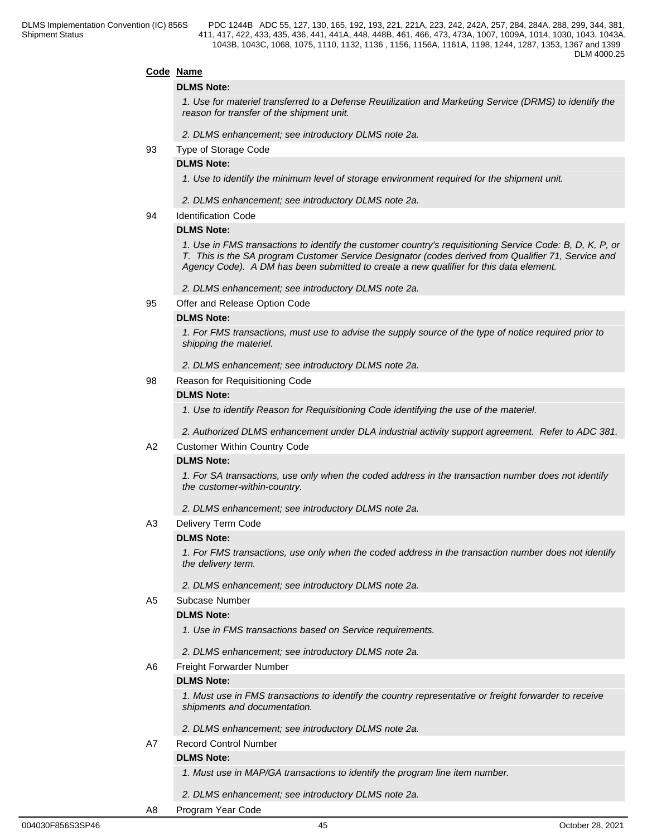#### **Code Name**

#### **DLMS Note:**

*1. Use for materiel transferred to a Defense Reutilization and Marketing Service (DRMS) to identify the reason for transfer of the shipment unit.*

*2. DLMS enhancement; see introductory DLMS note 2a.* 

93 Type of Storage Code

#### **DLMS Note:**

*1. Use to identify the minimum level of storage environment required for the shipment unit.*

- *2. DLMS enhancement; see introductory DLMS note 2a.*
- 94 Identification Code

#### **DLMS Note:**

*1. Use in FMS transactions to identify the customer country's requisitioning Service Code: B, D, K, P, or T. This is the SA program Customer Service Designator (codes derived from Qualifier 71, Service and Agency Code). A DM has been submitted to create a new qualifier for this data element.*

*2. DLMS enhancement; see introductory DLMS note 2a.*

95 Offer and Release Option Code

#### **DLMS Note:**

*1. For FMS transactions, must use to advise the supply source of the type of notice required prior to shipping the materiel.*

*2. DLMS enhancement; see introductory DLMS note 2a.* 

#### 98 Reason for Requisitioning Code

#### **DLMS Note:**

*1. Use to identify Reason for Requisitioning Code identifying the use of the materiel.* 

*2. Authorized DLMS enhancement under DLA industrial activity support agreement. Refer to ADC 381.*

#### A2 Customer Within Country Code

#### **DLMS Note:**

*1. For SA transactions, use only when the coded address in the transaction number does not identify the customer-within-country.*

*2. DLMS enhancement; see introductory DLMS note 2a.* 

A3 Delivery Term Code

#### **DLMS Note:**

*1. For FMS transactions, use only when the coded address in the transaction number does not identify the delivery term.*

*2. DLMS enhancement; see introductory DLMS note 2a.* 

#### A5 Subcase Number

#### **DLMS Note:**

*1. Use in FMS transactions based on Service requirements.*

- *2. DLMS enhancement; see introductory DLMS note 2a.*
- A6 Freight Forwarder Number

#### **DLMS Note:**

*1. Must use in FMS transactions to identify the country representative or freight forwarder to receive shipments and documentation.*

- *2. DLMS enhancement; see introductory DLMS note 2a.*
- A7 Record Control Number

#### **DLMS Note:**

*1. Must use in MAP/GA transactions to identify the program line item number.*

*2. DLMS enhancement; see introductory DLMS note 2a.*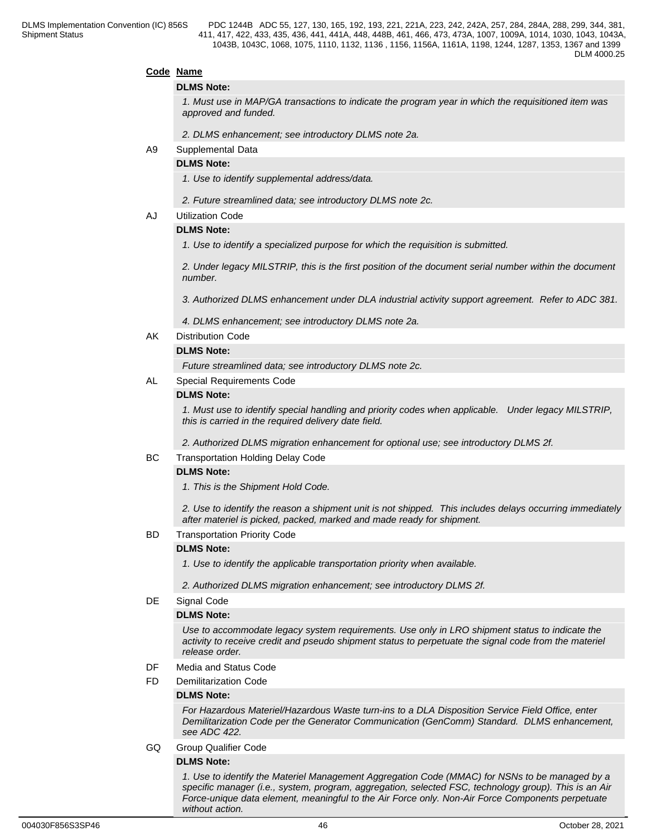#### **Code Name**

#### **DLMS Note:**

*1. Must use in MAP/GA transactions to indicate the program year in which the requisitioned item was approved and funded.*

*2. DLMS enhancement; see introductory DLMS note 2a.* 

A9 Supplemental Data

#### **DLMS Note:**

*1. Use to identify supplemental address/data.* 

- *2. Future streamlined data; see introductory DLMS note 2c.*
- AJ Utilization Code

#### **DLMS Note:**

*1. Use to identify a specialized purpose for which the requisition is submitted.*

*2. Under legacy MILSTRIP, this is the first position of the document serial number within the document number.*

*3. Authorized DLMS enhancement under DLA industrial activity support agreement. Refer to ADC 381.*

*4. DLMS enhancement; see introductory DLMS note 2a.*

AK Distribution Code

#### **DLMS Note:**

*Future streamlined data; see introductory DLMS note 2c.*

#### AL Special Requirements Code

#### **DLMS Note:**

*1. Must use to identify special handling and priority codes when applicable. Under legacy MILSTRIP, this is carried in the required delivery date field.*

*2. Authorized DLMS migration enhancement for optional use; see introductory DLMS 2f.*

#### BC Transportation Holding Delay Code

#### **DLMS Note:**

*1. This is the Shipment Hold Code.*

*2. Use to identify the reason a shipment unit is not shipped. This includes delays occurring immediately after materiel is picked, packed, marked and made ready for shipment.* 

#### BD Transportation Priority Code

#### **DLMS Note:**

*1. Use to identify the applicable transportation priority when available.*

*2. Authorized DLMS migration enhancement; see introductory DLMS 2f.*

#### DE Signal Code

#### **DLMS Note:**

*Use to accommodate legacy system requirements. Use only in LRO shipment status to indicate the activity to receive credit and pseudo shipment status to perpetuate the signal code from the materiel release order.*

DF Media and Status Code

#### FD Demilitarization Code

#### **DLMS Note:**

*For Hazardous Materiel/Hazardous Waste turn-ins to a DLA Disposition Service Field Office, enter Demilitarization Code per the Generator Communication (GenComm) Standard. DLMS enhancement, see ADC 422.*

GQ Group Qualifier Code

#### **DLMS Note:**

*1. Use to identify the Materiel Management Aggregation Code (MMAC) for NSNs to be managed by a specific manager (i.e., system, program, aggregation, selected FSC, technology group). This is an Air Force-unique data element, meaningful to the Air Force only. Non-Air Force Components perpetuate without action.*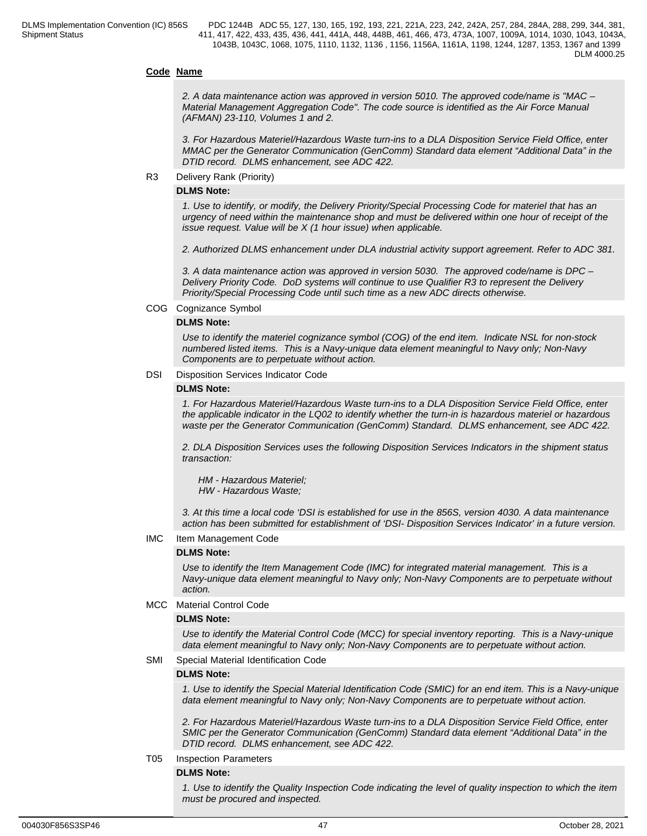#### **Code Name**

*2. A data maintenance action was approved in version 5010. The approved code/name is "MAC – Material Management Aggregation Code". The code source is identified as the Air Force Manual (AFMAN) 23-110, Volumes 1 and 2.*

*3. For Hazardous Materiel/Hazardous Waste turn-ins to a DLA Disposition Service Field Office, enter MMAC per the Generator Communication (GenComm) Standard data element "Additional Data" in the DTID record. DLMS enhancement, see ADC 422.*

#### R3 Delivery Rank (Priority)

#### **DLMS Note:**

*1. Use to identify, or modify, the Delivery Priority/Special Processing Code for materiel that has an urgency of need within the maintenance shop and must be delivered within one hour of receipt of the issue request. Value will be X (1 hour issue) when applicable.*

*2. Authorized DLMS enhancement under DLA industrial activity support agreement. Refer to ADC 381.*

*3. A data maintenance action was approved in version 5030. The approved code/name is DPC – Delivery Priority Code. DoD systems will continue to use Qualifier R3 to represent the Delivery Priority/Special Processing Code until such time as a new ADC directs otherwise.*

#### COG Cognizance Symbol

#### **DLMS Note:**

*Use to identify the materiel cognizance symbol (COG) of the end item. Indicate NSL for non-stock numbered listed items. This is a Navy-unique data element meaningful to Navy only; Non-Navy Components are to perpetuate without action.*

#### DSI Disposition Services Indicator Code

#### **DLMS Note:**

*1. For Hazardous Materiel/Hazardous Waste turn-ins to a DLA Disposition Service Field Office, enter the applicable indicator in the LQ02 to identify whether the turn-in is hazardous materiel or hazardous waste per the Generator Communication (GenComm) Standard. DLMS enhancement, see ADC 422.*

*2. DLA Disposition Services uses the following Disposition Services Indicators in the shipment status transaction:*

 *HM - Hazardous Materiel; HW - Hazardous Waste;*

*3. At this time a local code 'DSI is established for use in the 856S, version 4030. A data maintenance action has been submitted for establishment of 'DSI- Disposition Services Indicator' in a future version.*

#### IMC Item Management Code

#### **DLMS Note:**

*Use to identify the Item Management Code (IMC) for integrated material management. This is a Navy-unique data element meaningful to Navy only; Non-Navy Components are to perpetuate without action.*

#### MCC Material Control Code

#### **DLMS Note:**

*Use to identify the Material Control Code (MCC) for special inventory reporting. This is a Navy-unique data element meaningful to Navy only; Non-Navy Components are to perpetuate without action.*

#### SMI Special Material Identification Code

#### **DLMS Note:**

*1. Use to identify the Special Material Identification Code (SMIC) for an end item. This is a Navy-unique data element meaningful to Navy only; Non-Navy Components are to perpetuate without action.*

*2. For Hazardous Materiel/Hazardous Waste turn-ins to a DLA Disposition Service Field Office, enter SMIC per the Generator Communication (GenComm) Standard data element "Additional Data" in the DTID record. DLMS enhancement, see ADC 422.*

#### T05 Inspection Parameters

#### **DLMS Note:**

*1. Use to identify the Quality Inspection Code indicating the level of quality inspection to which the item must be procured and inspected.*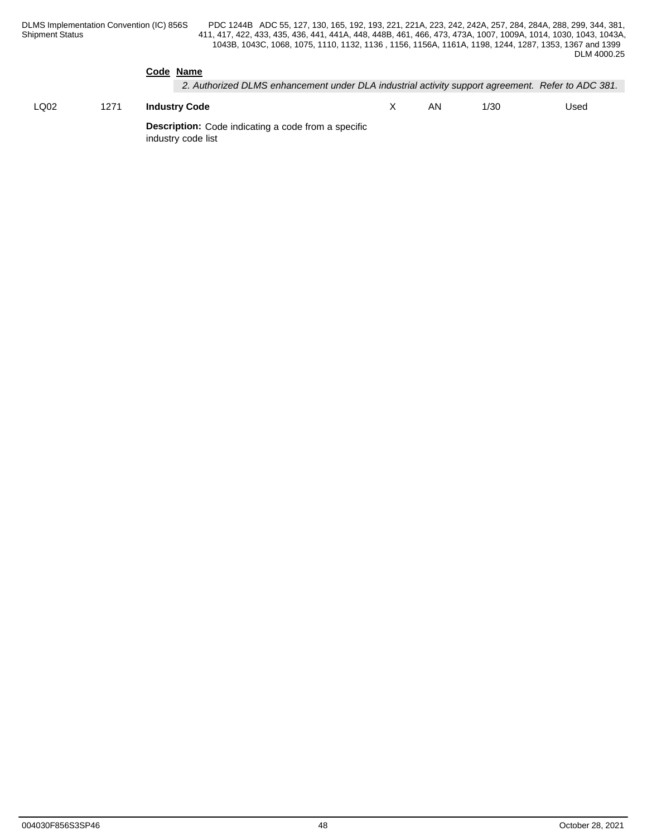|      |      | Code Name<br>2. Authorized DLMS enhancement under DLA industrial activity support agreement. Refer to ADC 381. |    |      |      |
|------|------|----------------------------------------------------------------------------------------------------------------|----|------|------|
| LQ02 | 1271 | <b>Industry Code</b>                                                                                           | AN | 1/30 | Used |
|      |      | <b>Description:</b> Code indicating a code from a specific<br>industry code list                               |    |      |      |